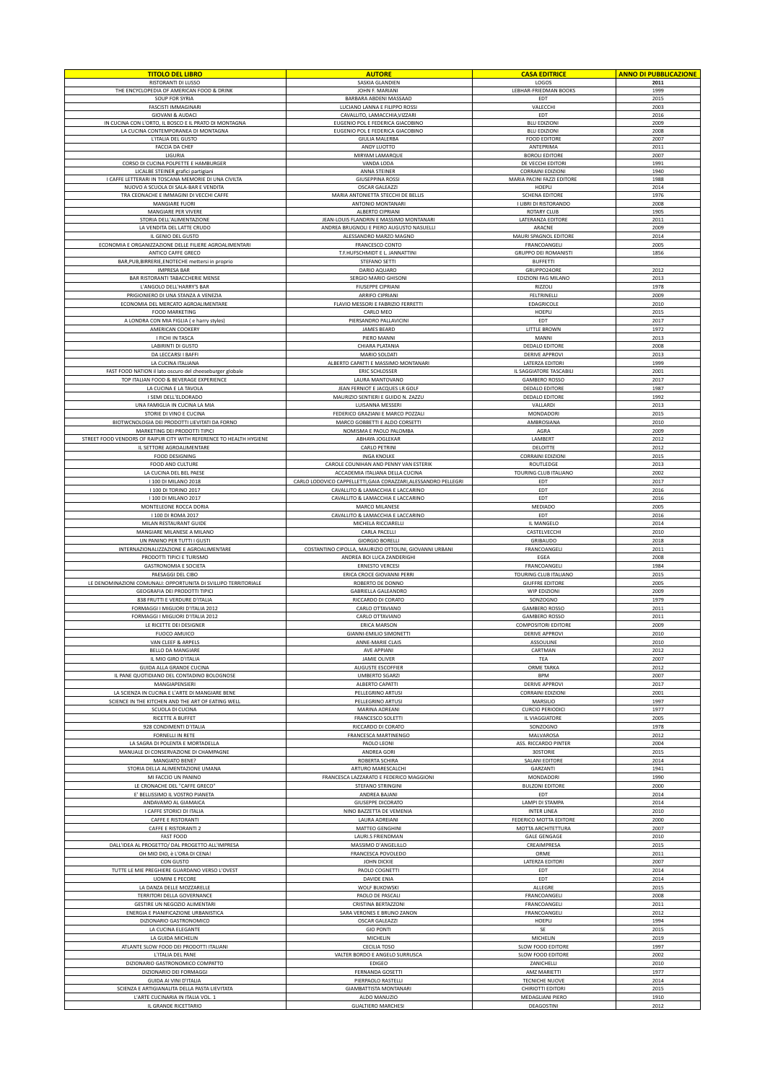| <b>TITOLO DEL LIBRO</b>                                                                             | <b>AUTORE</b>                                                                                      | <b>CASA EDITRICE</b>                            | <b>ANNO DI PUBBLICAZIONE</b> |
|-----------------------------------------------------------------------------------------------------|----------------------------------------------------------------------------------------------------|-------------------------------------------------|------------------------------|
| RISTORANTI DI LUSSO<br>THE ENCYCLOPEDIA OF AMERICAN FOOD & DRINK                                    | SASKIA GLANDIEN<br>JOHN F. MARIANI                                                                 | LOGOS<br>LEBHAR-FRIEDMAN BOOKS                  | 2011<br>1999                 |
| <b>SOUP FOR SYRIA</b>                                                                               | BARBARA ABDENI MASSAAD                                                                             | EDT                                             | 2015                         |
| <b>FASCISTI IMMAGINARI</b><br>GIOVANI & AUDACI                                                      | LUCIANO LANNA E FILIPPO ROSSI<br>CAVALLITO, LAMACCHIA, VIZZARI                                     | VALECCHI<br>EDT                                 | 2003<br>2016                 |
| IN CUCINA CON L'ORTO, IL BOSCO E IL PRATO DI MONTAGNA                                               | EUGENIO POL E FEDERICA GIACOBINO                                                                   | <b>BLU EDIZIONI</b>                             | 2009                         |
| LA CUCINA CONTEMPORANEA DI MONTAGNA<br>L'ITALIA DEL GUSTO                                           | EUGENIO POL E FEDERICA GIACOBINO<br><b>GIULIA MALERBA</b>                                          | <b>BLU EDIZIONI</b><br><b>FOOD EDITORE</b>      | 2008<br>2007                 |
| FACCIA DA CHEF                                                                                      | ANDY LUOTTO                                                                                        | ANTEPRIMA                                       | 2011                         |
| LIGURIA                                                                                             | MIRYAM LAMARQUI                                                                                    | <b>BOROLI EDITORE</b>                           | 2007                         |
| CORSO DI CUCINA POLPETTE E HAMBURGER<br>LICALBE STEINER grafici partigiani                          | VANDA LODA<br>ANNA STEINER                                                                         | DE VECCHI EDITOR<br><b>CORRAINI EDIZIONI</b>    | 1991<br>1940                 |
| I CAFFE LETTERARI IN TOSCANA MEMORIE DI UNA CIVILTA                                                 | <b>GIUSEPPINA ROSS</b>                                                                             | MARIA PACINI FAZZI EDITORE                      | 1988                         |
| NUOVO A SCUOLA DI SALA-BAR E VENDITA<br>TRA CEONACHE E IMMAGINI DI VECCHI CAFFE                     | <b>OSCAR GALEAZZI</b><br>MARIA ANTONIETTA STECCHI DE BELLIS                                        | HOEPLI<br><b>SCHENA EDITORE</b>                 | 2014<br>1976                 |
| MANGIARE FUORI                                                                                      | ANTONIO MONTANARI                                                                                  | I LIBRI DI RISTORANDO                           | 2008                         |
| MANGIARE PER VIVERE<br>STORIA DELL'ALIMENTAZIONE                                                    | ALBERTO CIPRIANI<br>JEAN-LOUIS FLANDRIN E MASSIMO MONTANARI                                        | ROTARY CLUB<br>LATERANZA EDITORE                | 1905<br>2011                 |
| LA VENDITA DEL LATTE CRUDO                                                                          | ANDREA BRUGNOLI E PIERO AUGUSTO NASUELLI                                                           | ARACNE                                          | 2009                         |
| IL GENIO DEL GUSTO                                                                                  | ALESSANDRO MARZO MAGNO                                                                             | MAURI SPAGNOL EDITORE                           | 2014                         |
| ECONOMIA E ORGANIZZAZIONE DELLE FILIERE AGROALIMENTARI<br>ANTICO CAFFE GRECO                        | FRANCESCO CONTO<br>T.F.HUFSCHMIDT E L. JANNATTINI                                                  | FRANCOANGELI<br><b>GRUPPO DEI ROMANISTI</b>     | 2005<br>1856                 |
| BAR, PUB, BIRRERIE, ENOTECHE mettersi in proprio                                                    | <b>STEFANO SETTI</b>                                                                               | <b>BUFFETTI</b>                                 |                              |
| <b>IMPRESA BAR</b>                                                                                  | DARIO AQUARO                                                                                       | GRUPPO24ORE                                     | 2012                         |
| BAR RISTORANTI TABACCHERIE MENSE<br>L'ANGOLO DELL'HARRY'S BAR                                       | SERGIO MARIO GHISONI<br><b>FIUSEPPE CIPRIANI</b>                                                   | EDIZIONI FAG MILANO<br>RIZZOLI                  | 2013<br>1978                 |
| PRIGIONIERO DI UNA STANZA A VENEZIA                                                                 | ARRIFO CIPRIANI                                                                                    | <b>FELTRINELLI</b>                              | 2009                         |
| ECONOMIA DEL MERCATO AGROALIMENTARE                                                                 | FLAVIO MESSORI E FABRIZIO FERRETTI                                                                 | EDAGRICOLE                                      | 2010                         |
| <b>FOOD MARKETING</b><br>A LONDRA CON MIA FIGLIA ( e harry styles)                                  | CARLO MEO<br>PIERSANDRO PALLAVICINI                                                                | HOEPLI<br>EDT                                   | 2015<br>2017                 |
| AMERICAN COOKERY                                                                                    | JAMES BEARD                                                                                        | LITTLE BROWN                                    | 1972                         |
| I FICHI IN TASCA<br>LABIRINTI DI GUSTO                                                              | PIERO MANNI<br>CHIARA PLATANIA                                                                     | MANNI<br>DEDALO EDITORE                         | 2013<br>2008                 |
| DA LECCARSI I BAFFI                                                                                 | MARIO SOLDATI                                                                                      | <b>DERIVE APPROVI</b>                           | 2013                         |
| LA CUCINA ITALIANA                                                                                  | ALBERTO CAPATTI E MASSIMO MONTANARI                                                                | <b>LATERZA EDITORI</b>                          | 1999                         |
| FAST FOOD NATION il lato oscuro del cheeseburger globale<br>TOP ITALIAN FOOD & BEVERAGE EXPERIENCE  | <b>ERIC SCHLOSSER</b><br>LAURA MANTOVANO                                                           | IL SAGGIATORE TASCABILI<br><b>GAMBERO ROSSO</b> | 2001<br>2017                 |
| LA CUCINA E LA TAVOLA                                                                               | JEAN FERNIOT E JACQUES LR GOLF                                                                     | <b>DEDALO EDITORE</b>                           | 1987                         |
| I SEMI DELL'ELDORADO                                                                                | MAURIZIO SENTIERI E GUIDO N. ZAZZU                                                                 | DEDALO EDITORE                                  | 1992                         |
| UNA FAMIGLIA IN CUCINA LA MIA<br>STORIE DI VINO E CUCINA                                            | LUISANNA MESSERI<br>FEDERICO GRAZIANI E MARCO POZZALI                                              | VALLARDI<br>MONDADORI                           | 2013<br>2015                 |
| BIOTWCNOLOGIA DEI PRODOTTI LIEVITATI DA FORNO                                                       | MARCO GOBBETTI E ALDO CORSETTI                                                                     | AMBROSIANA                                      | 2010                         |
| MARKETING DEI PRODOTTI TIPICI                                                                       | NOMISMA E PAOLO PALOMBA                                                                            | AGRA                                            | 2009                         |
| STREET FOOD VENDORS OF RAIPUR CITY WITH REFERENCE TO HEALTH HYGIENE<br>IL SETTORE AGROALIMENTARE    | ABHAYA JOGLEKAR<br><b>CARLO PETRINI</b>                                                            | LAMBERT<br>DELOITTE                             | 2012<br>2012                 |
| <b>FOOD DESIGNING</b>                                                                               | <b>INGA KNOLKE</b>                                                                                 | <b>CORRAINI EDIZIONI</b>                        | 2015                         |
| FOOD AND CULTURE                                                                                    | CAROLE COUNIHAN AND PENNY VAN ESTERIK                                                              | ROUTLEDGE                                       | 2013<br>2002                 |
| LA CUCINA DEL BEL PAESE<br>I 100 DI MILANO 2018                                                     | ACCADEMIA ITALIANA DELLA CUCINA<br>CARLO LODOVICO CAPPELLETTI, GAIA CORAZZARI, ALESSANDRO PELLEGRI | TOURING CLUB ITALIANO<br>EDT                    | 2017                         |
| I 100 DI TORINO 2017                                                                                | CAVALLITO & LAMACCHIA E LACCARINO                                                                  | EDT                                             | 2016                         |
| I 100 DI MILANO 2017                                                                                | CAVALLITO & LAMACCHIA E LACCARINO                                                                  | EDT                                             | 2016                         |
| MONTELEONE ROCCA DORIA<br>I 100 DI ROMA 2017                                                        | MARCO MILANESE<br>CAVALLITO & LAMACCHIA E LACCARINO                                                | MEDIADO<br>EDT                                  | 2005<br>2016                 |
| MILAN RESTAURANT GUIDE                                                                              | MICHELA RICCIARELLI                                                                                | IL MANGELO                                      | 2014                         |
| MANGIARE MILANESE A MILANO<br>UN PANINO PER TUTTI I GUSTI                                           | CARLA PACELLI<br><b>GIORGIO BORELLI</b>                                                            | CASTELVECCHI                                    | 2010                         |
| INTERNAZIONALIZZAZIONE E AGROALIMENTARE                                                             | COSTANTINO CIPOLLA, MAURIZIO OTTOLINI, GIOVANNI URBANI                                             | GRIBAUDO<br>FRANCOANGELI                        | 2018<br>2011                 |
| PRODOTTI TIPICI E TURISMO                                                                           | ANDREA BOI LUCA ZANDERIGHI                                                                         | EGEA                                            | 2008                         |
| <b>GASTRONOMIA E SOCIETA</b><br>PAESAGGI DEL CIBO                                                   | ERNESTO VERCESI<br>ERICA CROCE GIOVANNI PERRI                                                      | FRANCOANGELI<br>TOURING CLUB ITALIANO           | 1984<br>2015                 |
| LE DENOMINAZIONI COMUNALI: OPPORTUNITA DI SVILUPO TERRITORIALE                                      | ROBERTO DE DONNO                                                                                   | <b>GIUFFRE EDITORE</b>                          | 2005                         |
| GEOGRAFIA DEI PRODOTTI TIPICI                                                                       | <b>GABRIELLA GALEANDRO</b>                                                                         | WIP EDIZIONI                                    | 2009                         |
| 838 FRUTTI E VERDURE D'ITALIA<br>FORMAGGI I MIGLIORI D'ITALIA 2012                                  | RICCARDO DI CORATO<br>CARLO OTTAVIANO                                                              | SONZOGNO<br><b>GAMBERO ROSSO</b>                | 1979<br>2011                 |
| FORMAGGI I MIGLIORI D'ITALIA 2012                                                                   | CARLO OTTAVIANO                                                                                    | <b>GAMBERO ROSSO</b>                            | 2011                         |
| LE RICETTE DEI DESIGNER                                                                             | <b>ERICA MARSON</b>                                                                                | <b>COMPOSITORI EDITORE</b>                      | 2009                         |
| <b>FUOCO AMUICO</b><br>VAN CLEEF & ARPEL!                                                           | <b>GIANNI-EMILIO SIMONETTI</b><br>ANNE-MARIE CLAIS                                                 | <b>DERIVE APPROVI</b><br>ASSOULINE              | 2010<br>2010                 |
| BELLO DA MANGIARE                                                                                   | AVE APPIANI                                                                                        | CARTMAN                                         | 2012                         |
| IL MIO GIRO D'ITALIA<br>GUIDA ALLA GRANDE CUCINA                                                    | <b>JAMIE OLIVER</b><br>AUGUSTE ESCOFFIER                                                           | TEA<br>ORME TARKA                               | 2007<br>2012                 |
| IL PANE QUOTIDIANO DEL CONTADINO BOLOGNOSE                                                          | <b>UMBERTO SGARZI</b>                                                                              | <b>BPM</b>                                      | 2007                         |
| MANGIAPENSIERI                                                                                      | ALBERTO CAPATTI                                                                                    | <b>DERIVE APPROVI</b>                           | 2017                         |
| LA SCIENZA IN CUCINA E L'ARTE DI MANGIARE BENE<br>SCIENCE IN THE KITCHEN AND THE ART OF EATING WELL | PELLEGRINO ARTUSI<br>PELLEGRINO ARTUSI                                                             | CORRAINI EDIZIONI<br>MARSILIO                   | 2001<br>1997                 |
| SCUOLA DI CUCINA                                                                                    | MARINA ADREANI                                                                                     | <b>CURCIO PERIODICI</b>                         | 1977                         |
| RICETTE A BUFFET                                                                                    | FRANCESCO SOLETTI                                                                                  | IL VIAGGIATORE                                  | 2005                         |
| 928 CONDIMENTI D'ITALIA<br>FORNELLI IN RETE                                                         | RICCARDO DI CORATO<br>FRANCESCA MARTINENGO                                                         | SONZOGNO<br>MALVAROSA                           | 1978<br>2012                 |
| LA SAGRA DI POLENTA E MORTADELLA                                                                    | PAOLO LEONI                                                                                        | ASS. RICCARDO PINTER                            | 2004                         |
| MANUALE DI CONSERVAZIONE DI CHAMPAGNE<br>MANGIATO BENE?                                             | ANDREA GORI<br>ROBERTA SCHIRA                                                                      | 30STORIE<br>SALANI EDITORE                      | 2015<br>2014                 |
| STORIA DELLA ALIMENTAZIONE UMANA                                                                    | ARTURO MARESCALCHI                                                                                 | GARZANTI                                        | 1941                         |
| MI FACCIO UN PANINO                                                                                 | FRANCESCA LAZZARATO E FEDERICO MAGGIONI                                                            | MONDADORI                                       | 1990                         |
| LE CRONACHE DEL "CAFFE GRECO"<br>E' BELLISSIMO IL VOSTRO PIANETA                                    | STEFANO STRINGINI<br>ANDREA BAJANI                                                                 | <b>BULZONI EDITORE</b><br>EDT                   | 2000<br>2014                 |
| ANDAVAMO AL GIAMAICA                                                                                | <b>GIUSEPPE DICORATO</b>                                                                           | LAMPI DI STAMPA                                 | 2014                         |
| I CAFFE STORICI DI ITALIA                                                                           | NINO BAZZETTA DE VEMENIA                                                                           | <b>INTER LINEA</b>                              | 2010                         |
| CAFFE E RISTORANTI<br>CAFFE E RISTORANTI 2                                                          | LAURA ADREIANI<br>MATTEO GENGHINI                                                                  | FEDERICO MOTTA EDITORE<br>MOTTA ARCHITETTURA    | 2000<br>2007                 |
| <b>FAST FOOD</b>                                                                                    | LAURI.S FRIENDMAN                                                                                  | <b>GALE GENGAGE</b>                             | 2010                         |
| DALL'IDEA AL PROGETTO/ DAL PROGETTO ALL'IMPRESA                                                     | MASSIMO D'ANGELILLO                                                                                | CREAIMPRESA                                     | 2015                         |
| OH MIO DIO, è L'ORA DI CENA!<br>CON GUSTO                                                           | FRANCESCA POVOLEDO<br>JOHN DICKIE                                                                  | ORME<br><b>LATERZA EDITORI</b>                  | 2011<br>2007                 |
| TUTTE LE MIE PREGHIERE GUARDANO VERSO L'OVEST                                                       | PAOLO COGNETTI                                                                                     | EDT                                             | 2014                         |
| <b>UOMINI E PECORE</b><br>LA DANZA DELLE MOZZARELLE                                                 | DAVIDE ENIA<br>WOLF BUKOWSKI                                                                       | EDT<br>ALLEGRE                                  | 2014<br>2015                 |
| TERRITORI DELLA GOVERNANCE                                                                          | PAOLO DE PASCALI                                                                                   | FRANCOANGELI                                    | 2008                         |
| GESTIRE UN NEGOZIO ALIMENTARI                                                                       | CRISTINA BERTAZZONI                                                                                | FRANCOANGELI                                    | 2011                         |
| ENERGIA E PIANIFICAZIONE URBANISTICA<br>DIZIONARIO GASTRONOMICO                                     | SARA VERONES E BRUNO ZANON<br><b>OSCAR GALEAZZI</b>                                                | FRANCOANGELI<br>HOEPLI                          | 2012<br>1994                 |
| LA CUCINA ELEGANTE                                                                                  | <b>GIO PONTI</b>                                                                                   | SE                                              | 2015                         |
| LA GUIDA MICHELIN                                                                                   | MICHELIN                                                                                           | MICHELIN                                        | 2019                         |
| ATLANTE SLOW FOOD DEI PRODOTTI ITALIANI<br>L'ITALIA DEL PANE                                        | CECILIA TOSO<br>VALTER BORDO E ANGELO SURRUSCA                                                     | SLOW FOOD EDITORE<br>SLOW FOOD EDITORE          | 1997<br>2002                 |
| DIZIONARIO GASTRONOMICO COMPATTO                                                                    | EDIGEO                                                                                             | ZANICHELLI                                      | 2010                         |
| DIZIONARIO DEI FORMAGGI                                                                             | FERNANDA GOSETTI                                                                                   | AMZ MARIETTI                                    | 1977                         |
| <b>GUIDA AI VINI D'ITALIA</b><br>SCIENZA E ARTIGIANALITA DELLA PASTA LIEVITATA                      | PIERPAOLO RASTELLI<br><b>GIAMBATTISTA MONTANARI</b>                                                | TECNICHE NUOVE<br>CHIRIOTTI EDITORI             | 2014<br>2015                 |
| L'ARTE CUCINARIA IN ITALIA VOL. 1                                                                   | ALDO MANUZIO                                                                                       | MEDAGLIANI PIERO                                | 1910                         |
| IL GRANDE RICETTARIO                                                                                | <b>GUALTIERO MARCHESI</b>                                                                          | DEAGOSTINI                                      | 2012                         |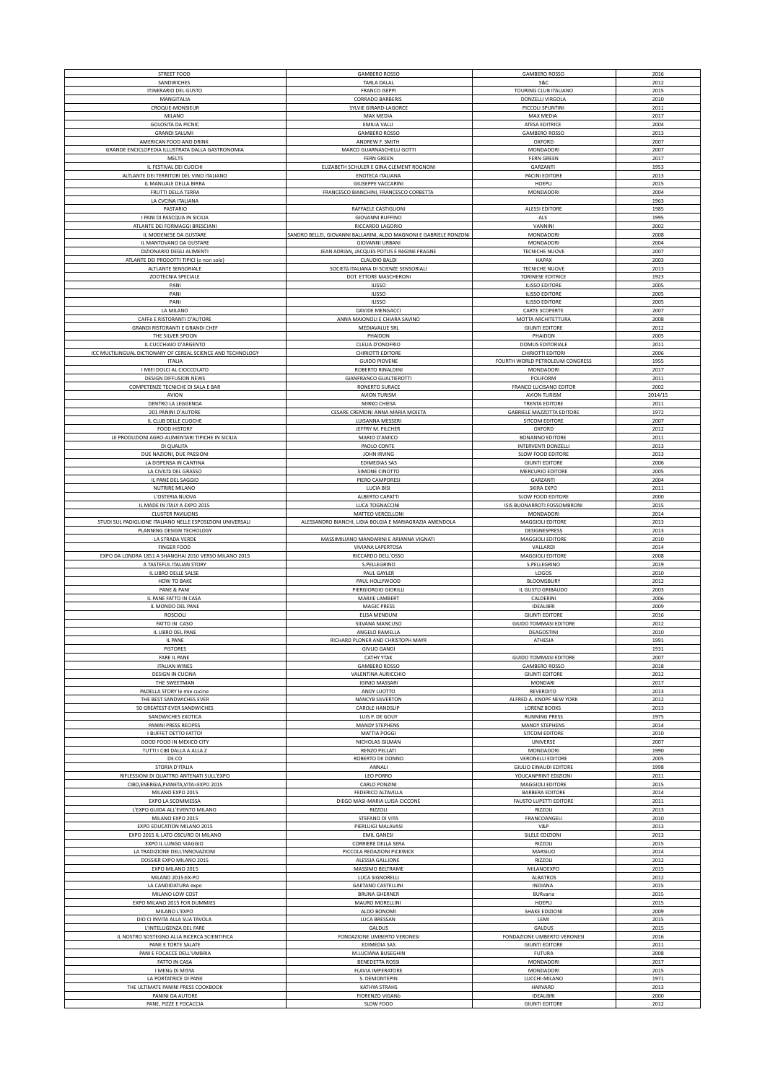| STREET FOOD                                                  | <b>GAMBERO ROSSO</b>                                               | <b>GAMBERO ROSSO</b>               | 2016         |
|--------------------------------------------------------------|--------------------------------------------------------------------|------------------------------------|--------------|
| SANDWICHES                                                   | TARLA DALAL                                                        | S&C                                | 2012         |
| <b>ITINERARIO DEL GUSTO</b>                                  | <b>FRANCO ISEPPI</b>                                               | TOURING CLUB ITALIANO              | 2015         |
| MANGITALIA                                                   | <b>CORRADO BARBERIS</b>                                            | DONZELLI VIRGOLA                   | 2010         |
| CROQUE-MONSIEUR                                              | SYLVIE GIRARD-LAGORCE                                              | PICCOLI SPUNTINI                   | 2011         |
| MILANO                                                       | MAX MEDIA                                                          | MAX MEDIA                          | 2017         |
| GOLOSITA DA PICNIC                                           | <b>EMILIA VALLI</b>                                                | <b>ATESA EDITRICE</b>              | 2004         |
| <b>GRANDI SALUMI</b>                                         | <b>GAMBERO ROSSO</b>                                               | <b>GAMBERO ROSSO</b>               | 2013         |
| AMERICAN FOOD AND DRINK                                      | ANDREW F. SMITH                                                    | OXFORD                             | 2007         |
| GRANDE ENCICLOPEDIA ILLUSTRATA DALLA GASTRONOMIA             | MARCO GUARNASCHELLI GOTTI                                          | MONDADORI                          | 2007         |
| MELTS                                                        | <b>FERN GREEN</b>                                                  | <b>FERN GREEN</b>                  | 2017         |
| IL FESTIVAL DEI CUOCHI                                       | ELIZABETH SCHULER E GINA CLEMENT ROGNONI                           | GARZANTI                           | 1953         |
| ALTLANTE DEI TERRITORI DEL VINO ITALIANO                     | ENOTECA ITALIANA                                                   | PACINI EDITORE                     | 2013         |
| IL MANUALE DELLA BIRRA                                       | GIUSEPPE VACCARINI                                                 | HOEPLI                             | 2015         |
|                                                              |                                                                    |                                    |              |
| FRUTTI DELLA TERRA                                           | FRANCESCO BIANCHINI, FRANCESCO CORBETTA                            | MONDADORI                          | 2004         |
| LA CVCINA ITALIANA                                           |                                                                    |                                    | 1963         |
| PASTARIO                                                     | RAFFAELE CASTIGLIONI                                               | <b>ALESSI EDITORE</b>              | 1985         |
| I PANI DI PASCQUA IN SICILIA                                 | <b>GIOVANNI RUFFINO</b>                                            | ALS                                | 1995         |
| ATLANTE DEI FORMAGGI BRESCIANI                               | RICCARDO LAGORIO                                                   | VANNINI                            | 2002         |
| IL MODENESE DA GUSTARE                                       | SANDRO BELLEI, GIOVANNI BALLARINI, ALDO MAGNONI E GABRIELE RONZONI | MONDADORI                          | 2008         |
| IL MANTOVANO DA GUSTARE                                      | <b>GIOVANNI URBANI</b>                                             | MONDADORI                          | 2004         |
| DIZIONARIO DEGLI ALIMENTI                                    | JEAN ADRIAN, JACQUES POTUS E RèGINE FRAGNE                         | <b>TECNICHE NUOVE</b>              | 2007         |
| ATLANTE DEI PRODOTTI TIPICI (e non solo)                     | CLAUDIO BALDI                                                      | HAPAX                              | 2003         |
| ALTLANTE SENSORIALE                                          | SOCIETà ITALIANA DI SCIENZE SENSORIALI                             | TECNICHE NUOVE                     | 2013         |
| ZOOTECNIA SPECIALE                                           | DOT. ETTORE MASCHERONI                                             | <b>TORINESE EDITRICE</b>           | 1923         |
| PANI                                                         | <b>ILISSO</b>                                                      | <b>ILISSO EDITORE</b>              | 2005         |
| PANI                                                         | ILISSO                                                             | <b>ILISSO EDITORE</b>              | 2005         |
| PANI                                                         | <b>ILISSO</b>                                                      | <b>ILISSO EDITORE</b>              | 2005         |
| LA MILANO                                                    | DAVIDE MENGACCI                                                    | <b>CARTE SCOPERTE</b>              | 2007         |
| CAFFè E RISTORANTI D'AUTORE                                  | ANNA MAIONOLI E CHIARA SAVINO                                      | MOTTA ARCHITETTURA                 | 2008         |
| <b>GRANDI RISTORANTI E GRANDI CHEF</b>                       | MEDIAVALUE SRL                                                     | <b>GIUNTI EDITORE</b>              | 2012         |
| THE SILVER SPOON                                             | PHAIDON                                                            | PHAIDON                            | 2005         |
| IL CUCCHIAIO D'ARGENTO                                       | <b>CLELIA D'ONOFRIO</b>                                            | <b>DOMUS EDITORIALE</b>            | 2011         |
| ICC MULTILINGUAL DICTIONARY OF CEREAL SCIENCE AND TECHNOLOGY | CHIRIOTTI EDITORE                                                  | CHIRIOTTI EDITORI                  | 2006         |
| <b>ITALIA</b>                                                | <b>GUIDO PIOVENE</b>                                               | FOURTH WORLD PETROLEUM CONGRESS    | 1955         |
| I MIEI DOLCI AL CIOCCOLATO                                   | ROBERTO RINALDINI                                                  | MONDADORI                          | 2017         |
| DESIGN DIFFUSION NEWS                                        | GIANFRANCO GUALTIEROTTI                                            | POLIFORM                           | 2011         |
| COMPETENZE TECNICHE DI SALA E BAR                            | RONERTO SURACE                                                     | FRANCO LUCISANO EDITOR             | 2002         |
| AVION                                                        | <b>AVION TURISM</b>                                                | <b>AVION TURISM</b>                | 2014/15      |
| DENTRO LA LEGGENDA                                           | MIRKO CHIESA                                                       | <b>TRENTA EDITORE</b>              | 2011         |
| 201 PANINI D'AUTORE                                          | CESARE CREMONI ANNA MARIA MOJETA                                   | <b>GABRIELE MAZZOTTA EDITORE</b>   | 1972         |
| IL CLUB DELLE CUOCHE                                         | LUISANNA MESSERI                                                   | SITCOM EDITORE                     | 2007         |
| <b>FOOD HISTORY</b>                                          | JEFFRY M. PILCHER                                                  | OXFORD                             | 2012         |
| LE PRODUZIONI AGRO-ALIMENTARI TIPICHE IN SICILIA             | MARIO D'AMICO                                                      | <b>BONANNO EDITORE</b>             | 2011         |
| DI QUALITA                                                   | PAOLO CONTE                                                        | INTERVENTI DONZELLI                | 2013         |
| DUE NAZIONI, DUE PASSIONI                                    | <b>JOHN IRVING</b>                                                 | <b>SLOW FOOD EDITORE</b>           | 2013         |
| LA DISPENSA IN CANTINA                                       | <b>EDIMEDIAS SAS</b>                                               | <b>GIUNTI EDITORE</b>              | 2006         |
| LA CIVILTà DEL GRASSO                                        | SIMONE CINOTTO                                                     | MERCURIO EDITORE                   | 2005         |
| IL PANE DEL SAGGIO                                           | PIERO CAMPORES                                                     | GARZANTI                           | 2004         |
| NUTRIRE MILANO                                               | <b>LUCIA BISI</b>                                                  | <b>SKIRA EXPO</b>                  | 2011         |
| L'OSTERIA NUOVA                                              | ALBERTO CAPATTI                                                    | SLOW FOOD EDITORE                  | 2000         |
| IL MADE IN ITALY A EXPO 2015                                 | LUCA TOGNACCINI                                                    | ISIS BUONARROTI FOSSOMBRONI        | 2015         |
| <b>CLUSTER PAVILIONS</b>                                     | MATTEO VERCELLONI                                                  | MONDADOR                           | 2014         |
| STUDI SUL PADIGLIONE ITALIANO NELLE ESPOSIZIONI UNIVERSALI   | ALESSANDRO BIANCHI, LIDIA BOLGIA E MARIAGRAZIA AMENDOLA            | <b>MAGGIOLI EDITORE</b>            | 2013         |
| PLANNING DESIGN TECHOLOGY                                    |                                                                    | DESIGNESPRESS                      | 2013         |
| LA STRADA VERDE                                              | MASSIMILIANO MANDARINI E ARIANNA VIGNATI                           | MAGGIOLI EDITORE                   | 2010         |
|                                                              |                                                                    |                                    |              |
|                                                              |                                                                    |                                    |              |
| <b>FINGER FOOD</b>                                           | VIVIANA LAPERTOSA                                                  | VALLARDI                           | 2014         |
| EXPO DA LONDRA 1851 A SHANGHAI 2010 VERSO MILANO 2015        | RICCARDO DELL'OSSO                                                 | MAGGIOLI EDITORE                   | 2008         |
| A TASTEFUL ITALIAN STORY                                     | S.PELLEGRINO                                                       | S.PELLEGRINO                       | 2019         |
| IL LIBRO DELLE SALSE<br>HOW TO BAKE                          | PAUL GAYLER                                                        | LOGOS                              | 2010         |
|                                                              | PAUL HOLLYWOOD                                                     | BLOOMSBURY                         | 2012         |
| PANE & PANI                                                  | PIERGIORGIO GIORILLI                                               | IL GUSTO GRIBAUDO                  | 2003         |
| IL PANE FATTO IN CASA                                        | MARJIE LAMBERT                                                     | CALDERINI                          | 2006         |
| IL MONDO DEL PANE                                            | <b>MAGIC PRESS</b>                                                 | <b>IDEALIBRI</b>                   | 2009         |
| <b>ROSCIOLI</b>                                              | ELISA MENDUNI                                                      | <b>GIUNTI EDITORE</b>              | 2016         |
| FATTO IN CASO                                                | SILVANA MANCUSO                                                    | <b>GIUDO TOMMASI EDITORE</b>       | 2012         |
| IL LIBRO DEL PANE                                            | ANGELO RAMELLA                                                     | DEAGOSTINI                         | 2010         |
| IL PANE                                                      | RICHARD PLONER AND CHRISTOPH MAYR                                  | ATHESIA                            | 1991         |
| <b>PISTORES</b>                                              | <b>GIVLIO GANDI</b>                                                |                                    | 1931         |
| <b>FARE IL PANE</b>                                          | CATHY YTAK                                                         | <b>GUIDO TOMMASI EDITORE</b>       | 2007         |
| <b>ITALIAN WINES</b>                                         | <b>GAMBERO ROSSO</b>                                               | <b>GAMBERO ROSSO</b>               | 2018         |
| DESIGN IN CUCINA                                             | VALENTINA AURICCHIO                                                | <b>GIUNTI EDITORE</b>              | 2012         |
| THE SWEETMAN                                                 | <b>IGINIO MASSARI</b>                                              | MONDARI                            | 2017         |
| PADELLA STORY le mie cucine                                  | ANDY LUOTTO                                                        | <b>REVERDITO</b>                   | 2013         |
| THE BEST SANDWICHES EVER                                     | NANCYB SILVERTON                                                   | ALFRED A. KNOPF NEW YORK           | 2012         |
| 50 GREATEST-EVER SANDWICHES                                  | CAROLE HANDSLIP                                                    | <b>LORENZ BOOKS</b>                | 2013         |
| SANDWICHES EXOTICA                                           | LUIS P. DE GOUY                                                    | <b>RUNNING PRESS</b>               | 1975         |
| PANINI PRESS RECIPES                                         | MANDY STEPHENS                                                     | <b>MANDY STEPHENS</b>              | 2014         |
| I BUFFET DETTO FATTO!                                        | MATTIA POGGI                                                       | SITCOM EDITORE                     | 2010         |
| GOOD FOOD IN MEXICO CITY                                     | NICHOLAS GILMAN                                                    | UNIVERSE                           | 2007         |
| TUTTI I CIBI DALLA A ALLA Z                                  | <b>RENZO PELLATI</b>                                               | MONDADORI                          | 1990         |
| DE.CO                                                        | ROBERTO DE DONNO                                                   | <b>VERONELLI EDITORE</b>           | 2005         |
| STORIA D'ITALIA                                              | ANNALI                                                             | <b>GIULIO EINAUDI EDITORE</b>      | 1998         |
| RIFLESSIONI DI QUATTRO ANTENATI SULL'EXPO                    | LEO PORRO                                                          | YOUCANPRINT EDIZIONI               | 2011         |
| CIBO, ENERGIA, PIANETA, VITA=EXPO 2015                       | CARLO PONZINI                                                      | MAGGIOLI EDITORE                   | 2015         |
| MILANO EXPO 2015                                             | FEDERICO ALTAVILLA                                                 | <b>BARBERA EDITORE</b>             | 2014         |
| EXPO LA SCOMMESSA                                            | DIEGO MASI-MARIA LUISA CICCONE                                     | <b>FAUSTO LUPETTI EDITORE</b>      | 2011         |
| L'EXPO GUIDA ALL'EVENTO MILANO                               | RIZZOLI                                                            | RIZZOLI                            | 2013         |
| MILANO EXPO 2015                                             | STEFANO DI VITA                                                    | FRANCOANGELI                       | 2010         |
| EXPO EDUCATION MILANO 2015                                   | PIERLUIGI MALAVASI                                                 | V&P                                | 2013         |
| EXPO 2015 IL LATO OSCURO DI MILANO                           | <b>EMIL GANESI</b>                                                 | SILELE EDIZIONI                    | 2013         |
| EXPO IL LUNGO VIAGGIO                                        | CORRIERE DELLA SERA                                                | RIZZOLI                            | 2015         |
| LA TRADIZIONE DELL'INNOVAZIONI                               | PICCOLA REDAZIONI PICKWICK                                         | MARSILIO                           | 2014         |
| DOSSIER EXPO MILANO 2015                                     | ALESSIA GALLIONE                                                   | RIZZOLI                            | 2012         |
| EXPO MILANO 2015                                             | MASSIMO BELTRAME                                                   | MILANOEXPO                         | 2015         |
| MILANO 2015:EX-PO                                            | LUCA SIGNORELLI                                                    | ALBATROS                           | 2012         |
| LA CANDIDATURA expo                                          | <b>GAETANO CASTELLINI</b>                                          | INDIANA                            | 2015         |
| MILANO LOW COST                                              | <b>BRUNA GHERNER</b>                                               | BURvaria                           | 2015         |
| EXPO MILANO 2015 FOR DUMMIES                                 | MAURO MORELLINI                                                    | HOEPLI                             | 2015         |
| MILANO L'EXPO                                                | ALDO BONOMI                                                        | SHAKE EDIZIONI                     | 2009         |
| DIO CI INVITA ALLA SUA TAVOLA                                | LUCA BRESSAN                                                       | LEMI                               | 2015         |
| L'INTELLIGENZA DEL FARE                                      | GALDUS                                                             | GALDUS                             | 2015         |
| IL NOSTRO SOSTEGNO ALLA RICERCA SCIENTIFICA                  | FONDAZIONE UMBERTO VERONESI                                        | FONDAZIONE UMBERTO VERONESI        | 2016         |
| PANE E TORTE SALATE                                          | EDIMEDIA SAS                                                       | <b>GIUNTI EDITORE</b>              | 2011         |
| PANI E FOCACCE DELL'UMBRIA                                   | M.LUCIANA BUSEGHIN                                                 | <b>FUTURA</b>                      | 2008         |
| FATTO IN CASA                                                | <b>BENEDETTA ROSSI</b>                                             | MONDADORI                          | 2017         |
| I MENÙ DI MISYA                                              | <b>FLAVIA IMPERATORE</b>                                           | MONDADORI                          | 2015         |
| LA PORTATRICE DI PANE                                        | S. DEMONTEPIN                                                      | LUCCHI-MILANO                      | 1971         |
| THE ULTIMATE PANINI PRESS COOKBOOK                           | KATHYA STRAHS                                                      | HARVARD                            | 2013         |
| PANINI DA AUTORE<br>PANE, PIZZE E FOCACCIA                   | FIORENZO VIGANÒ<br>SLOW FOOD                                       | IDEALIBRI<br><b>GIUNTI EDITORE</b> | 2000<br>2012 |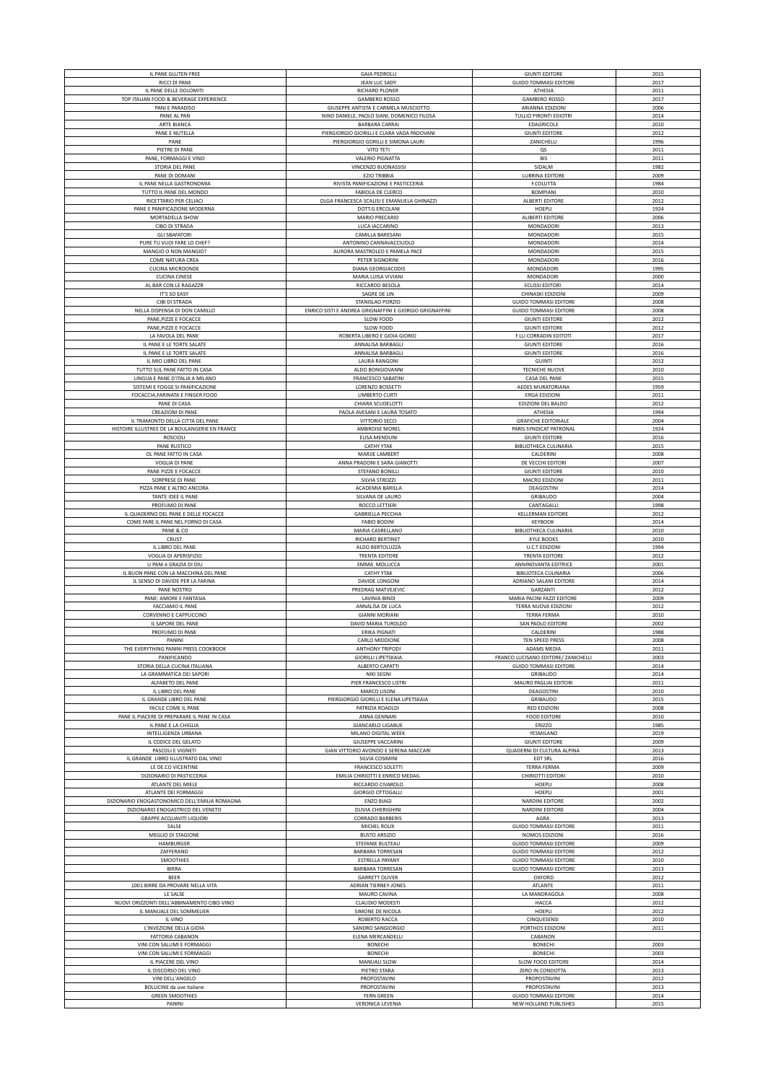| IL PANE GLUTEN FREE                            | <b>GAIA PEDROLLI</b>                                                 | <b>GIUNTI EDITORE</b>                                 | 2015         |
|------------------------------------------------|----------------------------------------------------------------------|-------------------------------------------------------|--------------|
| RICCI DI PANE                                  | <b>JEAN LUC SADY</b>                                                 | <b>GUIDO TOMMASI EDITORE</b>                          | 2017         |
| IL PANE DELLE DOLOMITI                         | RICHARD PLONER                                                       | ATHESIA                                               | 2011         |
| TOP ITALIAN FOOD & BEVERAGE EXPERIENCE         | <b>GAMBERO ROSSO</b>                                                 | <b>GAMBERO ROSSO</b>                                  | 2017         |
| PANI E PARADISO                                | GIUSEPPE ANTISTA E CARMELA MUSCIOTTO                                 | ARIANNA EDIZIONI                                      | 2006         |
| PANE AL PAN                                    | NINO DANIELE, PAOLO SIANI, DOMENICO FILOSA                           | TULLIO PIRONTI EDIOTRI                                | 2014         |
| ARTE BIANCA                                    | <b>BARBARA CARRAI</b>                                                | EDAGRICOLE                                            | 2010         |
| PANE E NUTELLA                                 | PIERGIORGIO GIORILLI E CLARA VADA PADOVANI                           | <b>GIUNTI EDITORE</b>                                 | 2012         |
| PANE                                           | PIERGIORGIO GORILLI E SIMONA LAURI                                   | ZANICHELLI                                            | 1996         |
| PIETRE DI PANE                                 | VITO TETI                                                            | QS                                                    | 2011         |
| PANE, FORMAGGI E VINO                          | <b>VALERIO PIGNATTA</b>                                              | <b>BIS</b>                                            | 2011         |
|                                                |                                                                      |                                                       |              |
| STORIA DEL PANE                                | VINCENZO BUONASSISI                                                  | SIDALM                                                | 1982         |
| PANE DI DOMANI                                 | <b>EZIO TRIBBIA</b>                                                  | LUBRINA EDITORE                                       | 2009         |
| IL PANE NELLA GASTRONOMIA                      | RIVISTA PANIFICAZIONE E PASTICCERIA                                  | F.COLUTTA                                             | 1984         |
| TUTTO IL PANE DEL MONDO                        | FABIOLA DE CLERCO                                                    | <b>BOMPIANI</b>                                       | 2010         |
| RICETTARIO PER CELIACI                         | OLGA FRANCESCA SCALISI E EMANUELA GHINAZZI                           | <b>ALBERTI EDITORE</b>                                | 2012         |
| PANE E PANIFICAZIONE MODERNA                   | DOTT.G ERCOLANI                                                      | HOEPLI                                                | 1924         |
| MORTADELLA SHOW                                | MARIO PRECARIO                                                       | ALIBERTI EDITORE                                      | 2006         |
| CIBO DI STRADA                                 | LUCA IACCARINO                                                       | MONDADORI                                             | 2013         |
| <b>GLI SBAFATORI</b>                           | CAMILLA BARESANI                                                     | MONDADORI                                             | 2015         |
|                                                |                                                                      |                                                       |              |
| PURE TU VUOI FARE LO CHEF?                     | ANTONINO CANNAVACCIUOLO                                              | MONDADORI                                             | 2014         |
| MANGIO O NON MANGIO?                           | AURORA MASTROLEO E PAMELA PACE                                       | MONDADORI                                             | 2015         |
| COME NATURA CREA                               | PETER SIGNORINI                                                      | MONDADORI                                             | 2016         |
| <b>CUCINA MICROONDE</b>                        | <b>DIANA GEORGIACODIS</b>                                            | MONDADORI                                             | 1995         |
| <b>CUCINA CINESE</b>                           | MARIA LUISA VIVIANI                                                  | MONDADORI                                             | 2000         |
| AL BAR CON LE RAGAZZR                          | RICCARDO BESOLA                                                      | <b>ECLISSI EDITORI</b>                                | 2014         |
| IT'S SO EASY                                   | SAGRE DE LIN                                                         | CHINASKI EDIZIONI                                     | 2009         |
| CIBI DI STRADA                                 | STANISLAO PORZIO                                                     | <b>GUIDO TOMMASI EDITORE</b>                          | 2008         |
|                                                |                                                                      |                                                       | 2008         |
| NELLA DISPENSA DI DON CAMILLO                  | ENRICO SISTI E ANDREA GRIGNAFFINI E GIORGIO GRIGNAFFINI<br>SLOW FOOD | <b>GUIDO TOMMASI EDITORE</b>                          |              |
| PANE, PIZZE E FOCACCE                          |                                                                      | <b>GIUNTI EDITORE</b>                                 | 2012         |
| PANE, PIZZE E FOCACCE                          | SLOW FOOD                                                            | <b>GIUNTI EDITORE</b>                                 | 2012         |
| LA FAVOLA DEL PANE                             | ROBERTA LIBERO E GIOIA GIORIO                                        | F.LLI CORRADIN EDITOTI                                | 2017         |
| IL PANE E LE TORTE SALATE                      | ANNALISA BARBAGLI                                                    | <b>GIUNTI EDITORE</b>                                 | 2016         |
| IL PANE E LE TORTE SALATE                      | ANNALISA BARBAGLI                                                    | <b>GIUNTI EDITORE</b>                                 | 2016         |
| IL MIO LIBRO DEL PANE                          | LAURA RANGONI                                                        | <b>GUINTI</b>                                         | 2012         |
| TUTTO SUL PANE FATTO IN CASA                   | ALDO BONGIOVANNI                                                     | <b>TECNICHE NUOVE</b>                                 | 2010         |
| LINGUA E PANE D'ITALIA A MILANO                | <b>FRANCESCO SABATINI</b>                                            | CASA DEL PANE                                         | 2015         |
| SISTEMI E FOGGE SI PANIFICAZIONE               | LORENZO BOSSETTI                                                     | AEDES MURATORIANA                                     | 1959         |
|                                                |                                                                      |                                                       |              |
| FOCACCIA, FARINATA E FINGER FOOD               | <b>UMBERTO CURTI</b>                                                 | ERGA EDIZIONI                                         | 2011         |
| PANE DI CASA                                   | CHIARA SCUDELOTTI                                                    | EDIZIONI DEL BALDO                                    | 2012         |
| CREAZIONI DI PANE                              | PAOLA AVESANI E LAURA TOSATO                                         | ATHESIA                                               | 1994         |
| IL TRAMONTO DELLA CITTA DEL PANE               | VITTORIO SECCI                                                       | <b>GRAFICHE EDITORIALE</b>                            | 2004         |
| HISTOIRE ILLUSTREE DE LA BOULANGERIE EN FRANCE | AMBROISE MOREL                                                       | PARIS SYNDICAT PATRONAL                               | 1924         |
| <b>ROSCIOLI</b>                                | ELISA MENDUNI                                                        | <b>GIUNTI EDITORE</b>                                 | 2016         |
| PANE RUSTICO                                   | <b>CATHY YTAK</b>                                                    | <b>BIBLIOTHECA CULINARIA</b>                          | 2015         |
| OL PANE FATTO IN CASA                          | MARJIE LAMBERT                                                       |                                                       |              |
|                                                |                                                                      | CALDERINI                                             | 2008         |
| VOGLIA DI PANE                                 | ANNA PRADONI E SARA GIANOTTI                                         | DE VECCHI EDITORI                                     | 2007         |
| PANE PIZZE E FOCACCE                           | STEFANO BONILLI                                                      | <b>GIUNTI EDITORE</b>                                 | 2010         |
| SORPRESE DI PANE                               | SILVIA STROZZI                                                       | MACRO EDIZIONI                                        | 2011         |
| PIZZA PANE E ALTRO ANCORA                      | ACADEMIA BARILLA                                                     | DEAGOSTINI                                            | 2014         |
| TANTE IDEE IL PANE                             | SILVANA DE LAURO                                                     | GRIBAUDO                                              | 2004         |
| PROFUMO DI PANE                                | ROCCO LETTIERI                                                       | CANTAGALLI                                            | 1998         |
| IL QUADERNO DEL PANE E DELLE FOCACCE           | <b>GABRIELLA PECCHIA</b>                                             | <b>KELLERMAN EDITORE</b>                              | 2012         |
| COME FARE IL PANE NEL FORNO DI CASA            | <b>FABIO BODINI</b>                                                  | KEYBOOK                                               | 2014         |
| PANE & CO                                      | MARIA CASRELLANO                                                     | <b>BIBLIOTHECA CULINARIA</b>                          | 2010         |
|                                                |                                                                      |                                                       |              |
|                                                |                                                                      |                                                       |              |
| CRUST                                          | RICHARD BERTINET                                                     | <b>KYLE BOOKS</b>                                     | 2010         |
| IL LIBRO DEL PANE                              | ALDO BERTOLUZZA                                                      | U.C.T EDIZIONI                                        | 1994         |
| VOGLIA DI APERISFIZIO                          | TRENTA EDITORE                                                       | <b>TRENTA EDITORE</b>                                 | 2012         |
|                                                |                                                                      |                                                       |              |
| U PANI è GRAZIA DI DIU                         | EMMA MOLLICCA                                                        | ANNINOVANTA EDITRICE                                  | 2001         |
| IL BUON PANE CON LA MACCHINA DEL PANE          | <b>CATHY YTAK</b>                                                    | BIBLIOTECA CULINARIA                                  | 2006         |
| IL SENSO DI DAVIDE PER LA FARINA               | DAVIDE LONGONI                                                       | ADRIANO SALANI EDITORE                                | 2014         |
| PANE NOSTRO                                    | PREDRAG MATVEJEVIC                                                   | GARZANTI                                              | 2012         |
| PANE: AMORE E FANTASIA                         | LAVINIA BINDI                                                        | MARIA PACINI FAZZI EDITORE                            | 2009         |
| FACCIAMO IL PANE                               | ANNALISA DE LUCA                                                     | TERRA NUOVA EDIZIONI                                  | 2012         |
| CORVENNO E CAPPUCCINO                          | <b>GIANNI MORIANI</b>                                                | TERRA FERMA                                           | 2010         |
| IL SAPORE DEL PANE                             | DAVID MARIA TUROLDO                                                  | SAN PAOLO EDITORE                                     | 2002         |
|                                                |                                                                      | CALDERINI                                             | 1988         |
| PROFUMO DI PANE                                | ERIKA PIGNATI                                                        |                                                       |              |
| PANINI                                         | CARLO MIDDIONE                                                       | TEN SPEED PRESS                                       | 2008         |
| THE EVERYTHING PANINI PRESS COOKBOOK           | <b>ANTHONY TRIPODI</b>                                               | ADAMS MEDIA                                           | 2011         |
| PANIFICANDO                                    | <b>GIORILLI LIPETSKAIA</b>                                           | FRANCO LUCISANO EDITORE/ ZANICHELLI                   | 2003         |
| STORIA DELLA CUCINA ITALIANA                   | ALBERTO CAPATTI                                                      | <b>GUIDO TOMMASI EDITORE</b>                          | 2014         |
| LA GRAMMATICA DEI SAPORI                       | NIKI SEGNI                                                           | GRIBAUDO                                              | 2014         |
| ALFABETO DEL PANE                              | PIER FRANCESCO LISTRI                                                | MAURO PAGLIAI EDITORI                                 | 2011         |
| IL LIBRO DEL PANE                              | <b>MARCO LISONI</b>                                                  | DEAGOSTINI                                            | 2010         |
| IL GRANDE LIBRO DEL PANE                       | PIERGIORGIO GIORILLI E ELENA LIPETSKAIA                              | GRIBAUDO                                              | 2015         |
| FACILE COME IL PANE                            | PATRIZIA ROADLDI                                                     | <b>RED EDIZIONI</b>                                   | 2008         |
| PANE IL PIACERE DI PREPARARE IL PANE IN CASA   | ANNA GENNARI                                                         | <b>FOOD EDITORE</b>                                   | 2010         |
|                                                |                                                                      |                                                       |              |
| IL PANE E LA CHIGLIA<br>INTELLIGENZA URBANA    | <b>GIANCARLO LIGABUE</b><br>MILANO DIGITAL WEEK                      | ERIZZO<br>YESMILANO                                   | 1985<br>2019 |
|                                                |                                                                      |                                                       |              |
| IL CODICE DEL GELATO                           | <b>GIUSEPPE VACCARINI</b>                                            | <b>GIUNTI EDITORE</b>                                 | 2009         |
| PASCOLI E VIGNETI                              | GIAN VITTORIO AVONDO E SERENA MACCARI                                | QUADERNI DI CULTURA ALPINA                            | 2013         |
| IL GRANDE LIBRO ILLUSTRATO DAL VINO            | SILVIA COSIMINI                                                      | EDT SRL                                               | 2016         |
| LE DE.CO VICENTINE                             | FRANCESCO SOLETTI                                                    | <b>TERRA FERMA</b>                                    | 2009         |
| DIZIONARIO DI PASTICCERIA                      | EMILIA CHIRIOTTI E ENRICO MEDAIL                                     | CHIRIOTTI EDITORI                                     | 2010         |
| ATLANTE DEL MIELE                              | RICCARDO CIVAROLO                                                    | HOEPLI                                                | 2008         |
| ATLANTE DEI FORMAGGI                           | <b>GIORGIO OTTOGALLI</b>                                             | HOEPLI                                                | 2001         |
| DIZIONARIO ENOGASTONOMICO DELL'EMILIA ROMAGNA  | <b>ENZO BIAGI</b>                                                    | NARDINI EDITORE                                       | 2002         |
|                                                |                                                                      |                                                       |              |
| DIZIONARIO ENOGASTRICO DEL VENETO              | OLIVIA CHIERIGHINI                                                   | <b>NARDINI EDITORE</b>                                | 2004         |
| GRAPPE ACQUAVITI LIQUORI                       | <b>CORRADO BARBERIS</b>                                              | AGRA                                                  | 2013         |
| SALSE                                          | MICHEL ROUX                                                          | <b>GUIDO TOMMASI EDITORE</b>                          | 2011         |
| MEGLIO DI STAGIONE                             | <b>BUSTO ARSIZIO</b>                                                 | NOMOS EDIZIONI                                        | 2016         |
| <b>HAMBURGER</b>                               | STEFANIE BULTEAU                                                     | <b>GUIDO TOMMASI EDITORE</b>                          | 2009         |
| ZAFFERANO                                      | <b>BARBARA TORRESAN</b>                                              | <b>GUIDO TOMMASI EDITORE</b>                          | 2012         |
| SMOOTHIES                                      | <b>ESTRELLA PAYANY</b>                                               | <b>GUIDO TOMMASI EDITORE</b>                          | 2010         |
| <b>BIRRA</b>                                   | <b>BARBARA TORRESAN</b>                                              | <b>GUIDO TOMMASI EDITORE</b>                          | 2013         |
| BEER                                           | <b>GARRETT OLIVER</b>                                                | OXFORD                                                | 2012         |
| 1001 BIRRE DA PROVARE NELLA VITA               | <b>ADRIAN TIERNEY-JONES</b>                                          | ATLANTE                                               | 2011         |
|                                                |                                                                      |                                                       |              |
| LE SALSE                                       | MAURO CAVINA                                                         | LA MANDRAGOLA                                         | 2008         |
| NUOVI ORIZZONTI DELL'ABBINAMENTO CIBO-VINO     | <b>CLAUDIO MODESTI</b>                                               | HACCA                                                 | 2012         |
| IL MANUALE DEL SOMMELIER                       | SIMONE DE NICOLA                                                     | HOEPLI                                                | 2012         |
| IL VINO                                        | ROBERTO RACCA                                                        | CINQUESENSI                                           | 2010         |
| L'INVEZIONE DELLA GIOIA                        | SANDRO SANGIORGIO                                                    | PORTHOS EDIZIONI                                      | 2011         |
| <b>FATTORIA CABANON</b>                        | ELENA MERCANDELLI                                                    | CABANON                                               |              |
| VINI CON SALUMI E FORMAGGI                     | <b>BONECHI</b>                                                       | <b>BONECHI</b>                                        | 2003         |
| VINI CON SALUMI E FORMAGGI                     | <b>BONECHI</b>                                                       | <b>BONECHI</b>                                        | 2003         |
| IL PIACERE DEL VINO                            | MANUALI SLOW                                                         | SLOW FOOD EDITORE                                     | 2014         |
| IL DISCORSO DEL VINO                           |                                                                      | ZERO IN CONDOTTA                                      | 2013         |
|                                                | PIETRO STARA                                                         |                                                       |              |
| VINI DELL'ANGELO                               | PROPOSTAVINI                                                         | PROPOSTAVINI                                          | 2012         |
| <b>BOLLICINE</b> da uve italiane               | PROPOSTAVINI                                                         | PROPOSTAVINI                                          | 2013         |
| <b>GREEN SMOOTHIES</b><br>PANINI               | <b>FERN GREEN</b><br><b>VERONICA LEVENIA</b>                         | <b>GUIDO TOMMASI EDITORE</b><br>NEW HOLLAND PUBLISHES | 2014<br>2015 |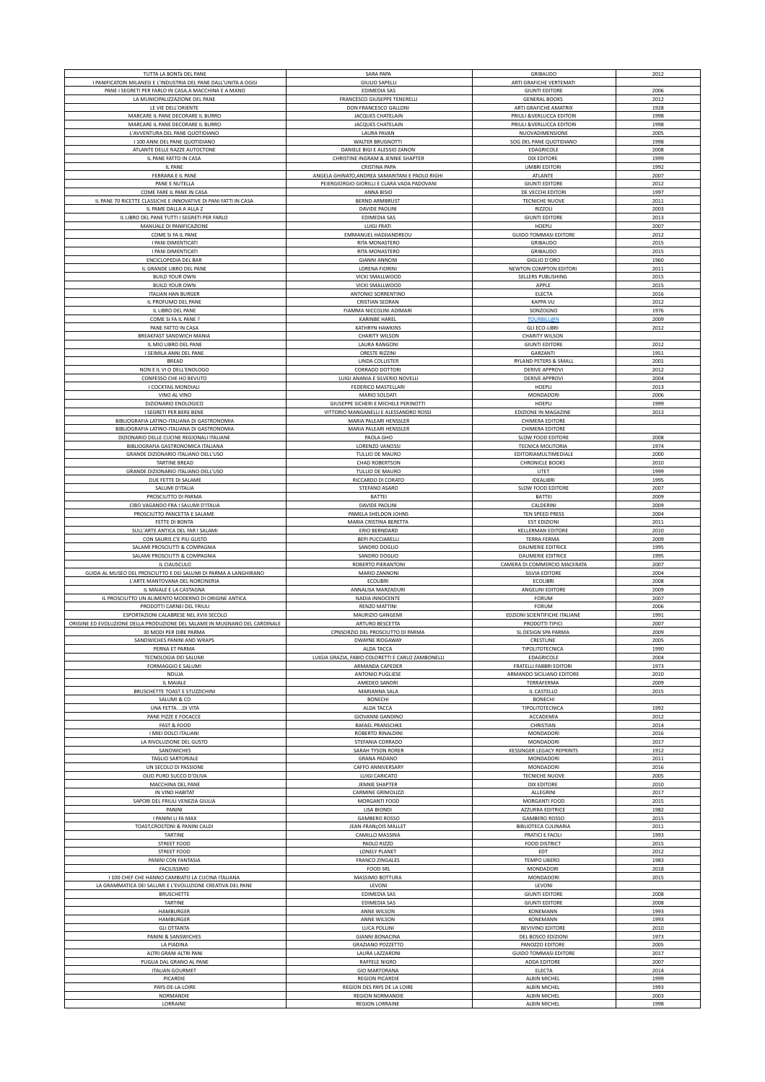| TUTTA LA BONTà DEL PANE                                                        | SARA PAPA                                         | GRIBAUDO                                            | 2012         |
|--------------------------------------------------------------------------------|---------------------------------------------------|-----------------------------------------------------|--------------|
| I PANIFICATORI MILANESI E L'INDUSTRIA DEL PANE DALL'UNITA A OGGI               | <b>GIULIO SAPELLI</b>                             | ARTI GRAFICHE VERTEMATI                             |              |
| PANE I SEGRETI PER FARLO IN CASA, A MACCHINA E A MANO                          | EDIMEDIA SAS                                      | <b>GIUNTI EDITORE</b>                               | 2006         |
| LA MUNICIPALIZZAZIONE DEL PANE                                                 | FRANCESCO GIUSEPPE TENERELLI                      | <b>GENERAL BOOKS</b>                                | 2012         |
| LE VIE DELL'ORIENTE                                                            | DON FRANCESCO GALLONI                             | ARTI GRAFICHE AMATRIX                               | 1928         |
| MARCARE IL PANE DECORARE IL BURRO                                              | JACQUES CHATELAIN                                 | PRIULI & VERLUCCA EDITORI                           | 1998         |
| MARCARE IL PANE DECORARE IL BURRO                                              | JACQUES CHATELAIN                                 | PRIULI &VERLUCCA EDITORI                            | 1998         |
| L'AVVENTURA DEL PANE QUOTIDIANO                                                | <b>LAURA PAVAN</b>                                | NUOVADIMENSIONE                                     | 2005         |
| I 100 ANNI DEL PANE QUOTIDIANO                                                 | <b>WALTER BRUGNOTTI</b>                           | SOG DEL PANE QUOTIDIANO                             | 1998         |
| ATLANTE DELLE RAZZE AUTOCTONE                                                  | DANIELE BIGI E ALESSIO ZANON                      | EDAGRICOLE                                          | 2008         |
| IL PANE FATTO IN CASA                                                          | CHRISTINE INGRAM & JENNIE SHAPTER                 | <b>DIX EDITORE</b>                                  | 1999         |
| IL PANE                                                                        | CRISTINA PAPA                                     | <b>UMBRI EDITORI</b>                                | 1992         |
| FERRARA E IL PANE                                                              | ANGELA GHINATO, ANDREA SAMARITANI E PAOLO RIGHI   | ATLANTE                                             | 2007         |
| PANE E NUTELLA<br>COME FARE IL PANE IN CASA                                    | PEIERGIORGIO GIORILLI E CLARA VADA PADOVANI       | <b>GIUNTI EDITORE</b><br>DE VECCHI EDITORI          | 2012<br>1997 |
| IL PANE 70 RICETTE CLASSICHE E INNOVATIVE DI PANI FATTI IN CASA                | ANNA BISIO<br><b>BERND ARMBRUST</b>               | <b>TECNICHE NUOVE</b>                               | 2011         |
| IL PAME DALLA A ALLA Z                                                         | DAVIDE PAOLINI                                    | RIZZOLI                                             | 2003         |
| IL LIBRO DEL PANE TUTTI I SEGRETI PER FARLO                                    | EDIMEDIA SAS                                      | <b>GIUNTI EDITORE</b>                               | 2013         |
| MANUALE DI PANIFICAZIONE                                                       | LUIGI FRATI                                       | HOEPLI                                              | 2007         |
| COME SI FA IL PANE                                                             | EMMANUEL HADJIANDREOU                             | <b>GUIDO TOMMASI EDITORE</b>                        | 2012         |
| I PANI DIMENTICATI                                                             | RITA MONASTERO                                    | GRIBAUDO                                            | 2015         |
| I PANI DIMENTICATI                                                             | RITA MONASTERO                                    | GRIBAUDO                                            | 2015         |
| ENCICLOPEDIA DEL BAR                                                           | <b>GIANNI ANNONI</b>                              | <b>GIGLIO D'ORO</b>                                 | 1960         |
| IL GRANDE LIBRO DEL PANE                                                       | <b>LORENA FIORINI</b>                             | NEWTON COMPTON EDITORI                              | 2011         |
| <b>BUILD YOUR OWN</b>                                                          | VICKI SMALLWOOD                                   | SELLERS PUBLISHING                                  | 2015         |
| <b>BUILD YOUR OWN</b>                                                          | VICKI SMALLWOOD                                   | APPLE                                               | 2015         |
| <b>ITALIAN HAN BURGER</b>                                                      | ANTONIO SORRENTINO                                | ELECTA                                              | 2016         |
| IL PROFUMO DEL PANE                                                            | CRISTIAN SEDRAN                                   | KAPPA VU                                            | 2012         |
| IL LIBRO DEL PANE                                                              | FIAMMA NICCOLINI ADIMARI                          | SONZOGNO                                            | 1976         |
| COME SI FA IL PANE ?                                                           | KARINBE HAREL                                     | <b>TOURBILL@N</b>                                   | 2009         |
| PANE FATTO IN CASA                                                             | KATHRYN HAWKINS                                   | <b>GLI ECO-LIBRI</b>                                | 2012         |
| BREAKFAST SANDWICH MANIA                                                       | <b>CHARITY WILSON</b>                             | <b>CHARITY WILSON</b>                               | 2012         |
| IL MIO LIBRO DEL PANE<br>I SEIMILA ANNI DEL PANE                               | LAURA RANGONI<br>ORESTE RIZZINI                   | <b>GIUNTI EDITORE</b>                               | 1951         |
| <b>BREAD</b>                                                                   | LINDA COLLISTER                                   | GARZANTI<br>RYLAND PETERS & SMALL                   | 2001         |
| NON E IL VI O DELL'ENOLOGO                                                     | CORRADO DOTTORI                                   | <b>DERIVE APPROVI</b>                               | 2012         |
| CONFESSO CHE HO BEVUTO                                                         | LUIGI ANANIA E SILVERIO NOVELLI                   | <b>DERIVE APPROVI</b>                               | 2004         |
| I COCKTAIL MONDIALI                                                            | FEDERICO MASTELLARI                               | HOEPLI                                              | 2013         |
| VINO AL VINO                                                                   | MARIO SOLDATI                                     | MONDADORI                                           | 2006         |
| DIZIONARIO ENOLOGICO                                                           | GIUSEPPE SICHERI E MICHELE PERINOTTI              | HOEPLI                                              | 1999         |
| I SEGRETI PER BERE BENE                                                        | VITTORIO MANGANELLI E ALESSANDRO ROSSI            | EDIZIONE IN MAGAZINE                                | 2013         |
| BIBLIOGRAFIA LATINO-ITALIANA DI GASTRONOMIA                                    | MARIA PALEARI HENSSLER                            | CHIMERA EDITORE                                     |              |
| BIBLIOGRAFIA LATINO-ITALIANA DI GASTRONOMIA                                    | MARIA PALEARI HENSSLER                            | CHIMERA EDITORE                                     |              |
| DIZIONARIO DELLE CUCINE REGIONALI ITALIANE                                     | PAOLA GHO                                         | <b>SLOW FOOD EDITORE</b>                            | 2008         |
| BIBLIOGRAFIA GASTRONOMICA ITALIANA                                             | LORENZO VANOSSI                                   | TECNICA MOLITORIA                                   | 1974         |
| GRANDE DIZIONARIO ITALIANO DELL'USO                                            | TULLIO DE MAURO                                   | EDITORIAMULTIMEDIALE                                | 2000         |
| TARTINE BREAD                                                                  | <b>CHAD ROBERTSON</b>                             | <b>CHRONICLE BOOKS</b>                              | 2010         |
| GRANDE DIZIONARIO ITALIANO DELL'USO                                            | TULLIO DE MAURO                                   | UTET                                                | 1999         |
| DUE FETTE DI SALAME                                                            | RICCARDO DI CORATO                                | <b>IDEALIBRI</b>                                    | 1995         |
| SALUMI D'ITALIA                                                                | STEFANO ASARO                                     | SLOW FOOD EDITORE                                   | 2007         |
| PROSCIUTTO DI PARMA                                                            | BATTEI                                            | BATTEI                                              | 2009         |
| CIBO VAGANDO FRA I SALUMI D'ITALIA                                             | DAVIDE PAOLINI                                    | CALDERINI                                           | 2009         |
| PROSCIUTTO PANCETTA E SALAME                                                   | PAMELA SHELDON JOHNS                              | TEN SPEED PRESS                                     | 2004         |
| FETTE DI BONTA                                                                 | MARIA CRISTINA BERETTA                            | <b>EST EDIZIONI</b><br><b>KELLERMAN EDITORE</b>     | 2011<br>2010 |
| SULL'ARTE ANTICA DEL FAR I SALAMI                                              | ERIO BERNDARD                                     |                                                     |              |
|                                                                                |                                                   |                                                     |              |
| CON SAURIS C'E PIU GUSTO                                                       | <b>BEPI PUCCIARELLI</b>                           | <b>TERRA FERMA</b>                                  | 2009         |
| SALAMI PROSCIUTTI & COMPAGNIA                                                  | SANDRO DOGLIO                                     | DAUMERIE EDITRICE                                   | 1995         |
| SALAMI PROSCIUTTI & COMPAGNIA                                                  | SANDRO DOGLIO                                     | DAUMERIE EDITRICE                                   | 1995         |
| IL CIAUSCULO                                                                   | ROBERTO PIERANTONI                                | CAMERA DI COMMERCIO MACERATA                        | 2007         |
| GUIDA AL MUSEO DEL PROSCIUTTO E DEI SALUMI DI PARMA A LANGHIRANO               | MARIO ZANNONI                                     | SILVIA EDITORE                                      | 2004         |
| L'ARTE MANTOVANA DEL NORCINERIA                                                | <b>ECOLIBRI</b>                                   | <b>ECOLIBRI</b>                                     | 2008         |
| IL MAIALE E LA CASTAGNA<br>IL PROSCIUTTO UN ALIMENTO MODERNO DI ORIGINE ANTICA | ANNALISA MARZADURI<br>NADIA INNOCENTE             | <b>ANGELINI EDITORE</b><br>FORUM                    | 2009<br>2007 |
| PRODOTTI CARNEI DEL FRIULI                                                     | RENZO MATTINI                                     | <b>FORUM</b>                                        | 2006         |
| ESPORTAZIONI CALABRESE NEL XVIII SECOLO                                        | MAURIZIO GANGEMI                                  | EDZIONI SCIENTIFICHE ITALIANE                       | 1991         |
| ORIGINE ED EVOLUZIONE DELLA PRODUZIONE DEL SALAME IN MUGNANO DEL CARDINALE     | ARTURO BESCETTA                                   | PRODOTTI TIPICI                                     | 2007         |
| 30 MODI PER DIRE PARMA                                                         | CPNSORZIO DEL PROSCIUTTO DI PARMA                 | SL DESIGN SPA PARMA                                 | 2009         |
| SANDWICHES PANINI AND WRAPS                                                    | <b>DWAYNE RIDGAWAY</b>                            | CRESTLINE                                           | 2005         |
| PERNA ET PARMA                                                                 | ALDA TACCA                                        | TIPOLITOTECNICA                                     | 1990         |
| TECNOLOGIA DEI SALUMI                                                          | LUIGIA GRAZIA, FABIO COLORETTI E CARLO ZAMBONELLI | EDAGRICOLE                                          | 2004         |
| FORMAGGIO E SALUMI                                                             | ARMANDA CAPEDER                                   | FRATELLI FABBRI EDITORI                             | 1973         |
| NDUJA                                                                          | <b>ANTONIO PUGLIESE</b>                           | ARMANDO SICILIANO EDITORE                           | 2010         |
| IL MAIALE                                                                      | AMEDEO SANDRI                                     | TERRAFERMA                                          | 2009         |
| BRUSCHETTE TOAST E STUZZICHINI                                                 | MARIANNA SALA                                     | IL CASTELLO                                         | 2015         |
| SALUMI & CO<br>UNA FETTADI VITA                                                | <b>BONECHI</b><br>ALDA TACCA                      | <b>BONECHI</b><br>TIPOLITOTECNICA                   | 1992         |
| PANE PIZZE E FOCACCE                                                           | <b>GIOVANNI GANDINO</b>                           | ACCADEMIA                                           | 2012         |
| FAST & FOOD                                                                    | RAFAEL PRANSCHKE                                  | CHRISTIAN                                           | 2014         |
| I MIEI DOLCI ITALIANI                                                          | ROBERTO RINALDINI                                 | MONDADORI                                           | 2016         |
| LA RIVOLUZIONE DEL GUSTO                                                       | STEFANIA CORRADO                                  | MONDADORI                                           | 2017         |
| SANDWICHES                                                                     | SARAH TYSON RORER                                 | <b>KESSINGER LEGACY REPRINTS</b>                    | 1912         |
| <b>TAGLIO SARTORIALE</b>                                                       | <b>GRANA PADANO</b>                               | <b>MONDADORI</b>                                    | 2011         |
| UN SECOLO DI PASSIONE                                                          | CAFFO ANNIVERSARY                                 | MONDADORI                                           | 2016         |
| OLIO PURO SUCCO D'OLIVA                                                        | LUIGI CARICATO                                    | <b>TECNICHE NUOVE</b>                               | 2005         |
| MACCHINA DEL PANE                                                              | <b>JENNIE SHAPTER</b>                             | <b>DIX EDITORE</b>                                  | 2010         |
| IN VINO HABITAT                                                                | <b>CARMINE GRIMOLIZZI</b>                         | ALLEGRINI                                           | 2017         |
| SAPORI DEL FRIULI VENEZIA GIULIA                                               | MORGANTI FOOD                                     | MORGANTI FOOD                                       | 2015         |
| PANINI                                                                         | <b>LISA BIONDI</b>                                | AZZURRA EDITRICE                                    | 1982         |
| I PANINI LI FA MAX<br>TOAST, CROSTONI & PANINI CALDI                           | <b>GAMBERO ROSSO</b><br>JEAN-FRANÇOIS MALLET      | <b>GAMBERO ROSSO</b><br><b>BIBLIOTECA CULINARIA</b> | 2015<br>2011 |
| TARTINE                                                                        | CAMILLO MASSINA                                   | PRATICI E FACILI                                    | 1993         |
| STREET FOOD                                                                    | PAOLO RIZZO                                       | <b>FOOD DISTRICT</b>                                | 2015         |
| STREET FOOD                                                                    | LONELY PLANET                                     | EDT                                                 | 2012         |
| PANINI CON FANTASIA                                                            | <b>FRANCO ZINGALES</b>                            | <b>TEMPO LIBERO</b>                                 | 1983         |
| FACILISSIMO                                                                    | <b>FOOD SRL</b>                                   | MONDADORI                                           | 2018         |
| I 100 CHEF CHE HANNO CAMBIATO LA CUCINA ITALIANA                               | MASSIMO BOTTURA                                   | MONDADORI                                           | 2015         |
| LA GRAMMATICA DEI SALUMI E L'EVOLUZIONE CREATIVA DEL PANE                      | LEVONI                                            | LEVONI                                              |              |
| <b>BRUSCHETTE</b>                                                              | <b>EDIMEDIA SAS</b>                               | <b>GIUNTI EDITORE</b>                               | 2008         |
| TARTINE                                                                        | EDIMEDIA SAS                                      | <b>GIUNTI EDITORE</b>                               | 2008         |
| HAMBURGER                                                                      | ANNE WILSON                                       | KONEMANN                                            | 1993         |
| HAMBURGER                                                                      | ANNE WILSON                                       | KONEMANN                                            | 1993         |
| <b>GLI OTTANTA</b>                                                             | LUCA POLLINI                                      | <b>BEVIVINO EDITORE</b>                             | 2010         |
| PANINI & SANSWICHES                                                            | <b>GIANNI BONACINA</b>                            | DEL BOSCO EDIZIONI                                  | 1973         |
| LA PIADINA                                                                     | GRAZIANO POZZETTO                                 | PANOZZO EDITORE                                     | 2005         |
| ALTRI GRANI ALTRI PANI                                                         | LAURA LAZZARONI                                   | <b>GUIDO TOMMASI EDITORE</b>                        | 2017         |
| PUGLIA DAL GRANO AL PANE                                                       | RAFFELE NIGRO                                     | ADDA EDITORE                                        | 2007         |
| <b>ITALIAN GOURMET</b><br>PICARDIE                                             | <b>GIO MARTORANA</b><br><b>REGION PICARDIE</b>    | ELECTA<br>ALBIN MICHEL                              | 2014<br>1999 |
| PAYS-DE-LA-LOIRE                                                               | REGION DES PAYS DE LA LOIRE                       | ALBIN MICHEL                                        | 1993         |
| NORMANDIE<br>LORRAINE                                                          | <b>REGION NORMANDIE</b><br><b>REGION LORRAINE</b> | ALBIN MICHEL<br>ALBIN MICHEL                        | 2003         |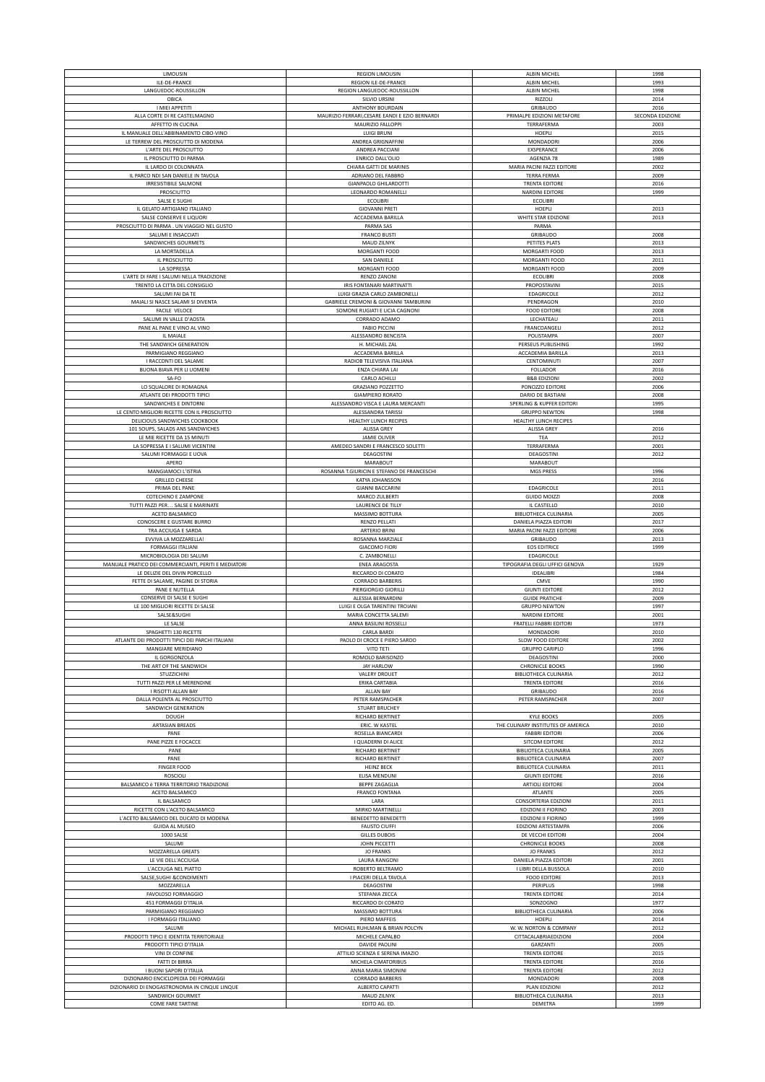| LIMOUSIN                                             | <b>REGION LIMOUSIN</b>                         | ALBIN MICHEL                       | 1998             |
|------------------------------------------------------|------------------------------------------------|------------------------------------|------------------|
| ILE-DE-FRANCE                                        | REGION ILE-DE-FRANCE                           | ALBIN MICHEL                       | 1993             |
| LANGUEDOC-ROUSSILLON                                 | REGION LANGUEDOC-ROUSSILLON                    | ALBIN MICHEL                       | 1998             |
|                                                      |                                                |                                    |                  |
| OBICA                                                | SILVIO URSINI                                  | RIZZOLI                            | 2014             |
| I MIEI APPETITI                                      | ANTHONY BOURDAIN                               | GRIBAUDO                           | 2016             |
| ALLA CORTE DI RE CASTELMAGNO                         | MAURIZIO FERRARI, CESARE EANDI E EZIO BERNARDI | PRIMALPE EDIZIONI METAFORE         | SECONDA EDIZIONE |
| AFFETTO IN CUCINA                                    | MAURIZIO FALLOPPI                              | TERRAFERMA                         | 2003             |
| IL MANUALE DELL'ABBINAMENTO CIBO-VINO                | <b>LUIGI BRUNI</b>                             | HOEPLI                             | 2015             |
| LE TERREW DEL PROSCIUTTO DI MODENA                   | ANDREA GRIGNAFFINI                             | MONDADORI                          | 2006             |
| L'ARTE DEL PROSCIUTTO                                | ANDREA PACCIANI                                | EXSPERANCE                         | 2006             |
| IL PROSCIUTTO DI PARMA                               | <b>ENRICO DALL'OLIO</b>                        | AGENZIA 78                         | 1989             |
| IL LARDO DI COLONNATA                                | CHIARA GATTI DE MARINIS                        | MARIA PACINI FAZZI EDITORE         | 2002             |
|                                                      |                                                |                                    |                  |
| IL PARCO NDI SAN DANIELE IN TAVOLA                   | ADRIANO DEL FABBRO                             | <b>TERRA FERMA</b>                 | 2009             |
| <b>IRRESISTIBILE SALMONE</b>                         | <b>GIANPAOLO GHILARDOTTI</b>                   | <b>TRENTA EDITORE</b>              | 2016             |
| PROSCIUTTO                                           | LEONARDO ROMANELLI                             | <b>NARDINI EDITORE</b>             | 1999             |
| SALSE E SUGHI                                        | <b>ECOLIBRI</b>                                | <b>ECOLIBRI</b>                    |                  |
| IL GELATO ARTIGIANO ITALIANO                         | <b>GIOVANNI PRETI</b>                          | <b>HOEPLI</b>                      | 2013             |
| SALSE CONSERVE E LIQUORI                             | ACCADEMIA BARILLA                              | WHITE STAR EDIZIONE                | 2013             |
| PROSCIUTTO DI PARMA . UN VIAGGIO NEL GUSTO           | PARMA SAS                                      | PARMA                              |                  |
| SALUMI E INSACCIATI                                  | <b>FRANCO BUSTI</b>                            | GRIBAUDO                           | 2008             |
| SANDWICHES GOURMETS                                  | MAUD ZILNYK                                    | PETITES PLATS                      | 2013             |
|                                                      |                                                |                                    |                  |
| LA MORTADELLA                                        | MORGANTI FOOD                                  | MORGARTI FOOD                      | 2013             |
| IL PROSCIUTTO                                        | SAN DANIELE                                    | MORGANTI FOOD                      | 2011             |
| LA SOPRESSA                                          | MORGANTI FOOD                                  | MORGANTI FOOD                      | 2009             |
| L'ARTE DI FARE I SALUMI NELLA TRADIZIONE             | RENZO ZANONI                                   | ECOLIBRI                           | 2008             |
| TRENTO LA CITTA DEL CONSIGLIO                        | IRIS FONTANARI MARTINATTI                      | PROPOSTAVINI                       | 2015             |
| SALUMI FAI DA TE                                     | LUIGI GRAZIA CARLO ZAMBONELLI                  | EDAGRICOLE                         | 2012             |
| MAIALI SI NASCE SALAMI SI DIVENTA                    | GABRIELE CREMONI & GIOVANNI TAMBURINI          | PENDRAGON                          | 2010             |
| FACILE VELOCE                                        | SOMONE RUGIATI E LICIA CAGNONI                 | <b>FOOD EDITORE</b>                | 2008             |
| SALUMI IN VALLE D'AOSTA                              | CORRADO ADAMO                                  | LECHATEAU                          | 2011             |
| PANE AL PANE E VINO AL VINO                          | <b>FABIO PICCINI</b>                           | FRANCOANGELI                       | 2012             |
|                                                      |                                                |                                    |                  |
| IL MAIALE                                            | ALESSANDRO BENCISTA                            | POLISTAMPA                         | 2007             |
| THE SANDWICH GENERATION                              | H. MICHAEL ZAL                                 | PERSEUS PUBLISHING                 | 1992             |
| PARMIGIANO REGGIANO                                  | ACCADEMIA BARILLA                              | ACCADEMIA BARILLA                  | 2013             |
| I RACCONTI DEL SALAME                                | RADIOB TELEVISIVA ITALIANA                     | <b>CENTOMINUTI</b>                 | 2007             |
| BUONA BIAVA PER LI UOMENI                            | ENZA CHIARA LAI                                | FOLLADOR                           | 2016             |
| SA-FO                                                | CARLO ACHILLI                                  | <b>B&amp;B EDIZIONI</b>            | 2002             |
| LO SQUALORE DI ROMAGNA                               | <b>GRAZIANO POZZETTO</b>                       | PONOZZO EDITORE                    | 2006             |
| ATLANTE DEI PRODOTTI TIPICI                          | <b>GIAMPIERO RORATO</b>                        | DARIO DE BASTIANI                  | 2008             |
|                                                      |                                                |                                    |                  |
| SANDWICHES E DINTORNI                                | ALESSANDRO VISCA E LAURA MERCANTI              | SPERLING & KUPFER EDITORI          | 1995             |
| LE CENTO MIGLIORI RICETTE CON IL PROSCIUTTO          | ALESSANDRA TARISSI                             | <b>GRUPPO NEWTON</b>               | 1998             |
| DELICIOUS SANDWICHES COOKBOOK                        | HEALTHY LUNCH RECIPES                          | HEALTHY LUNCH RECIPES              |                  |
| 101 SOUPS, SALADS ANS SANDWICHES                     | ALISSA GREY                                    | <b>ALISSA GREY</b>                 | 2016             |
| LE MIE RICETTE DA 15 MINUTI                          | <b>JAMIE OLIVER</b>                            | <b>TEA</b>                         | 2012             |
| LA SOPRESSA E I SALUMI VICENTINI                     | AMEDEO SANDRI E FRANCESCO SOLETTI              | TERRAFERMA                         | 2001             |
| SALUMI FORMAGGI E UOVA                               | DEAGOSTINI                                     | DEAGOSTINI                         | 2012             |
| APERO                                                | <b>MARABOUT</b>                                | MARABOUT                           |                  |
|                                                      |                                                |                                    |                  |
| MANGIAMOCI L'ISTRIA                                  | ROSANNA T.GIURICIN E STEFANO DE FRANCESCHI     | <b>MGS PRESS</b>                   | 1996             |
| <b>GRILLED CHEESE</b>                                | KATYA JOHANSSON                                |                                    | 2016             |
| PRIMA DEL PANE                                       | <b>GIANNI BACCARINI</b>                        | EDAGRICOLE                         | 2011             |
| COTECHINO E ZAMPONE                                  | MARCO ZULBERTI                                 | <b>GUIDO MOIZZI</b>                | 2008             |
| TUTTI PAZZI PER SALSE E MARINATE                     | LAURENCE DE TILLY                              | IL CASTELLO                        | 2010             |
| ACETO BALSAMICO                                      | MASSIMO BOTTURA                                | <b>BIBLIOTHECA CULINARIA</b>       | 2005             |
| CONOSCERE E GUSTARE BURRO                            | RENZO PELLATI                                  | DANIELA PIAZZA EDITORI             | 2017             |
| TRA ACCIUGA E SARDA                                  | ARTERIO BRINI                                  | MARIA PACINI FAZZI EDITORE         | 2006             |
|                                                      |                                                |                                    |                  |
|                                                      |                                                |                                    |                  |
| EVVIVA LA MOZZARELLA!                                | ROSANNA MARZIALE                               | GRIBAUDO                           | 2013             |
| FORMAGGI ITALIANI                                    | <b>GIACOMO FIORI</b>                           | <b>EOS EDITRICE</b>                | 1999             |
| MICROBIOLOGIA DEI SALUMI                             | C. ZAMBONELLI                                  | EDAGRICOLE                         |                  |
| MANUALE PRATICO DEI COMMERCIANTI, PERITI E MEDIATORI | <b>ENEA ARAGOSTA</b>                           | TIPOGRAFIA DEGLI UFFICI GENOVA     | 1929             |
| LE DELIZIE DEL DIVIN PORCELLO                        | RICCARDO DI CORATO                             | IDEALIBRI                          | 1984             |
| FETTE DI SALAME, PAGINE DI STORIA                    | <b>CORRADO BARBERIS</b>                        | CMVE                               | 1990             |
| PANE E NUTELLA                                       | PIERGIORGIO GIORILLI                           | <b>GIUNTI EDITORE</b>              | 2012             |
| CONSERVE DI SALSE E SUGHI                            | ALESSIA BERNARDINI                             | <b>GUIDE PRATICHE</b>              | 2009             |
| LE 100 MIGLIORI RICETTE DI SALSE                     | LUIGI E OLGA TARENTINI TROIANI                 | <b>GRUPPO NEWTON</b>               | 1997             |
| SALSE&SUGHI                                          | MARIA CONCETTA SALEMI                          | NARDINI EDITORE                    | 2001             |
| LE SALSE                                             | ANNA BASILINI ROSSELLI                         | FRATELLI FABBRI EDITORI            | 1973             |
|                                                      |                                                |                                    | 2010             |
| SPAGHETTI 130 RICETTE                                | <b>CARLA BARDI</b>                             | MONDADORI                          |                  |
| ATLANTE DEI PRODOTTI TIPICI DEI PARCHI ITALIANI      | PAOLO DI CROCE E PIERO SARDO                   | SLOW FOOD EDITORE                  | 2002             |
| MANGIARE MERIDIANO                                   | VITO TETI                                      | <b>GRUPPO CARIPLO</b>              | 1996             |
| IL GORGONZOLA                                        | ROMOLO BARISONZO                               | DEAGOSTINI                         | 2000             |
| THE ART OF THE SANDWICH                              | <b>JAY HARLOW</b>                              | <b>CHRONICLE BOOKS</b>             | 1990             |
| STUZZICHINI                                          | <b>VALERY DROUET</b>                           | <b>BIBLIOTHECA CULINARIA</b>       | 2012             |
| TUTTI PAZZI PER LE MERENDINE                         | ERIKA CARTABIA                                 | <b>TRENTA EDITORE</b>              | 2016             |
| I RISOTTI ALLAN BAY                                  | ALLAN BAY                                      | GRIBAUDO                           | 2016             |
| DALLA POLENTA AL PROSCIUTTO                          | PETER RAMSPACHER                               | PETER RAMSPACHER                   | 2007             |
| SANDWICH GENERATION                                  | STUART BRUCHEY                                 |                                    |                  |
| DOUGH                                                | RICHARD BERTINET                               | <b>KYLE BOOKS</b>                  | 2005             |
| ARTASIAN BREADS                                      | ERIC. W KASTEL                                 | THE CULINARY INSTITUTES OF AMERICA | 2010             |
| PANE                                                 | ROSELLA BIANCARDI                              | <b>FABBRI EDITORI</b>              | 2006             |
| PANE PIZZE E FOCACCE                                 | I QUADERNI DI ALICE                            | SITCOM EDITORE                     | 2012             |
|                                                      |                                                |                                    |                  |
| PANE                                                 | <b>RICHARD BERTINET</b>                        | <b>BIBLIOTECA CULINARIA</b>        | 2005             |
| PANE                                                 | RICHARD BERTINET                               | <b>BIBLIOTECA CULINARIA</b>        | 2007             |
| <b>FINGER FOOD</b>                                   | <b>HEINZ BECK</b>                              | <b>BIBLIOTECA CULINARIA</b>        | 2011             |
| <b>ROSCIOLI</b>                                      | ELISA MENDUNI                                  | <b>GIUNTI EDITORE</b>              | 2016             |
| BALSAMICO è TERRA TERRITORIO TRADIZIONE              | <b>BEPPE ZAGAGLIA</b>                          | <b>ARTIOLI EDITORE</b>             | 2004             |
| ACETO BALSAMICO                                      | FRANCO FONTANA                                 | ATLANTE                            | 2005             |
| IL BALSAMICO                                         | LARA                                           | CONSORTERIA EDIZIONI               | 2011             |
| RICETTE CON L'ACETO BALSAMICO                        | MIRKO MARTINELLI                               | EDIZIONI II FIORINO                | 2003             |
| L'ACETO BALSAMICO DEL DUCATO DI MODENA               | BENEDETTO BENEDETTI                            | EDIZIONI II FIORINO                | 1999             |
| <b>GUIDA AL MUSEO</b>                                | <b>FAUSTO CIUFFI</b>                           | EDIZIONI ARTESTAMPA                | 2006             |
|                                                      |                                                |                                    |                  |
| 1000 SALSE                                           | <b>GILLES DUBOIS</b>                           | DE VECCHI EDITORI                  | 2004             |
| SALUMI                                               | JOHN PICCETTI                                  | <b>CHRONICLE BOOKS</b>             | 2008             |
| MOZZARELLA GREATS                                    | <b>JO FRANKS</b>                               | <b>JO FRANKS</b>                   | 2012             |
| LE VIE DELL'ACCIUGA                                  | LAURA RANGONI                                  | DANIELA PIAZZA EDITORI             | 2001             |
| L'ACCIUGA NEL PIATTO                                 | ROBERTO BELTRAMO                               | I LIBRI DELLA BUSSOLA              | 2010             |
| SALSE, SUGHI & CONDIMENTI                            | I PIACERI DELLA TAVOLA                         | <b>FOOD EDITORE</b>                | 2013             |
| MOZZARELLA                                           | DEAGOSTINI                                     | PERIPLUS                           | 1998             |
| FAVOLOSO FORMAGGIO                                   | STEFANIA ZECCA                                 | <b>TRENTA EDITORE</b>              | 2014             |
|                                                      | RICCARDO DI CORATO                             | SONZOGNO                           | 1977             |
| 451 FORMAGGI D'ITALIA<br>PARMIGIANO REGGIANO         | MASSIMO BOTTURA                                | <b>BIBLIOTHECA CULINARIA</b>       | 2006             |
|                                                      | PIERO MAFFEIS                                  | HOEPLI                             | 2014             |
| I FORMAGGI ITALIANO                                  |                                                |                                    |                  |
| SALUMI                                               | MICHAEL RUHLMAN & BRIAN POLCYN                 | W. W. NORTON & COMPANY             | 2012             |
| PRODOTTI TIPICI E IDENTITA TERRITORIALE              | MICHELE CAPALBO                                | CITTACALABRIAEDIZIONI              | 2004             |
| PRODOTTI TIPICI D'ITALIA                             | DAVIDE PAOLINI                                 | GARZANTI                           | 2005             |
| VINI DI CONFINE                                      | ATTILIO SCIENZA E SERENA IMAZIO                | <b>TRENTA EDITORE</b>              | 2015             |
| FATTI DI BIRRA                                       | MICHELA CIMATORIBUS                            | <b>TRENTA EDITORE</b>              | 2016             |
| I BUONI SAPORI D'ITALIA                              | ANNA MARIA SIMONINI                            | <b>TRENTA EDITORE</b>              | 2012             |
| DIZIONARIO ENCICLOPEDIA DEI FORMAGGI                 | <b>CORRADO BARBERIS</b>                        | MONDADORI                          | 2008             |
|                                                      |                                                |                                    |                  |
| DIZIONARIO DI ENOGASTRONOMIA IN CINQUE LINQUE        | ALBERTO CAPATTI                                | PLAN EDIZIONI                      | 2012             |
| SANDWICH GOURMET<br><b>COME FARE TARTINE</b>         | MAUD ZILNYK<br>EDITO AG. ED.                   | BIBLIOTHECA CULINARIA<br>DEMETRA   | 2013<br>1999     |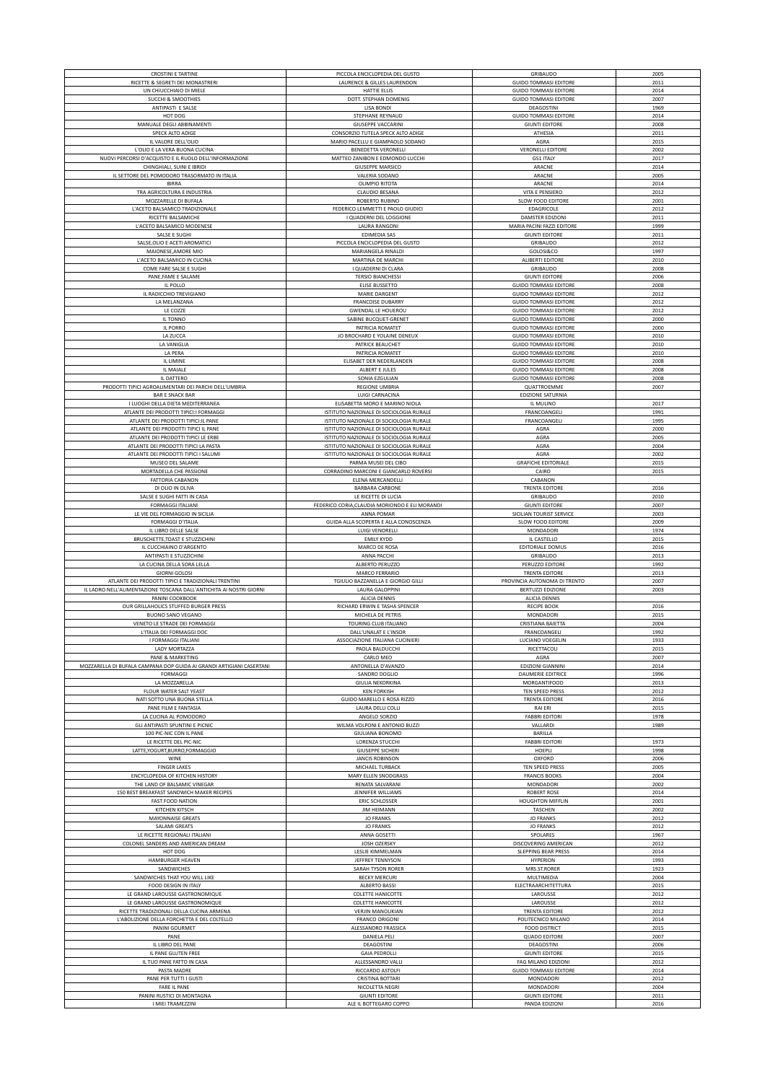| <b>CROSTINI E TARTINE</b>                                            | PICCOLA ENCICLOPEDIA DEL GUSTO                  | GRIBAUDO                                | 2005         |
|----------------------------------------------------------------------|-------------------------------------------------|-----------------------------------------|--------------|
|                                                                      |                                                 |                                         |              |
| RICETTE & SEGRETI DEI MONASTRERI                                     | LAURENCE & GILLES LAURENDON                     | <b>GUIDO TOMMASI EDITORE</b>            | 2011         |
| UN CHIUCCHIAIO DI MIELE                                              | HATTIE ELLIS                                    | <b>GUIDO TOMMASI EDITORE</b>            | 2014         |
| SUCCHI & SMOOTHIES                                                   | DOTT. STEPHAN DOMENIG                           | <b>GUIDO TOMMASI EDITORE</b>            | 2007         |
| ANTIPASTI E SALSE                                                    | <b>LISA BONDI</b>                               | DEAGOSTINI                              | 1969         |
|                                                                      |                                                 |                                         |              |
| HOT DOG                                                              | STEPHANE REYNAUD                                | <b>GUIDO TOMMASI EDITORE</b>            | 2014         |
| MANUALE DEGLI ABBINAMENTI                                            | <b>GIUSEPPE VACCARINI</b>                       | <b>GIUNTI EDITORE</b>                   | 2008         |
| SPECK ALTO ADIGE                                                     | CONSORZIO TUTELA SPECK ALTO ADIGE               | ATHESIA                                 | 2011         |
| IL VALORE DELL'OLIO                                                  | MARIO PACELLU E GIAMPAOLO SODANO                |                                         | 2015         |
|                                                                      |                                                 | AGRA                                    |              |
| L'OLIO E LA VERA BUONA CUCINA                                        | BENEDETTA VERONELLI                             | <b>VERONELLI EDITORE</b>                | 2002         |
| NUOVI PERCORSI D'ACQUISTO E IL RUOLO DELL'INFORMAZIONE               | MATTEO ZANIBON E EDMONDO LUCCHI                 | <b>GS1 ITALY</b>                        | 2017         |
| CHINGHIALI, SUINI E IBRIDI                                           | <b>GIUSEPPE MARSICO</b>                         | ARACNE                                  | 2014         |
|                                                                      |                                                 |                                         |              |
| IL SETTORE DEL POMODORO TRASORMATO IN ITALIA                         | VALERIA SODANO                                  | ARACNE                                  | 2005         |
| <b>BIRRA</b>                                                         | OLIMPIO RITOTA                                  | ARACNE                                  | 2014         |
| TRA AGRICOLTURA E INDUSTRIA                                          | CLAUDIO BESANA                                  | VITA E PENSIERO                         | 2012         |
| MOZZARELLE DI BUFALA                                                 | ROBERTO RUBINO                                  | SLOW FOOD EDITORE                       | 2001         |
|                                                                      |                                                 |                                         |              |
| L'ACETO BALSAMICO TRADIZIONALE                                       | FEDERICO LEMMETTI E PAOLO GIUDICI               | EDAGRICOLE                              | 2012         |
| RICETTE BALSAMICHE                                                   | I QUADERNI DEL LOGGIONE                         | DAMSTER EDIZIONI                        | 2011         |
| L'ACETO BALSAMICO MODENESE                                           | LAURA RANGONI                                   | MARIA PACINI FAZZI EDITORE              | 1999         |
|                                                                      |                                                 |                                         |              |
| SALSE E SUGHI                                                        | EDIMEDIA SAS                                    | <b>GIUNTI EDITORE</b>                   | 2011         |
| SALSE, OLIO E ACETI AROMATICI                                        | PICCOLA ENCICLOPEDIA DEL GUSTO                  | <b>GRIBAUDO</b>                         | 2012         |
| MAIONESE, AMORE MIO                                                  | MARIANGELA RINALDI                              | GOLOSI&CO                               | 1997         |
|                                                                      |                                                 |                                         |              |
| L'ACETO BALSAMICO IN CUCINA                                          | MARTINA DE MARCHI                               | <b>ALIBERTI EDITORE</b>                 | 2010         |
| COME FARE SALSE E SUGHI                                              | I QUADERNI DI CLARA                             | <b>GRIBAUDO</b>                         | 2008         |
| PANE, FAME E SALAME                                                  | <b>TERSIO BIANCHESSI</b>                        | <b>GIUNTI EDITORE</b>                   | 2006         |
| IL POLLO                                                             | ELISE BUSSETTO                                  | <b>GUIDO TOMMASI EDITORE</b>            | 2008         |
|                                                                      |                                                 |                                         |              |
| IL RADICCHIO TREVIGIANO                                              | MARIE DARGENT                                   | <b>GUIDO TOMMASI EDITORE</b>            | 2012         |
| LA MELANZANA                                                         | FRANCOISE DUBARRY                               | <b>GUIDO TOMMASI EDITORE</b>            | 2012         |
| LE COZZE                                                             | <b>GWENDAL LE HOUEROU</b>                       | <b>GUIDO TOMMASI EDITORE</b>            | 2012         |
| IL TONNO                                                             | SABINE BUCQUET-GRENET                           | <b>GUIDO TOMMASI EDITORE</b>            | 2000         |
|                                                                      |                                                 |                                         |              |
| IL PORRO                                                             | PATRICIA ROMATET                                | <b>GUIDO TOMMASI EDITORE</b>            | 2000         |
| LA ZUCCA                                                             | JO BROCHARD E YOLAINE DENEUX                    | <b>GUIDO TOMMASI EDITORE</b>            | 2010         |
| LA VANIGLIA                                                          | PATRICK BEAUCHET                                | <b>GUIDO TOMMASI EDITORE</b>            | 2010         |
| LA PERA                                                              | PATRICIA ROMATET                                | <b>GUIDO TOMMASI EDITORE</b>            | 2010         |
|                                                                      |                                                 |                                         |              |
| IL LIMINE                                                            | ELISABET DER NEDERLANDEN                        | <b>GUIDO TOMMASI EDITORE</b>            | 2008         |
| IL MAIALE                                                            | ALBERT E JULES                                  | <b>GUIDO TOMMASI EDITORE</b>            | 2008         |
| IL DATTERO                                                           | SONIA EZGULIAN                                  | <b>GUIDO TOMMASI EDITORE</b>            | 2008         |
|                                                                      |                                                 |                                         |              |
| PRODOTTI TIPICI AGROALIMENTARI DEI PARCHI DELL'UMBRIA                | REGIONE UMBRIA                                  | QUATTROEMME                             | 2007         |
| <b>BAR E SNACK BAR</b>                                               | LUIGI CARNACINA                                 | <b>EDIZIONE SATURNIA</b>                |              |
| I LUOGHI DELLA DIETA MEDITERRANEA                                    | ELISABETTA MORO E MARINO NIOLA                  | IL MULINO                               | 2017         |
|                                                                      |                                                 |                                         |              |
| ATLANTE DEI PRODOTTI TIPICI:I FORMAGGI                               | ISTITUTO NAZIONALE DI SOCIOLOGIA RURALE         | FRANCOANGELI                            | 1991         |
| ATLANTE DEI PRODOTTI TIPICI:IL PANE                                  | ISTITUTO NAZIONALE DI SOCIOLOGIA RURALE         | FRANCOANGELI                            | 1995         |
| ATLANTE DEI PRODOTTI TIPICI IL PANE                                  | ISTITUTO NAZIONALE DI SOCIOLOGIA RURALE         | AGRA                                    | 2000         |
|                                                                      | ISTITUTO NAZIONALE DI SOCIOLOGIA RURALE         |                                         | 2005         |
| ATLANTE DEI PRODOTTI TIPICI LE ERBE                                  |                                                 | AGRA                                    |              |
| ATLANTE DEI PRODOTTI TIPICI LA PASTA                                 | ISTITUTO NAZIONALE DI SOCIOLOGIA RURALE         | AGRA                                    | 2004         |
| ATLANTE DEI PRODOTTI TIPICI I SALUMI                                 | ISTITUTO NAZIONALE DI SOCIOLOGIA RURALE         | AGRA                                    | 2002         |
| MUSEO DEL SALAME                                                     | PARMA MUSEI DEL CIBO                            | <b>GRAFICHE EDITORIALE</b>              | 2015         |
|                                                                      |                                                 |                                         |              |
| MORTADELLA CHE PASSIONE                                              | CORRADINO MARCONI E GIANCARLO ROVERSI           | CAIRO                                   | 2015         |
| <b>FATTORIA CABANON</b>                                              | ELENA MERCANDELLI                               | CABANON                                 |              |
| DI OLIO IN OLIVA                                                     | <b>BARBARA CARBONE</b>                          | <b>TRENTA EDITORE</b>                   | 2016         |
|                                                                      |                                                 |                                         |              |
| SALSE E SUGHI FATTI IN CASA                                          | LE RICETTE DI LUCIA                             | GRIBAUDO                                | 2010         |
| <b>FORMAGGI ITALIANI</b>                                             | FEDERICO CORIA, CLAUDIA MORIONDO E ELI MORANDI  | <b>GIUNTI EDITORE</b>                   | 2007         |
| LE VIE DEL FORMAGGIO IN SICILIA                                      | ANNA POMAR                                      | SICILIAN TOURIST SERVICE                | 2003         |
| <b>FORMAGGI D'ITALIA</b>                                             | GUIDA ALLA SCOPERTA E ALLA CONOSCENZA           | SLOW FOOD EDITORE                       | 2009         |
|                                                                      |                                                 |                                         |              |
|                                                                      |                                                 |                                         |              |
| IL LIBRO DELLE SALSE                                                 | <b>LUIGI VENORELLI</b>                          | MONDADORI                               | 1974         |
| BRUSCHETTE, TOAST E STUZZICHINI                                      | <b>EMILY KYDD</b>                               | IL CASTELLO                             | 2015         |
|                                                                      |                                                 |                                         | 2016         |
| IL CUCCHIAINO D'ARGENTO                                              | MARCO DE ROSA                                   | EDITORIALE DOMUS                        |              |
| ANTIPASTI E STUZZICHINI                                              | ANNA PACCHI                                     | GRIBAUDO                                | 2013         |
| LA CUCINA DELLA SORA LELLA                                           | ALBERTO PERUZZO                                 | PERUZZO EDITORE                         | 1992         |
| <b>GIORNI GOLOSI</b>                                                 | MARCO FERRARIO                                  | <b>TRENTA EDITORE</b>                   | 2013         |
|                                                                      |                                                 |                                         |              |
| ATLANTE DEI PRODOTTI TIPICI E TRADIZIONALI TRENTINI                  | TGIULIO BAZZANELLA E GIORGIO GILLI              | PROVINCIA AUTONOMA DI TRENTO            | 2007         |
| IL LADRO NELL'ALIMENTAZIONE TOSCANA DALL'ANTICHITA AI NOSTRI GIORNI  | <b>LAURA GALOPPINI</b>                          | <b>BERTUZZI EDIZIONE</b>                | 2003         |
| PANINI COOKBOOK                                                      | <b>ALICIA DENNIS</b>                            | <b>ALICIA DENNIS</b>                    |              |
| OUR GRILLAHOLICS STUFFED BURGER PRESS                                | RICHARD ERWIN E TASHA SPENCER                   | <b>RECIPE BOOK</b>                      | 2016         |
|                                                                      |                                                 |                                         |              |
| <b>BUONO SANO VEGANO</b>                                             | MICHELA DE PETRIS                               | MONDADORI                               | 2015         |
| VENETO LE STRADE DEI FORMAGGI                                        | TOURING CLUB ITALIANO                           | CRISTIANA BAIETTA                       | 2004         |
| L'ITALIA DEI FORMAGGI DOC                                            | DALL'UNALAT E L'INSOR                           | FRANCOANGELI                            | 1992         |
|                                                                      |                                                 |                                         |              |
| I FORMAGGI ITALIANI                                                  | ASSOCIAZIONE ITALIANA CUCINIERI                 | LUCIANO VOEGELIN                        | 1933         |
| LADY MORTAZZA                                                        | PAOLA BALDUCCHI                                 | RICETTACOLI                             | 2015         |
| PANE & MARKETING                                                     | CARLO MEO                                       | AGRA                                    | 2007         |
| MOZZARELLA DI BUFALA CAMPANA DOP GUIDA AI GRANDI ARTIGIANI CASERTANI | ANTONELLA D'AVANZO                              | EDIZIONI GIANNINI                       | 2014         |
| FORMAGGI                                                             |                                                 |                                         |              |
|                                                                      | SANDRO DOGLIO                                   | DAUMERIE EDITRICE                       | 1996         |
| LA MOZZARELLA                                                        | <b>GIULIA NEKORKINA</b>                         | MORGANTIFOOD                            | 2013         |
| FLOUR WATER SALT YEAST                                               | <b>KEN FORKISH</b>                              | TEN SPEED PRESS                         | 2012         |
| NATI SOTTO UNA BUONA STELLA                                          | GUIDO MARELLO E ROSA RIZZO                      | <b>TRENTA EDITORE</b>                   | 2016         |
|                                                                      |                                                 |                                         |              |
| PANE FILM E FANTASIA                                                 | LAURA DELLI COLLI                               | RAI ERI                                 | 2015         |
| LA CUCINA AL POMODORO                                                | ANGELO SORZIO                                   | <b>FABBRI EDITORI</b>                   | 1978         |
| GLI ANTIPASTI SPUNTINI E PICNIC                                      | WILMA VOLPONI E ANTONIO BUZZI                   | VALLARDI                                | 1989         |
| 100 PIC-NIC CON IL PANE                                              | GIULIANA BONOMO                                 | BARILLA                                 |              |
| LE RICETTE DEL PIC-NIC                                               | LORENZA STUCCHI                                 | <b>FABBRI EDITORI</b>                   | 1973         |
|                                                                      |                                                 |                                         |              |
| LATTE, YOGURT, BURRO, FORMAGGIO                                      | <b>GIUSEPPE SICHERI</b>                         | HOEPLI                                  | 1998         |
| WINE                                                                 | <b>JANCIS ROBINSON</b>                          | OXFORD                                  | 2006         |
| <b>FINGER LAKES</b>                                                  | MICHAEL TURBACK                                 | TEN SPEED PRESS                         | 2005         |
|                                                                      |                                                 |                                         |              |
| ENCYCLOPEDIA OF KITCHEN HISTORY                                      | MARY ELLEN SNODGRASS                            | <b>FRANCIS BOOKS</b>                    | 2004         |
| THE LAND OF BALSAMIC VINEGAR                                         | RENATA SALVARANI                                | MONDADORI                               | 2002         |
| 150 BEST BREAKFAST SANDWICH MAKER RECIPES                            | JENNIFER WILLIAMS                               | <b>ROBERT ROSE</b>                      | 2014         |
| <b>FAST FOOD NATION</b>                                              | <b>ERIC SCHLOSSER</b>                           | <b>HOUGHTON MIFFLIN</b>                 | 2001         |
|                                                                      |                                                 |                                         |              |
| KITCHEN KITSCH                                                       | <b>JIM HEIMANN</b>                              | TASCHEN                                 | 2002         |
| MAYONNAISE GREATS                                                    | <b>JO FRANKS</b>                                | <b>JO FRANKS</b>                        | 2012         |
| SALAMI GREATS                                                        | <b>JO FRANKS</b>                                | <b>JO FRANKS</b>                        | 2012         |
| LE RICETTE REGIONALI ITALIANI                                        |                                                 | SPOLARES                                | 1967         |
|                                                                      | ANNA GOSETTI                                    |                                         |              |
| COLONEL SANDERS AND AMERICAN DREAM                                   | JOSH OZERSKY                                    | DISCOVERING AMERICAN                    | 2012         |
| HOT DOG                                                              | LESLIE KIMMELMAN                                | <b>SLEPPING BEAR PRESS</b>              | 2014         |
| HAMBURGER HEAVEN                                                     | JEFFREY TENNYSON                                | <b>HYPERION</b>                         | 1993         |
|                                                                      |                                                 |                                         |              |
| SANDWICHES                                                           | SARAH TYSON RORER                               | MRS.ST.RORER                            | 1923         |
| SANDWICHES THAT YOU WILL LIKE                                        | <b>BECKY MERCURI</b>                            | MULTIMEDIA                              | 2004         |
| FOOD DESIGN IN ITALY                                                 | ALBERTO BASSI                                   | ELECTRAARCHITETTURA                     | 2015         |
| LE GRAND LAROUSSE GASTRONOMIQUE                                      | <b>COLETTE HANICOTTE</b>                        | LAROUSSE                                | 2012         |
|                                                                      |                                                 |                                         |              |
| LE GRAND LAROUSSE GASTRONOMIQUE                                      | COLETTE HANICOTTE                               | LAROUSSE                                | 2012         |
| RICETTE TRADIZIONALI DELLA CUCINA ARMENA                             | <b>VERJIN MANOUKIAN</b>                         | <b>TRENTA EDITORE</b>                   | 2012         |
| L'ABOLIZIONE DELLA FORCHETTA E DEL COLTELLO                          | <b>FRANCO ORIGONI</b>                           | POLITECNICO MILANO                      | 2014         |
| PANINI GOURMET                                                       | ALESSANDRO FRASSICA                             | <b>FOOD DISTRICT</b>                    | 2015         |
|                                                                      |                                                 |                                         |              |
| PANE                                                                 | <b>DANIELA PELI</b>                             | <b>QUADO EDITORE</b>                    | 2007         |
| IL LIBRO DEL PANE                                                    | DEAGOSTINI                                      | DEAGOSTINI                              | 2006         |
| IL PANE GLUTEN FREE                                                  | <b>GAIA PEDROLLI</b>                            | <b>GIUNTI EDITORE</b>                   | 2015         |
|                                                                      |                                                 |                                         |              |
| IL TUO PANE FATTO IN CASA                                            | ALLESSANDRO VALLI                               | FAG MILANO EDIZIONI                     | 2012         |
| PASTA MADRE                                                          | RICCARDO ASTOLFI                                | <b>GUIDO TOMMASI EDITORE</b>            | 2014         |
| PANE PER TUTTI I GUSTI                                               | CRISTINA BOTTARI                                | MONDADORI                               | 2012         |
|                                                                      |                                                 |                                         |              |
| FARE IL PANE                                                         | NICOLETTA NEGRI                                 | MONDADORI                               | 2004         |
| PANINI RUSTICI DI MONTAGNA<br>I MIEI TRAMEZZINI                      | <b>GIUNTI EDITORE</b><br>ALE IL BOTTEGARO COPPO | <b>GIUNTI EDITORE</b><br>PANDA EDIZIONI | 2011<br>2016 |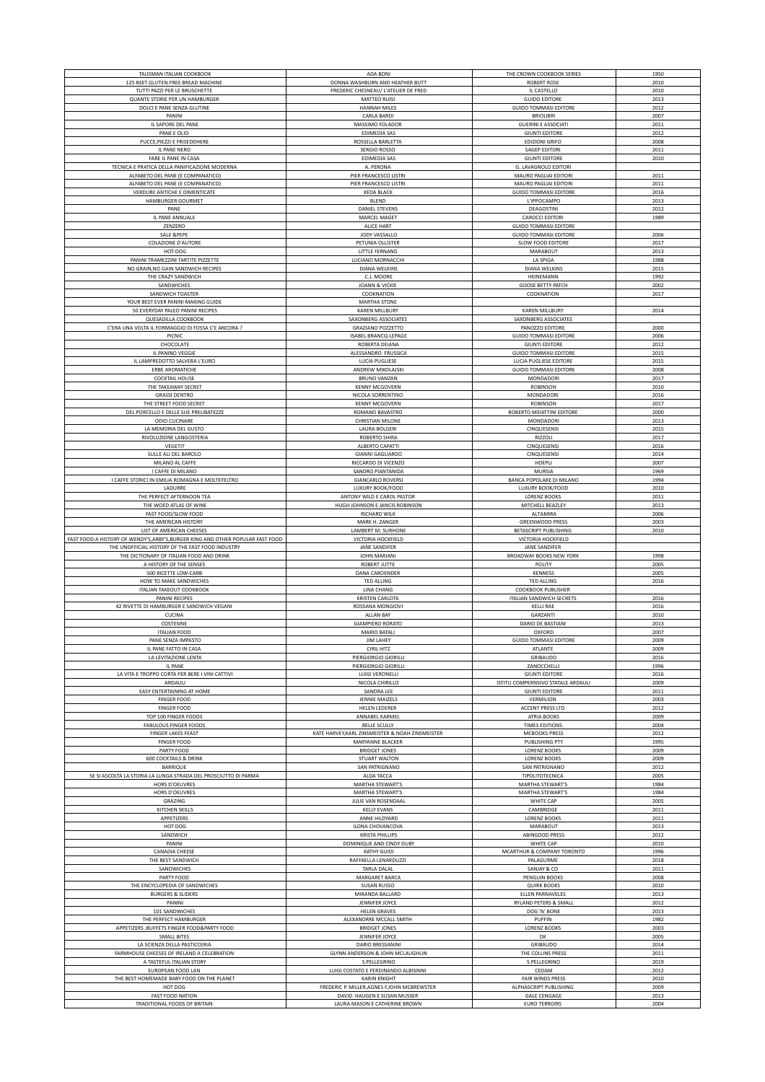| 125 BSET GLUTEN-FREE BREAD MACHINE<br>DONNA WASHBURN AND HEATHER BUTT<br><b>ROBERT ROSE</b><br>2010<br>TUTTI PAZZI PER LE BRUSCHETTE<br>FREDERIC CHESNEAU/ L'ATELIER DE FRED<br>IL CASTELLO<br>2010<br>QUANTE STORIE PER UN HAMBURGER<br><b>MATTEO RUISI</b><br><b>GUIDO EDITORE</b><br>2013<br>DOLCI E PANE SENZA GLUTINE<br><b>GUIDO TOMMASI EDITORE</b><br><b>HANNAH MILES</b><br>2012<br>2007<br>PANINI<br><b>CARLA BARDI</b><br><b>BRIOLIBRI</b><br>IL SAPORE DEL PANE<br>MASSIMO FOLADOR<br><b>GUERINI E ASSOCIATI</b><br>2011<br>PANE E OLIO<br>EDIMEDIA SAS<br><b>GIUNTI EDITORE</b><br>2012<br>PUCCE, PIEZZI E FRISEDDHERE<br>ROSSELLA BARLETTA<br><b>EDIZIONI GRIFO</b><br>2008<br><b>SAGEP EDITORI</b><br>IL PANE NERO<br>SERGIO ROSSO<br>2011<br>FARE IL PANE IN CASA<br>EDIMEDIA SAS<br><b>GIUNTI EDITORE</b><br>2010<br>TECNICA E PRATICA DELLA PANIFICAZIONE MODERNA<br>A. PERONA<br>G. LAVAGNOLO EDITORI<br>ALFABETO DEL PANE (E COMPANATICO)<br>2011<br>PIER FRANCESCO LISTRI<br>MAURO PAGLIAI EDITORI<br>ALFABETO DEL PANE (E COMPANATICO)<br>PIER FRANCESCO LISTRI<br>MAURO PAGLIAI EDITORI<br>2011<br>VERDURE ANTICHE E DIMENTICATE<br><b>GUIDO TOMMASI EDITORE</b><br><b>KEDA BLACK</b><br>2016<br>HAMBURGER GOURMET<br><b>BLEND</b><br>L'IPPOCAMPO<br>2013<br>DANIEL STEVENS<br>2012<br>PANE<br>DEAGOSTINI<br>1989<br>IL PANE ANNUALE<br>MARCEL MAGET<br><b>CAROCCI EDITORI</b><br>ZENZERO<br><b>ALICE HART</b><br><b>GUIDO TOMMASI EDITORE</b><br>JODY VASSALLO<br><b>GUIDO TOMMASI EDITORE</b><br>2006<br><b>SALE &amp;PEPE</b><br>COLAZIONE D'AUTORE<br>PETUNIA OLLISTER<br>SLOW FOOD EDITORE<br>2017<br>2013<br>HOT-DOG<br>LITTLE FERNAND<br><b>MARABOUT</b><br>PANINI TRAMEZZINI TARTITE PIZZETTE<br>1988<br>LUCIANO MORNACCHI<br>LA SPIGA<br>NO GRAIN, NO GAIN SANDWICH RECIPES<br>DIANA WELKINS<br>DIANA WELKINS<br>2015<br>THE CRAZY SANDWICH<br>HEINEMANN<br>1992<br>C.J. MOORE<br>SANDWICHES<br><b>JOANN &amp; VICKIE</b><br><b>GOOSE BETTY PATCH</b><br>2002<br>2017<br>SANDWICH TOASTER<br>COOKNATION<br>COOKNATION<br>YOUR BEST EVER PANINI MAKING GUIDE<br><b>MARTHA STONE</b><br>50 EVERYDAY PALEO PANINI RECIPES<br>KAREN MILLBURY<br><b>KAREN MILLBURY</b><br>2014<br>QUESADILLA COOKBOOK<br>SAXONBERG ASSOCIATES<br>SAXONBERG ASSOCIATES<br>C'ERA UNA VOLTA IL FORMAGGIO DI FOSSA C'E ANCORA ?<br>2000<br>GRAZIANO POZZETTO<br>PANOZZO EDITORE<br>PICNIC<br>ISABEL BRANCQ-LEPAGE<br><b>GUIDO TOMMASI EDITORE</b><br>2006<br>2012<br>CHOCOLATE<br>ROBERTA DEIANA<br><b>GIUNTI EDITORE</b><br>IL PANINO VEGGIE<br>ALESSANDRO FRUSSICA<br><b>GUIDO TOMMASI EDITORE</b><br>2015<br>IL LAMPREDOTTO SALVERA L'EURO<br>LUCIA PUGLIESE<br>LUCIA PUGLIESE EDITORE<br>2015<br><b>ERBE AROMATICHE</b><br><b>GUIDO TOMMASI EDITORE</b><br>ANDREW MIKOLAJSKI<br>2008<br><b>COCKTAIL HOUSE</b><br><b>BRUNO VANZAN</b><br>MONDADORI<br>2017<br>THE TAKEAWAY SECRET<br>2010<br><b>KENNY MCGOVERN</b><br><b>ROBINSON</b><br><b>GRASSI DENTRO</b><br>NICOLA SORRENTINO<br>MONDADORI<br>2016<br>THE STREET FOOD SECRET<br><b>KENNY MCGOVERN</b><br><b>ROBINSON</b><br>2017<br>DEL PORCELLO E DELLE SUE PRELIBATEZZE<br>ROBERTO MEIATTINI EDITORE<br>2000<br>ROMANO BAVASTRO<br>ODIO CUCINARE<br><b>CHRISTIAN MILONE</b><br>MONDADORI<br>2013<br>LA MEMORIA DEL GUSTO<br>CINQUESENSI<br>2015<br>LAURA BOLGERI<br>RIVOLUZIONE LANGOSTERIA<br>ROBERTO SHIRA<br>RIZZOLI<br>2017<br>VEGETIT<br>ALBERTO CAPATTI<br>CINQUESENSI<br>2016<br>SULLE ALI DEL BAROLO<br><b>GIANNI GAGLIARDO</b><br>CINQUESENSI<br>2014<br>MILANO AL CAFFE<br>RICCARDO DI VICENZO<br>HOEPLI<br>2007<br>I CAFFE DI MILANO<br>1969<br>SANDRO PIANTANIDA<br>MURSIA<br>I CAFFE STORICI IN EMILIA ROMAGNA E MOLTEFELTRO<br><b>GIANCARLO ROVERSI</b><br>BANCA POPOLARE DI MILANO<br>1994<br>LUXURY BOOK/FOOD<br>LADURRE<br>LUXURY BOOK/FOOD<br>2010<br>THE PERFECT AFTERNOON TEA<br>ANTONY WILD E CAROL PASTOR<br><b>LORENZ BOOKS</b><br>2011<br>THE WOED ATLAS OF WINE<br>HUGH JOHNSON E JANCIS ROBINSON<br>MITCHELL BEAZLEY<br>2013<br>2006<br>FAST FOOD/SLOW FOOD<br><b>RICHARD WILK</b><br>ALTAMIRA<br>THE AMERICAN HISTORY<br>MARK H. ZANGER<br><b>GREENWOOD PRESS</b><br>2003<br>LIST OF AMERICAN CHEESES<br>BETASCRIPT PUBLISHING<br>LAMBERT M. SURHONE<br>2010<br>FAST FOOD: A HISTORY OF WENDY'S, ARBY'S, BURGER KING AND OTHER POPULAR FAST FOOD<br>VICTORIA HOCKFIELD<br>VICTORIA HOCKFIELD<br>THE UNOFFICIAL HISTORY OF THE FAST FOOD INDUSTRY<br>JANE SANDIFER<br>JANE SANDIFER<br>BROADWAY BOOKS NEW YORK<br>1998<br>THE DICTIONARY OF ITALIAN FOOD AND DRINK<br>JOHN MARIANI<br>2005<br>A HISTORY OF THE SENSES<br><b>ROBERT JUTTE</b><br>POLITY<br>500 RICETTE LOW-CARB<br>DANA CAROENDER<br>KENNESS<br>2005<br>HOW TO MAKE SANDWICHES<br><b>TED ALLING</b><br><b>TED ALLING</b><br>2016<br><b>ITALIAN TAKEOUT COOKBOOK</b><br><b>LINA CHANG</b><br><b>COOKBOOK PUBLISHER</b><br>2016<br>PANINI RECIPES<br><b>KRISTEN CARLOTA</b><br>ITALIAN SANDWICH SECRETS<br>42 RIVETTE DI HAMBURGER E SANDWICH VEGANI<br>ROSSANA MONGIOVI<br><b>KELLI RAE</b><br>2016<br>CUCINA<br>ALLAN BAY<br>GARZANTI<br>2010<br><b>GIAMPIERO RORATO</b><br>DARIO DE BASTIANI<br>COSTESINE<br>2013<br>MARIO BATALI<br>OXFORD<br><b>ITALIAN FOOD</b><br>2007<br>PANE SENZA IMPASTO<br><b>JIM LAHEY</b><br><b>GUIDO TOMMASI EDITORE</b><br>2009<br>IL PANE FATTO IN CASA<br><b>CIRIL HITZ</b><br>ATLANTE<br>2009<br>LA LEVITAZIONE LENTA<br>PIERGIORGIO GIORILLI<br>GRIBAUDO<br>2016<br>IL PANE<br>PIERGIORGIO GIORILLI<br>ZANOCCHELLI<br>1996<br>LA VITA E TROPPO CORTA PER BERE I VINI CATTIVI<br>LUIGI VERONELLI<br><b>GIUNTI EDITORE</b><br>2016<br>NICOLA CHIRILLO<br>ISTITU COMPERNSIVO STATALE ARDAULI<br>2009<br>ARDAULI<br>EASY ENTERTAINING AT HOME<br>SANDRA LEE<br><b>GIUNTI EDITORE</b><br>2011<br><b>FINGER FOOD</b><br>JENNIE MAIZELS<br>VERMILION<br>2003<br><b>FINGER FOOD</b><br><b>HELEN LEDERER</b><br>ACCENT PRESS LTD<br>2012<br>TOP 100 FINGER FOODS<br>ANNABEL KARMEL<br>ATRIA BOOKS<br>2009<br><b>FABULOUS FINGER FOODS</b><br><b>BELLE SCULLY</b><br><b>TIMES EDITIONS</b><br>2004<br><b>FINGER LAKES FEAST</b><br>KATE HARVEY, KARL ZINSMEISTER & NOAH ZINSMEISTER<br><b>MCBOOKS PRESS</b><br>2012<br><b>FINGER FOOD</b><br>MARYANNE BLACKER<br>PUBLISHING PTY<br>1995<br>PARTY FOOD<br><b>BRIDGET JONES</b><br><b>LORENZ BOOKS</b><br>2009<br><b>600 COCKTAILS &amp; DRINK</b><br>STUART WALTON<br><b>LORENZ BOOKS</b><br>2009<br>BARRIQUE<br>SAN PATRIGNANO<br>SAN PATRIGNANO<br>2012<br>SE SI ASCOLTA LA STORIA LA LUNGA STRADA DEL PROSCIUTTO DI PARMA<br>ALDA TACCA<br>TIPOLITOTECNICA<br>2005<br>HORS D'OEUVRES<br>MARTHA STEWART'S<br>MARTHA STEWART'S<br>1984<br>HORS D'OEUVRES<br>MARTHA STEWART'S<br>MARTHA STEWART'S<br>1984<br>GRAZING<br>JULIE VAN ROSENDAAL<br>WHITE CAP<br>2005<br><b>KITCHEN SKILLS</b><br><b>KELLY EVANS</b><br>CAMBRIDGE<br>2011<br>APPETIZERS<br>ANNE HILDYARD<br><b>LORENZ BOOKS</b><br>2011<br>HOT-DOG<br>ILONA CHOVANCOVA<br><b>MARABOUT</b><br>2013<br>SANDWICH<br>KRISTA PHILLIPS<br><b>ABINGDOD PRESS</b><br>2012<br>PANINI<br>DOMINIQUE AND CINDY DUBY<br>WHITE CAP<br>2010<br>CANADIA CHEESE<br><b>KATHY GUIDI</b><br>MCARTHUR & COMPANY TORONTO<br>1996<br>THE BEST SANDWICH<br>RAFFAELLA LENARDUZZI<br>2018<br>PALAGURME<br>SANDWICHES<br>SANJAY & CO<br>2011<br>TARLA DALAL<br>PARTY FOOD<br>MARGARET BARCA<br>PENGUIN BOOKS<br>2008<br>THE ENCYCLOPEDIA OF SANDWICHES<br><b>SUSAN RUSSO</b><br><b>QUIRK BOOKS</b><br>2010<br><b>BURGERS &amp; SLIDERS</b><br>MIRANDA BALLARD<br>ELLEN PARNAVELES<br>2013<br>JENNIFER JOYCE<br>RYLAND PETERS & SMALL<br>PANINI<br>2012<br>101 SANDWICHES<br><b>HELEN GRAVES</b><br>DOG 'N' BONE<br>2013<br>THE PERFECT HAMBURGER<br>ALEXANDRRE MCCALL SMITH<br>PUFFIN<br>1982<br>APPETIZERS , BUFFETS FINGER FOOD&PARTY FOOD<br><b>BRIDGET JONES</b><br><b>LORENZ BOOKS</b><br>2003<br>JENNIFER JOYCE<br><b>SMALL BITES</b><br>2005<br>DK<br>LA SCIENZA DELLA PASTICCERIA<br>DARIO BRESSANINI<br>GRIBAUDO<br>2014<br>FARMHOUSE CHEESES OF IRELAND A CELEBRATION<br>GLYNN ANDERSON & JOHN MCLAUGHLIN<br>THE COLLINS PRESS<br>2011<br>A TASTEFUL ITALIAN STORY<br>S.PELLEGRINO<br>S.PELLEGRINO<br>2019<br>EUROPEAN FOOD LAN<br>LUIGI COSTATO E FERDINANDO ALBISINNI<br>CEDAM<br>2012<br>THE BEST HOMEMADE BABY FOOD ON THE PLANET<br><b>KARIN KNIGHT</b><br>FAIR WINDS PRESS<br>2010<br>FREDERIC P. MILLER, AGNES F, JOHN MCBREWSTER<br>ALPHASCRIPT PUBLISHING<br>HOT DOG<br>2009<br><b>FAST FOOD NATION</b><br>DAVID HAUGEN E SUSAN MUSSER<br><b>GALE CENGAGE</b><br>2013<br>TRADITIONAL FOODS OF BRITAIN<br>LAURA MASON E CATHERINE BROWN<br><b>EURO TERROIRS</b><br>2004 |                           |          |                           |      |
|------------------------------------------------------------------------------------------------------------------------------------------------------------------------------------------------------------------------------------------------------------------------------------------------------------------------------------------------------------------------------------------------------------------------------------------------------------------------------------------------------------------------------------------------------------------------------------------------------------------------------------------------------------------------------------------------------------------------------------------------------------------------------------------------------------------------------------------------------------------------------------------------------------------------------------------------------------------------------------------------------------------------------------------------------------------------------------------------------------------------------------------------------------------------------------------------------------------------------------------------------------------------------------------------------------------------------------------------------------------------------------------------------------------------------------------------------------------------------------------------------------------------------------------------------------------------------------------------------------------------------------------------------------------------------------------------------------------------------------------------------------------------------------------------------------------------------------------------------------------------------------------------------------------------------------------------------------------------------------------------------------------------------------------------------------------------------------------------------------------------------------------------------------------------------------------------------------------------------------------------------------------------------------------------------------------------------------------------------------------------------------------------------------------------------------------------------------------------------------------------------------------------------------------------------------------------------------------------------------------------------------------------------------------------------------------------------------------------------------------------------------------------------------------------------------------------------------------------------------------------------------------------------------------------------------------------------------------------------------------------------------------------------------------------------------------------------------------------------------------------------------------------------------------------------------------------------------------------------------------------------------------------------------------------------------------------------------------------------------------------------------------------------------------------------------------------------------------------------------------------------------------------------------------------------------------------------------------------------------------------------------------------------------------------------------------------------------------------------------------------------------------------------------------------------------------------------------------------------------------------------------------------------------------------------------------------------------------------------------------------------------------------------------------------------------------------------------------------------------------------------------------------------------------------------------------------------------------------------------------------------------------------------------------------------------------------------------------------------------------------------------------------------------------------------------------------------------------------------------------------------------------------------------------------------------------------------------------------------------------------------------------------------------------------------------------------------------------------------------------------------------------------------------------------------------------------------------------------------------------------------------------------------------------------------------------------------------------------------------------------------------------------------------------------------------------------------------------------------------------------------------------------------------------------------------------------------------------------------------------------------------------------------------------------------------------------------------------------------------------------------------------------------------------------------------------------------------------------------------------------------------------------------------------------------------------------------------------------------------------------------------------------------------------------------------------------------------------------------------------------------------------------------------------------------------------------------------------------------------------------------------------------------------------------------------------------------------------------------------------------------------------------------------------------------------------------------------------------------------------------------------------------------------------------------------------------------------------------------------------------------------------------------------------------------------------------------------------------------------------------------------------------------------------------------------------------------------------------------------------------------------------------------------------------------------------------------------------------------------------------------------------------------------------------------------------------------------------------------------------------------------------------------------------------------------------------------------------------------------------------------------------------------------------------------------------------------------------------------------------------------------------------------------------------------------------------------------------------------------------------------------------------------------------------------------------------------------------------------------------------------------------------------------------------------------------------------------------------------------------------------------------------------------------------------------------------------------------------------------------------------------------------------------------------------------------------------------------------------------------------------------------------------------------------------------------------------------------------------------------------------------------------------------------------------------------------------------------------------------------------------------------------------------------------------------------------------------------------------------------------------------------------------------------------------------------------------------------------------------------------------------------------------------------------------------------------------------------------------------------------------------------------------------------------------------------------------------------------------------------------------------------------------------------------------------------------------------------------------------------------------------------------------------------------------------------------------------------------------------------------------------------------------------|---------------------------|----------|---------------------------|------|
|                                                                                                                                                                                                                                                                                                                                                                                                                                                                                                                                                                                                                                                                                                                                                                                                                                                                                                                                                                                                                                                                                                                                                                                                                                                                                                                                                                                                                                                                                                                                                                                                                                                                                                                                                                                                                                                                                                                                                                                                                                                                                                                                                                                                                                                                                                                                                                                                                                                                                                                                                                                                                                                                                                                                                                                                                                                                                                                                                                                                                                                                                                                                                                                                                                                                                                                                                                                                                                                                                                                                                                                                                                                                                                                                                                                                                                                                                                                                                                                                                                                                                                                                                                                                                                                                                                                                                                                                                                                                                                                                                                                                                                                                                                                                                                                                                                                                                                                                                                                                                                                                                                                                                                                                                                                                                                                                                                                                                                                                                                                                                                                                                                                                                                                                                                                                                                                                                                                                                                                                                                                                                                                                                                                                                                                                                                                                                                                                                                                                                                                                                                                                                                                                                                                                                                                                                                                                                                                                                                                                                                                                                                                                                                                                                                                                                                                                                                                                                                                                                                                                                                                                                                                                                                                                                                                                                                                                                                                                                                                                                                                                                                                                                                                                                                                                                                                                                                                                                                                                                                                                                                                                                                                            | TALISMAN ITALIAN COOKBOOK | ADA BONI | THE CROWN COOKBOOK SERIES | 1950 |
|                                                                                                                                                                                                                                                                                                                                                                                                                                                                                                                                                                                                                                                                                                                                                                                                                                                                                                                                                                                                                                                                                                                                                                                                                                                                                                                                                                                                                                                                                                                                                                                                                                                                                                                                                                                                                                                                                                                                                                                                                                                                                                                                                                                                                                                                                                                                                                                                                                                                                                                                                                                                                                                                                                                                                                                                                                                                                                                                                                                                                                                                                                                                                                                                                                                                                                                                                                                                                                                                                                                                                                                                                                                                                                                                                                                                                                                                                                                                                                                                                                                                                                                                                                                                                                                                                                                                                                                                                                                                                                                                                                                                                                                                                                                                                                                                                                                                                                                                                                                                                                                                                                                                                                                                                                                                                                                                                                                                                                                                                                                                                                                                                                                                                                                                                                                                                                                                                                                                                                                                                                                                                                                                                                                                                                                                                                                                                                                                                                                                                                                                                                                                                                                                                                                                                                                                                                                                                                                                                                                                                                                                                                                                                                                                                                                                                                                                                                                                                                                                                                                                                                                                                                                                                                                                                                                                                                                                                                                                                                                                                                                                                                                                                                                                                                                                                                                                                                                                                                                                                                                                                                                                                                                            |                           |          |                           |      |
|                                                                                                                                                                                                                                                                                                                                                                                                                                                                                                                                                                                                                                                                                                                                                                                                                                                                                                                                                                                                                                                                                                                                                                                                                                                                                                                                                                                                                                                                                                                                                                                                                                                                                                                                                                                                                                                                                                                                                                                                                                                                                                                                                                                                                                                                                                                                                                                                                                                                                                                                                                                                                                                                                                                                                                                                                                                                                                                                                                                                                                                                                                                                                                                                                                                                                                                                                                                                                                                                                                                                                                                                                                                                                                                                                                                                                                                                                                                                                                                                                                                                                                                                                                                                                                                                                                                                                                                                                                                                                                                                                                                                                                                                                                                                                                                                                                                                                                                                                                                                                                                                                                                                                                                                                                                                                                                                                                                                                                                                                                                                                                                                                                                                                                                                                                                                                                                                                                                                                                                                                                                                                                                                                                                                                                                                                                                                                                                                                                                                                                                                                                                                                                                                                                                                                                                                                                                                                                                                                                                                                                                                                                                                                                                                                                                                                                                                                                                                                                                                                                                                                                                                                                                                                                                                                                                                                                                                                                                                                                                                                                                                                                                                                                                                                                                                                                                                                                                                                                                                                                                                                                                                                                                            |                           |          |                           |      |
|                                                                                                                                                                                                                                                                                                                                                                                                                                                                                                                                                                                                                                                                                                                                                                                                                                                                                                                                                                                                                                                                                                                                                                                                                                                                                                                                                                                                                                                                                                                                                                                                                                                                                                                                                                                                                                                                                                                                                                                                                                                                                                                                                                                                                                                                                                                                                                                                                                                                                                                                                                                                                                                                                                                                                                                                                                                                                                                                                                                                                                                                                                                                                                                                                                                                                                                                                                                                                                                                                                                                                                                                                                                                                                                                                                                                                                                                                                                                                                                                                                                                                                                                                                                                                                                                                                                                                                                                                                                                                                                                                                                                                                                                                                                                                                                                                                                                                                                                                                                                                                                                                                                                                                                                                                                                                                                                                                                                                                                                                                                                                                                                                                                                                                                                                                                                                                                                                                                                                                                                                                                                                                                                                                                                                                                                                                                                                                                                                                                                                                                                                                                                                                                                                                                                                                                                                                                                                                                                                                                                                                                                                                                                                                                                                                                                                                                                                                                                                                                                                                                                                                                                                                                                                                                                                                                                                                                                                                                                                                                                                                                                                                                                                                                                                                                                                                                                                                                                                                                                                                                                                                                                                                                            |                           |          |                           |      |
|                                                                                                                                                                                                                                                                                                                                                                                                                                                                                                                                                                                                                                                                                                                                                                                                                                                                                                                                                                                                                                                                                                                                                                                                                                                                                                                                                                                                                                                                                                                                                                                                                                                                                                                                                                                                                                                                                                                                                                                                                                                                                                                                                                                                                                                                                                                                                                                                                                                                                                                                                                                                                                                                                                                                                                                                                                                                                                                                                                                                                                                                                                                                                                                                                                                                                                                                                                                                                                                                                                                                                                                                                                                                                                                                                                                                                                                                                                                                                                                                                                                                                                                                                                                                                                                                                                                                                                                                                                                                                                                                                                                                                                                                                                                                                                                                                                                                                                                                                                                                                                                                                                                                                                                                                                                                                                                                                                                                                                                                                                                                                                                                                                                                                                                                                                                                                                                                                                                                                                                                                                                                                                                                                                                                                                                                                                                                                                                                                                                                                                                                                                                                                                                                                                                                                                                                                                                                                                                                                                                                                                                                                                                                                                                                                                                                                                                                                                                                                                                                                                                                                                                                                                                                                                                                                                                                                                                                                                                                                                                                                                                                                                                                                                                                                                                                                                                                                                                                                                                                                                                                                                                                                                                            |                           |          |                           |      |
|                                                                                                                                                                                                                                                                                                                                                                                                                                                                                                                                                                                                                                                                                                                                                                                                                                                                                                                                                                                                                                                                                                                                                                                                                                                                                                                                                                                                                                                                                                                                                                                                                                                                                                                                                                                                                                                                                                                                                                                                                                                                                                                                                                                                                                                                                                                                                                                                                                                                                                                                                                                                                                                                                                                                                                                                                                                                                                                                                                                                                                                                                                                                                                                                                                                                                                                                                                                                                                                                                                                                                                                                                                                                                                                                                                                                                                                                                                                                                                                                                                                                                                                                                                                                                                                                                                                                                                                                                                                                                                                                                                                                                                                                                                                                                                                                                                                                                                                                                                                                                                                                                                                                                                                                                                                                                                                                                                                                                                                                                                                                                                                                                                                                                                                                                                                                                                                                                                                                                                                                                                                                                                                                                                                                                                                                                                                                                                                                                                                                                                                                                                                                                                                                                                                                                                                                                                                                                                                                                                                                                                                                                                                                                                                                                                                                                                                                                                                                                                                                                                                                                                                                                                                                                                                                                                                                                                                                                                                                                                                                                                                                                                                                                                                                                                                                                                                                                                                                                                                                                                                                                                                                                                                            |                           |          |                           |      |
|                                                                                                                                                                                                                                                                                                                                                                                                                                                                                                                                                                                                                                                                                                                                                                                                                                                                                                                                                                                                                                                                                                                                                                                                                                                                                                                                                                                                                                                                                                                                                                                                                                                                                                                                                                                                                                                                                                                                                                                                                                                                                                                                                                                                                                                                                                                                                                                                                                                                                                                                                                                                                                                                                                                                                                                                                                                                                                                                                                                                                                                                                                                                                                                                                                                                                                                                                                                                                                                                                                                                                                                                                                                                                                                                                                                                                                                                                                                                                                                                                                                                                                                                                                                                                                                                                                                                                                                                                                                                                                                                                                                                                                                                                                                                                                                                                                                                                                                                                                                                                                                                                                                                                                                                                                                                                                                                                                                                                                                                                                                                                                                                                                                                                                                                                                                                                                                                                                                                                                                                                                                                                                                                                                                                                                                                                                                                                                                                                                                                                                                                                                                                                                                                                                                                                                                                                                                                                                                                                                                                                                                                                                                                                                                                                                                                                                                                                                                                                                                                                                                                                                                                                                                                                                                                                                                                                                                                                                                                                                                                                                                                                                                                                                                                                                                                                                                                                                                                                                                                                                                                                                                                                                                            |                           |          |                           |      |
|                                                                                                                                                                                                                                                                                                                                                                                                                                                                                                                                                                                                                                                                                                                                                                                                                                                                                                                                                                                                                                                                                                                                                                                                                                                                                                                                                                                                                                                                                                                                                                                                                                                                                                                                                                                                                                                                                                                                                                                                                                                                                                                                                                                                                                                                                                                                                                                                                                                                                                                                                                                                                                                                                                                                                                                                                                                                                                                                                                                                                                                                                                                                                                                                                                                                                                                                                                                                                                                                                                                                                                                                                                                                                                                                                                                                                                                                                                                                                                                                                                                                                                                                                                                                                                                                                                                                                                                                                                                                                                                                                                                                                                                                                                                                                                                                                                                                                                                                                                                                                                                                                                                                                                                                                                                                                                                                                                                                                                                                                                                                                                                                                                                                                                                                                                                                                                                                                                                                                                                                                                                                                                                                                                                                                                                                                                                                                                                                                                                                                                                                                                                                                                                                                                                                                                                                                                                                                                                                                                                                                                                                                                                                                                                                                                                                                                                                                                                                                                                                                                                                                                                                                                                                                                                                                                                                                                                                                                                                                                                                                                                                                                                                                                                                                                                                                                                                                                                                                                                                                                                                                                                                                                                            |                           |          |                           |      |
|                                                                                                                                                                                                                                                                                                                                                                                                                                                                                                                                                                                                                                                                                                                                                                                                                                                                                                                                                                                                                                                                                                                                                                                                                                                                                                                                                                                                                                                                                                                                                                                                                                                                                                                                                                                                                                                                                                                                                                                                                                                                                                                                                                                                                                                                                                                                                                                                                                                                                                                                                                                                                                                                                                                                                                                                                                                                                                                                                                                                                                                                                                                                                                                                                                                                                                                                                                                                                                                                                                                                                                                                                                                                                                                                                                                                                                                                                                                                                                                                                                                                                                                                                                                                                                                                                                                                                                                                                                                                                                                                                                                                                                                                                                                                                                                                                                                                                                                                                                                                                                                                                                                                                                                                                                                                                                                                                                                                                                                                                                                                                                                                                                                                                                                                                                                                                                                                                                                                                                                                                                                                                                                                                                                                                                                                                                                                                                                                                                                                                                                                                                                                                                                                                                                                                                                                                                                                                                                                                                                                                                                                                                                                                                                                                                                                                                                                                                                                                                                                                                                                                                                                                                                                                                                                                                                                                                                                                                                                                                                                                                                                                                                                                                                                                                                                                                                                                                                                                                                                                                                                                                                                                                                            |                           |          |                           |      |
|                                                                                                                                                                                                                                                                                                                                                                                                                                                                                                                                                                                                                                                                                                                                                                                                                                                                                                                                                                                                                                                                                                                                                                                                                                                                                                                                                                                                                                                                                                                                                                                                                                                                                                                                                                                                                                                                                                                                                                                                                                                                                                                                                                                                                                                                                                                                                                                                                                                                                                                                                                                                                                                                                                                                                                                                                                                                                                                                                                                                                                                                                                                                                                                                                                                                                                                                                                                                                                                                                                                                                                                                                                                                                                                                                                                                                                                                                                                                                                                                                                                                                                                                                                                                                                                                                                                                                                                                                                                                                                                                                                                                                                                                                                                                                                                                                                                                                                                                                                                                                                                                                                                                                                                                                                                                                                                                                                                                                                                                                                                                                                                                                                                                                                                                                                                                                                                                                                                                                                                                                                                                                                                                                                                                                                                                                                                                                                                                                                                                                                                                                                                                                                                                                                                                                                                                                                                                                                                                                                                                                                                                                                                                                                                                                                                                                                                                                                                                                                                                                                                                                                                                                                                                                                                                                                                                                                                                                                                                                                                                                                                                                                                                                                                                                                                                                                                                                                                                                                                                                                                                                                                                                                                            |                           |          |                           |      |
|                                                                                                                                                                                                                                                                                                                                                                                                                                                                                                                                                                                                                                                                                                                                                                                                                                                                                                                                                                                                                                                                                                                                                                                                                                                                                                                                                                                                                                                                                                                                                                                                                                                                                                                                                                                                                                                                                                                                                                                                                                                                                                                                                                                                                                                                                                                                                                                                                                                                                                                                                                                                                                                                                                                                                                                                                                                                                                                                                                                                                                                                                                                                                                                                                                                                                                                                                                                                                                                                                                                                                                                                                                                                                                                                                                                                                                                                                                                                                                                                                                                                                                                                                                                                                                                                                                                                                                                                                                                                                                                                                                                                                                                                                                                                                                                                                                                                                                                                                                                                                                                                                                                                                                                                                                                                                                                                                                                                                                                                                                                                                                                                                                                                                                                                                                                                                                                                                                                                                                                                                                                                                                                                                                                                                                                                                                                                                                                                                                                                                                                                                                                                                                                                                                                                                                                                                                                                                                                                                                                                                                                                                                                                                                                                                                                                                                                                                                                                                                                                                                                                                                                                                                                                                                                                                                                                                                                                                                                                                                                                                                                                                                                                                                                                                                                                                                                                                                                                                                                                                                                                                                                                                                                            |                           |          |                           |      |
|                                                                                                                                                                                                                                                                                                                                                                                                                                                                                                                                                                                                                                                                                                                                                                                                                                                                                                                                                                                                                                                                                                                                                                                                                                                                                                                                                                                                                                                                                                                                                                                                                                                                                                                                                                                                                                                                                                                                                                                                                                                                                                                                                                                                                                                                                                                                                                                                                                                                                                                                                                                                                                                                                                                                                                                                                                                                                                                                                                                                                                                                                                                                                                                                                                                                                                                                                                                                                                                                                                                                                                                                                                                                                                                                                                                                                                                                                                                                                                                                                                                                                                                                                                                                                                                                                                                                                                                                                                                                                                                                                                                                                                                                                                                                                                                                                                                                                                                                                                                                                                                                                                                                                                                                                                                                                                                                                                                                                                                                                                                                                                                                                                                                                                                                                                                                                                                                                                                                                                                                                                                                                                                                                                                                                                                                                                                                                                                                                                                                                                                                                                                                                                                                                                                                                                                                                                                                                                                                                                                                                                                                                                                                                                                                                                                                                                                                                                                                                                                                                                                                                                                                                                                                                                                                                                                                                                                                                                                                                                                                                                                                                                                                                                                                                                                                                                                                                                                                                                                                                                                                                                                                                                                            |                           |          |                           |      |
|                                                                                                                                                                                                                                                                                                                                                                                                                                                                                                                                                                                                                                                                                                                                                                                                                                                                                                                                                                                                                                                                                                                                                                                                                                                                                                                                                                                                                                                                                                                                                                                                                                                                                                                                                                                                                                                                                                                                                                                                                                                                                                                                                                                                                                                                                                                                                                                                                                                                                                                                                                                                                                                                                                                                                                                                                                                                                                                                                                                                                                                                                                                                                                                                                                                                                                                                                                                                                                                                                                                                                                                                                                                                                                                                                                                                                                                                                                                                                                                                                                                                                                                                                                                                                                                                                                                                                                                                                                                                                                                                                                                                                                                                                                                                                                                                                                                                                                                                                                                                                                                                                                                                                                                                                                                                                                                                                                                                                                                                                                                                                                                                                                                                                                                                                                                                                                                                                                                                                                                                                                                                                                                                                                                                                                                                                                                                                                                                                                                                                                                                                                                                                                                                                                                                                                                                                                                                                                                                                                                                                                                                                                                                                                                                                                                                                                                                                                                                                                                                                                                                                                                                                                                                                                                                                                                                                                                                                                                                                                                                                                                                                                                                                                                                                                                                                                                                                                                                                                                                                                                                                                                                                                                            |                           |          |                           |      |
|                                                                                                                                                                                                                                                                                                                                                                                                                                                                                                                                                                                                                                                                                                                                                                                                                                                                                                                                                                                                                                                                                                                                                                                                                                                                                                                                                                                                                                                                                                                                                                                                                                                                                                                                                                                                                                                                                                                                                                                                                                                                                                                                                                                                                                                                                                                                                                                                                                                                                                                                                                                                                                                                                                                                                                                                                                                                                                                                                                                                                                                                                                                                                                                                                                                                                                                                                                                                                                                                                                                                                                                                                                                                                                                                                                                                                                                                                                                                                                                                                                                                                                                                                                                                                                                                                                                                                                                                                                                                                                                                                                                                                                                                                                                                                                                                                                                                                                                                                                                                                                                                                                                                                                                                                                                                                                                                                                                                                                                                                                                                                                                                                                                                                                                                                                                                                                                                                                                                                                                                                                                                                                                                                                                                                                                                                                                                                                                                                                                                                                                                                                                                                                                                                                                                                                                                                                                                                                                                                                                                                                                                                                                                                                                                                                                                                                                                                                                                                                                                                                                                                                                                                                                                                                                                                                                                                                                                                                                                                                                                                                                                                                                                                                                                                                                                                                                                                                                                                                                                                                                                                                                                                                                            |                           |          |                           |      |
|                                                                                                                                                                                                                                                                                                                                                                                                                                                                                                                                                                                                                                                                                                                                                                                                                                                                                                                                                                                                                                                                                                                                                                                                                                                                                                                                                                                                                                                                                                                                                                                                                                                                                                                                                                                                                                                                                                                                                                                                                                                                                                                                                                                                                                                                                                                                                                                                                                                                                                                                                                                                                                                                                                                                                                                                                                                                                                                                                                                                                                                                                                                                                                                                                                                                                                                                                                                                                                                                                                                                                                                                                                                                                                                                                                                                                                                                                                                                                                                                                                                                                                                                                                                                                                                                                                                                                                                                                                                                                                                                                                                                                                                                                                                                                                                                                                                                                                                                                                                                                                                                                                                                                                                                                                                                                                                                                                                                                                                                                                                                                                                                                                                                                                                                                                                                                                                                                                                                                                                                                                                                                                                                                                                                                                                                                                                                                                                                                                                                                                                                                                                                                                                                                                                                                                                                                                                                                                                                                                                                                                                                                                                                                                                                                                                                                                                                                                                                                                                                                                                                                                                                                                                                                                                                                                                                                                                                                                                                                                                                                                                                                                                                                                                                                                                                                                                                                                                                                                                                                                                                                                                                                                                            |                           |          |                           |      |
|                                                                                                                                                                                                                                                                                                                                                                                                                                                                                                                                                                                                                                                                                                                                                                                                                                                                                                                                                                                                                                                                                                                                                                                                                                                                                                                                                                                                                                                                                                                                                                                                                                                                                                                                                                                                                                                                                                                                                                                                                                                                                                                                                                                                                                                                                                                                                                                                                                                                                                                                                                                                                                                                                                                                                                                                                                                                                                                                                                                                                                                                                                                                                                                                                                                                                                                                                                                                                                                                                                                                                                                                                                                                                                                                                                                                                                                                                                                                                                                                                                                                                                                                                                                                                                                                                                                                                                                                                                                                                                                                                                                                                                                                                                                                                                                                                                                                                                                                                                                                                                                                                                                                                                                                                                                                                                                                                                                                                                                                                                                                                                                                                                                                                                                                                                                                                                                                                                                                                                                                                                                                                                                                                                                                                                                                                                                                                                                                                                                                                                                                                                                                                                                                                                                                                                                                                                                                                                                                                                                                                                                                                                                                                                                                                                                                                                                                                                                                                                                                                                                                                                                                                                                                                                                                                                                                                                                                                                                                                                                                                                                                                                                                                                                                                                                                                                                                                                                                                                                                                                                                                                                                                                                            |                           |          |                           |      |
|                                                                                                                                                                                                                                                                                                                                                                                                                                                                                                                                                                                                                                                                                                                                                                                                                                                                                                                                                                                                                                                                                                                                                                                                                                                                                                                                                                                                                                                                                                                                                                                                                                                                                                                                                                                                                                                                                                                                                                                                                                                                                                                                                                                                                                                                                                                                                                                                                                                                                                                                                                                                                                                                                                                                                                                                                                                                                                                                                                                                                                                                                                                                                                                                                                                                                                                                                                                                                                                                                                                                                                                                                                                                                                                                                                                                                                                                                                                                                                                                                                                                                                                                                                                                                                                                                                                                                                                                                                                                                                                                                                                                                                                                                                                                                                                                                                                                                                                                                                                                                                                                                                                                                                                                                                                                                                                                                                                                                                                                                                                                                                                                                                                                                                                                                                                                                                                                                                                                                                                                                                                                                                                                                                                                                                                                                                                                                                                                                                                                                                                                                                                                                                                                                                                                                                                                                                                                                                                                                                                                                                                                                                                                                                                                                                                                                                                                                                                                                                                                                                                                                                                                                                                                                                                                                                                                                                                                                                                                                                                                                                                                                                                                                                                                                                                                                                                                                                                                                                                                                                                                                                                                                                                            |                           |          |                           |      |
|                                                                                                                                                                                                                                                                                                                                                                                                                                                                                                                                                                                                                                                                                                                                                                                                                                                                                                                                                                                                                                                                                                                                                                                                                                                                                                                                                                                                                                                                                                                                                                                                                                                                                                                                                                                                                                                                                                                                                                                                                                                                                                                                                                                                                                                                                                                                                                                                                                                                                                                                                                                                                                                                                                                                                                                                                                                                                                                                                                                                                                                                                                                                                                                                                                                                                                                                                                                                                                                                                                                                                                                                                                                                                                                                                                                                                                                                                                                                                                                                                                                                                                                                                                                                                                                                                                                                                                                                                                                                                                                                                                                                                                                                                                                                                                                                                                                                                                                                                                                                                                                                                                                                                                                                                                                                                                                                                                                                                                                                                                                                                                                                                                                                                                                                                                                                                                                                                                                                                                                                                                                                                                                                                                                                                                                                                                                                                                                                                                                                                                                                                                                                                                                                                                                                                                                                                                                                                                                                                                                                                                                                                                                                                                                                                                                                                                                                                                                                                                                                                                                                                                                                                                                                                                                                                                                                                                                                                                                                                                                                                                                                                                                                                                                                                                                                                                                                                                                                                                                                                                                                                                                                                                                            |                           |          |                           |      |
|                                                                                                                                                                                                                                                                                                                                                                                                                                                                                                                                                                                                                                                                                                                                                                                                                                                                                                                                                                                                                                                                                                                                                                                                                                                                                                                                                                                                                                                                                                                                                                                                                                                                                                                                                                                                                                                                                                                                                                                                                                                                                                                                                                                                                                                                                                                                                                                                                                                                                                                                                                                                                                                                                                                                                                                                                                                                                                                                                                                                                                                                                                                                                                                                                                                                                                                                                                                                                                                                                                                                                                                                                                                                                                                                                                                                                                                                                                                                                                                                                                                                                                                                                                                                                                                                                                                                                                                                                                                                                                                                                                                                                                                                                                                                                                                                                                                                                                                                                                                                                                                                                                                                                                                                                                                                                                                                                                                                                                                                                                                                                                                                                                                                                                                                                                                                                                                                                                                                                                                                                                                                                                                                                                                                                                                                                                                                                                                                                                                                                                                                                                                                                                                                                                                                                                                                                                                                                                                                                                                                                                                                                                                                                                                                                                                                                                                                                                                                                                                                                                                                                                                                                                                                                                                                                                                                                                                                                                                                                                                                                                                                                                                                                                                                                                                                                                                                                                                                                                                                                                                                                                                                                                                            |                           |          |                           |      |
|                                                                                                                                                                                                                                                                                                                                                                                                                                                                                                                                                                                                                                                                                                                                                                                                                                                                                                                                                                                                                                                                                                                                                                                                                                                                                                                                                                                                                                                                                                                                                                                                                                                                                                                                                                                                                                                                                                                                                                                                                                                                                                                                                                                                                                                                                                                                                                                                                                                                                                                                                                                                                                                                                                                                                                                                                                                                                                                                                                                                                                                                                                                                                                                                                                                                                                                                                                                                                                                                                                                                                                                                                                                                                                                                                                                                                                                                                                                                                                                                                                                                                                                                                                                                                                                                                                                                                                                                                                                                                                                                                                                                                                                                                                                                                                                                                                                                                                                                                                                                                                                                                                                                                                                                                                                                                                                                                                                                                                                                                                                                                                                                                                                                                                                                                                                                                                                                                                                                                                                                                                                                                                                                                                                                                                                                                                                                                                                                                                                                                                                                                                                                                                                                                                                                                                                                                                                                                                                                                                                                                                                                                                                                                                                                                                                                                                                                                                                                                                                                                                                                                                                                                                                                                                                                                                                                                                                                                                                                                                                                                                                                                                                                                                                                                                                                                                                                                                                                                                                                                                                                                                                                                                                            |                           |          |                           |      |
|                                                                                                                                                                                                                                                                                                                                                                                                                                                                                                                                                                                                                                                                                                                                                                                                                                                                                                                                                                                                                                                                                                                                                                                                                                                                                                                                                                                                                                                                                                                                                                                                                                                                                                                                                                                                                                                                                                                                                                                                                                                                                                                                                                                                                                                                                                                                                                                                                                                                                                                                                                                                                                                                                                                                                                                                                                                                                                                                                                                                                                                                                                                                                                                                                                                                                                                                                                                                                                                                                                                                                                                                                                                                                                                                                                                                                                                                                                                                                                                                                                                                                                                                                                                                                                                                                                                                                                                                                                                                                                                                                                                                                                                                                                                                                                                                                                                                                                                                                                                                                                                                                                                                                                                                                                                                                                                                                                                                                                                                                                                                                                                                                                                                                                                                                                                                                                                                                                                                                                                                                                                                                                                                                                                                                                                                                                                                                                                                                                                                                                                                                                                                                                                                                                                                                                                                                                                                                                                                                                                                                                                                                                                                                                                                                                                                                                                                                                                                                                                                                                                                                                                                                                                                                                                                                                                                                                                                                                                                                                                                                                                                                                                                                                                                                                                                                                                                                                                                                                                                                                                                                                                                                                                            |                           |          |                           |      |
|                                                                                                                                                                                                                                                                                                                                                                                                                                                                                                                                                                                                                                                                                                                                                                                                                                                                                                                                                                                                                                                                                                                                                                                                                                                                                                                                                                                                                                                                                                                                                                                                                                                                                                                                                                                                                                                                                                                                                                                                                                                                                                                                                                                                                                                                                                                                                                                                                                                                                                                                                                                                                                                                                                                                                                                                                                                                                                                                                                                                                                                                                                                                                                                                                                                                                                                                                                                                                                                                                                                                                                                                                                                                                                                                                                                                                                                                                                                                                                                                                                                                                                                                                                                                                                                                                                                                                                                                                                                                                                                                                                                                                                                                                                                                                                                                                                                                                                                                                                                                                                                                                                                                                                                                                                                                                                                                                                                                                                                                                                                                                                                                                                                                                                                                                                                                                                                                                                                                                                                                                                                                                                                                                                                                                                                                                                                                                                                                                                                                                                                                                                                                                                                                                                                                                                                                                                                                                                                                                                                                                                                                                                                                                                                                                                                                                                                                                                                                                                                                                                                                                                                                                                                                                                                                                                                                                                                                                                                                                                                                                                                                                                                                                                                                                                                                                                                                                                                                                                                                                                                                                                                                                                                            |                           |          |                           |      |
|                                                                                                                                                                                                                                                                                                                                                                                                                                                                                                                                                                                                                                                                                                                                                                                                                                                                                                                                                                                                                                                                                                                                                                                                                                                                                                                                                                                                                                                                                                                                                                                                                                                                                                                                                                                                                                                                                                                                                                                                                                                                                                                                                                                                                                                                                                                                                                                                                                                                                                                                                                                                                                                                                                                                                                                                                                                                                                                                                                                                                                                                                                                                                                                                                                                                                                                                                                                                                                                                                                                                                                                                                                                                                                                                                                                                                                                                                                                                                                                                                                                                                                                                                                                                                                                                                                                                                                                                                                                                                                                                                                                                                                                                                                                                                                                                                                                                                                                                                                                                                                                                                                                                                                                                                                                                                                                                                                                                                                                                                                                                                                                                                                                                                                                                                                                                                                                                                                                                                                                                                                                                                                                                                                                                                                                                                                                                                                                                                                                                                                                                                                                                                                                                                                                                                                                                                                                                                                                                                                                                                                                                                                                                                                                                                                                                                                                                                                                                                                                                                                                                                                                                                                                                                                                                                                                                                                                                                                                                                                                                                                                                                                                                                                                                                                                                                                                                                                                                                                                                                                                                                                                                                                                            |                           |          |                           |      |
|                                                                                                                                                                                                                                                                                                                                                                                                                                                                                                                                                                                                                                                                                                                                                                                                                                                                                                                                                                                                                                                                                                                                                                                                                                                                                                                                                                                                                                                                                                                                                                                                                                                                                                                                                                                                                                                                                                                                                                                                                                                                                                                                                                                                                                                                                                                                                                                                                                                                                                                                                                                                                                                                                                                                                                                                                                                                                                                                                                                                                                                                                                                                                                                                                                                                                                                                                                                                                                                                                                                                                                                                                                                                                                                                                                                                                                                                                                                                                                                                                                                                                                                                                                                                                                                                                                                                                                                                                                                                                                                                                                                                                                                                                                                                                                                                                                                                                                                                                                                                                                                                                                                                                                                                                                                                                                                                                                                                                                                                                                                                                                                                                                                                                                                                                                                                                                                                                                                                                                                                                                                                                                                                                                                                                                                                                                                                                                                                                                                                                                                                                                                                                                                                                                                                                                                                                                                                                                                                                                                                                                                                                                                                                                                                                                                                                                                                                                                                                                                                                                                                                                                                                                                                                                                                                                                                                                                                                                                                                                                                                                                                                                                                                                                                                                                                                                                                                                                                                                                                                                                                                                                                                                                            |                           |          |                           |      |
|                                                                                                                                                                                                                                                                                                                                                                                                                                                                                                                                                                                                                                                                                                                                                                                                                                                                                                                                                                                                                                                                                                                                                                                                                                                                                                                                                                                                                                                                                                                                                                                                                                                                                                                                                                                                                                                                                                                                                                                                                                                                                                                                                                                                                                                                                                                                                                                                                                                                                                                                                                                                                                                                                                                                                                                                                                                                                                                                                                                                                                                                                                                                                                                                                                                                                                                                                                                                                                                                                                                                                                                                                                                                                                                                                                                                                                                                                                                                                                                                                                                                                                                                                                                                                                                                                                                                                                                                                                                                                                                                                                                                                                                                                                                                                                                                                                                                                                                                                                                                                                                                                                                                                                                                                                                                                                                                                                                                                                                                                                                                                                                                                                                                                                                                                                                                                                                                                                                                                                                                                                                                                                                                                                                                                                                                                                                                                                                                                                                                                                                                                                                                                                                                                                                                                                                                                                                                                                                                                                                                                                                                                                                                                                                                                                                                                                                                                                                                                                                                                                                                                                                                                                                                                                                                                                                                                                                                                                                                                                                                                                                                                                                                                                                                                                                                                                                                                                                                                                                                                                                                                                                                                                                            |                           |          |                           |      |
|                                                                                                                                                                                                                                                                                                                                                                                                                                                                                                                                                                                                                                                                                                                                                                                                                                                                                                                                                                                                                                                                                                                                                                                                                                                                                                                                                                                                                                                                                                                                                                                                                                                                                                                                                                                                                                                                                                                                                                                                                                                                                                                                                                                                                                                                                                                                                                                                                                                                                                                                                                                                                                                                                                                                                                                                                                                                                                                                                                                                                                                                                                                                                                                                                                                                                                                                                                                                                                                                                                                                                                                                                                                                                                                                                                                                                                                                                                                                                                                                                                                                                                                                                                                                                                                                                                                                                                                                                                                                                                                                                                                                                                                                                                                                                                                                                                                                                                                                                                                                                                                                                                                                                                                                                                                                                                                                                                                                                                                                                                                                                                                                                                                                                                                                                                                                                                                                                                                                                                                                                                                                                                                                                                                                                                                                                                                                                                                                                                                                                                                                                                                                                                                                                                                                                                                                                                                                                                                                                                                                                                                                                                                                                                                                                                                                                                                                                                                                                                                                                                                                                                                                                                                                                                                                                                                                                                                                                                                                                                                                                                                                                                                                                                                                                                                                                                                                                                                                                                                                                                                                                                                                                                                            |                           |          |                           |      |
|                                                                                                                                                                                                                                                                                                                                                                                                                                                                                                                                                                                                                                                                                                                                                                                                                                                                                                                                                                                                                                                                                                                                                                                                                                                                                                                                                                                                                                                                                                                                                                                                                                                                                                                                                                                                                                                                                                                                                                                                                                                                                                                                                                                                                                                                                                                                                                                                                                                                                                                                                                                                                                                                                                                                                                                                                                                                                                                                                                                                                                                                                                                                                                                                                                                                                                                                                                                                                                                                                                                                                                                                                                                                                                                                                                                                                                                                                                                                                                                                                                                                                                                                                                                                                                                                                                                                                                                                                                                                                                                                                                                                                                                                                                                                                                                                                                                                                                                                                                                                                                                                                                                                                                                                                                                                                                                                                                                                                                                                                                                                                                                                                                                                                                                                                                                                                                                                                                                                                                                                                                                                                                                                                                                                                                                                                                                                                                                                                                                                                                                                                                                                                                                                                                                                                                                                                                                                                                                                                                                                                                                                                                                                                                                                                                                                                                                                                                                                                                                                                                                                                                                                                                                                                                                                                                                                                                                                                                                                                                                                                                                                                                                                                                                                                                                                                                                                                                                                                                                                                                                                                                                                                                                            |                           |          |                           |      |
|                                                                                                                                                                                                                                                                                                                                                                                                                                                                                                                                                                                                                                                                                                                                                                                                                                                                                                                                                                                                                                                                                                                                                                                                                                                                                                                                                                                                                                                                                                                                                                                                                                                                                                                                                                                                                                                                                                                                                                                                                                                                                                                                                                                                                                                                                                                                                                                                                                                                                                                                                                                                                                                                                                                                                                                                                                                                                                                                                                                                                                                                                                                                                                                                                                                                                                                                                                                                                                                                                                                                                                                                                                                                                                                                                                                                                                                                                                                                                                                                                                                                                                                                                                                                                                                                                                                                                                                                                                                                                                                                                                                                                                                                                                                                                                                                                                                                                                                                                                                                                                                                                                                                                                                                                                                                                                                                                                                                                                                                                                                                                                                                                                                                                                                                                                                                                                                                                                                                                                                                                                                                                                                                                                                                                                                                                                                                                                                                                                                                                                                                                                                                                                                                                                                                                                                                                                                                                                                                                                                                                                                                                                                                                                                                                                                                                                                                                                                                                                                                                                                                                                                                                                                                                                                                                                                                                                                                                                                                                                                                                                                                                                                                                                                                                                                                                                                                                                                                                                                                                                                                                                                                                                                            |                           |          |                           |      |
|                                                                                                                                                                                                                                                                                                                                                                                                                                                                                                                                                                                                                                                                                                                                                                                                                                                                                                                                                                                                                                                                                                                                                                                                                                                                                                                                                                                                                                                                                                                                                                                                                                                                                                                                                                                                                                                                                                                                                                                                                                                                                                                                                                                                                                                                                                                                                                                                                                                                                                                                                                                                                                                                                                                                                                                                                                                                                                                                                                                                                                                                                                                                                                                                                                                                                                                                                                                                                                                                                                                                                                                                                                                                                                                                                                                                                                                                                                                                                                                                                                                                                                                                                                                                                                                                                                                                                                                                                                                                                                                                                                                                                                                                                                                                                                                                                                                                                                                                                                                                                                                                                                                                                                                                                                                                                                                                                                                                                                                                                                                                                                                                                                                                                                                                                                                                                                                                                                                                                                                                                                                                                                                                                                                                                                                                                                                                                                                                                                                                                                                                                                                                                                                                                                                                                                                                                                                                                                                                                                                                                                                                                                                                                                                                                                                                                                                                                                                                                                                                                                                                                                                                                                                                                                                                                                                                                                                                                                                                                                                                                                                                                                                                                                                                                                                                                                                                                                                                                                                                                                                                                                                                                                                            |                           |          |                           |      |
|                                                                                                                                                                                                                                                                                                                                                                                                                                                                                                                                                                                                                                                                                                                                                                                                                                                                                                                                                                                                                                                                                                                                                                                                                                                                                                                                                                                                                                                                                                                                                                                                                                                                                                                                                                                                                                                                                                                                                                                                                                                                                                                                                                                                                                                                                                                                                                                                                                                                                                                                                                                                                                                                                                                                                                                                                                                                                                                                                                                                                                                                                                                                                                                                                                                                                                                                                                                                                                                                                                                                                                                                                                                                                                                                                                                                                                                                                                                                                                                                                                                                                                                                                                                                                                                                                                                                                                                                                                                                                                                                                                                                                                                                                                                                                                                                                                                                                                                                                                                                                                                                                                                                                                                                                                                                                                                                                                                                                                                                                                                                                                                                                                                                                                                                                                                                                                                                                                                                                                                                                                                                                                                                                                                                                                                                                                                                                                                                                                                                                                                                                                                                                                                                                                                                                                                                                                                                                                                                                                                                                                                                                                                                                                                                                                                                                                                                                                                                                                                                                                                                                                                                                                                                                                                                                                                                                                                                                                                                                                                                                                                                                                                                                                                                                                                                                                                                                                                                                                                                                                                                                                                                                                                            |                           |          |                           |      |
|                                                                                                                                                                                                                                                                                                                                                                                                                                                                                                                                                                                                                                                                                                                                                                                                                                                                                                                                                                                                                                                                                                                                                                                                                                                                                                                                                                                                                                                                                                                                                                                                                                                                                                                                                                                                                                                                                                                                                                                                                                                                                                                                                                                                                                                                                                                                                                                                                                                                                                                                                                                                                                                                                                                                                                                                                                                                                                                                                                                                                                                                                                                                                                                                                                                                                                                                                                                                                                                                                                                                                                                                                                                                                                                                                                                                                                                                                                                                                                                                                                                                                                                                                                                                                                                                                                                                                                                                                                                                                                                                                                                                                                                                                                                                                                                                                                                                                                                                                                                                                                                                                                                                                                                                                                                                                                                                                                                                                                                                                                                                                                                                                                                                                                                                                                                                                                                                                                                                                                                                                                                                                                                                                                                                                                                                                                                                                                                                                                                                                                                                                                                                                                                                                                                                                                                                                                                                                                                                                                                                                                                                                                                                                                                                                                                                                                                                                                                                                                                                                                                                                                                                                                                                                                                                                                                                                                                                                                                                                                                                                                                                                                                                                                                                                                                                                                                                                                                                                                                                                                                                                                                                                                                            |                           |          |                           |      |
|                                                                                                                                                                                                                                                                                                                                                                                                                                                                                                                                                                                                                                                                                                                                                                                                                                                                                                                                                                                                                                                                                                                                                                                                                                                                                                                                                                                                                                                                                                                                                                                                                                                                                                                                                                                                                                                                                                                                                                                                                                                                                                                                                                                                                                                                                                                                                                                                                                                                                                                                                                                                                                                                                                                                                                                                                                                                                                                                                                                                                                                                                                                                                                                                                                                                                                                                                                                                                                                                                                                                                                                                                                                                                                                                                                                                                                                                                                                                                                                                                                                                                                                                                                                                                                                                                                                                                                                                                                                                                                                                                                                                                                                                                                                                                                                                                                                                                                                                                                                                                                                                                                                                                                                                                                                                                                                                                                                                                                                                                                                                                                                                                                                                                                                                                                                                                                                                                                                                                                                                                                                                                                                                                                                                                                                                                                                                                                                                                                                                                                                                                                                                                                                                                                                                                                                                                                                                                                                                                                                                                                                                                                                                                                                                                                                                                                                                                                                                                                                                                                                                                                                                                                                                                                                                                                                                                                                                                                                                                                                                                                                                                                                                                                                                                                                                                                                                                                                                                                                                                                                                                                                                                                                            |                           |          |                           |      |
|                                                                                                                                                                                                                                                                                                                                                                                                                                                                                                                                                                                                                                                                                                                                                                                                                                                                                                                                                                                                                                                                                                                                                                                                                                                                                                                                                                                                                                                                                                                                                                                                                                                                                                                                                                                                                                                                                                                                                                                                                                                                                                                                                                                                                                                                                                                                                                                                                                                                                                                                                                                                                                                                                                                                                                                                                                                                                                                                                                                                                                                                                                                                                                                                                                                                                                                                                                                                                                                                                                                                                                                                                                                                                                                                                                                                                                                                                                                                                                                                                                                                                                                                                                                                                                                                                                                                                                                                                                                                                                                                                                                                                                                                                                                                                                                                                                                                                                                                                                                                                                                                                                                                                                                                                                                                                                                                                                                                                                                                                                                                                                                                                                                                                                                                                                                                                                                                                                                                                                                                                                                                                                                                                                                                                                                                                                                                                                                                                                                                                                                                                                                                                                                                                                                                                                                                                                                                                                                                                                                                                                                                                                                                                                                                                                                                                                                                                                                                                                                                                                                                                                                                                                                                                                                                                                                                                                                                                                                                                                                                                                                                                                                                                                                                                                                                                                                                                                                                                                                                                                                                                                                                                                                            |                           |          |                           |      |
|                                                                                                                                                                                                                                                                                                                                                                                                                                                                                                                                                                                                                                                                                                                                                                                                                                                                                                                                                                                                                                                                                                                                                                                                                                                                                                                                                                                                                                                                                                                                                                                                                                                                                                                                                                                                                                                                                                                                                                                                                                                                                                                                                                                                                                                                                                                                                                                                                                                                                                                                                                                                                                                                                                                                                                                                                                                                                                                                                                                                                                                                                                                                                                                                                                                                                                                                                                                                                                                                                                                                                                                                                                                                                                                                                                                                                                                                                                                                                                                                                                                                                                                                                                                                                                                                                                                                                                                                                                                                                                                                                                                                                                                                                                                                                                                                                                                                                                                                                                                                                                                                                                                                                                                                                                                                                                                                                                                                                                                                                                                                                                                                                                                                                                                                                                                                                                                                                                                                                                                                                                                                                                                                                                                                                                                                                                                                                                                                                                                                                                                                                                                                                                                                                                                                                                                                                                                                                                                                                                                                                                                                                                                                                                                                                                                                                                                                                                                                                                                                                                                                                                                                                                                                                                                                                                                                                                                                                                                                                                                                                                                                                                                                                                                                                                                                                                                                                                                                                                                                                                                                                                                                                                                            |                           |          |                           |      |
|                                                                                                                                                                                                                                                                                                                                                                                                                                                                                                                                                                                                                                                                                                                                                                                                                                                                                                                                                                                                                                                                                                                                                                                                                                                                                                                                                                                                                                                                                                                                                                                                                                                                                                                                                                                                                                                                                                                                                                                                                                                                                                                                                                                                                                                                                                                                                                                                                                                                                                                                                                                                                                                                                                                                                                                                                                                                                                                                                                                                                                                                                                                                                                                                                                                                                                                                                                                                                                                                                                                                                                                                                                                                                                                                                                                                                                                                                                                                                                                                                                                                                                                                                                                                                                                                                                                                                                                                                                                                                                                                                                                                                                                                                                                                                                                                                                                                                                                                                                                                                                                                                                                                                                                                                                                                                                                                                                                                                                                                                                                                                                                                                                                                                                                                                                                                                                                                                                                                                                                                                                                                                                                                                                                                                                                                                                                                                                                                                                                                                                                                                                                                                                                                                                                                                                                                                                                                                                                                                                                                                                                                                                                                                                                                                                                                                                                                                                                                                                                                                                                                                                                                                                                                                                                                                                                                                                                                                                                                                                                                                                                                                                                                                                                                                                                                                                                                                                                                                                                                                                                                                                                                                                                            |                           |          |                           |      |
|                                                                                                                                                                                                                                                                                                                                                                                                                                                                                                                                                                                                                                                                                                                                                                                                                                                                                                                                                                                                                                                                                                                                                                                                                                                                                                                                                                                                                                                                                                                                                                                                                                                                                                                                                                                                                                                                                                                                                                                                                                                                                                                                                                                                                                                                                                                                                                                                                                                                                                                                                                                                                                                                                                                                                                                                                                                                                                                                                                                                                                                                                                                                                                                                                                                                                                                                                                                                                                                                                                                                                                                                                                                                                                                                                                                                                                                                                                                                                                                                                                                                                                                                                                                                                                                                                                                                                                                                                                                                                                                                                                                                                                                                                                                                                                                                                                                                                                                                                                                                                                                                                                                                                                                                                                                                                                                                                                                                                                                                                                                                                                                                                                                                                                                                                                                                                                                                                                                                                                                                                                                                                                                                                                                                                                                                                                                                                                                                                                                                                                                                                                                                                                                                                                                                                                                                                                                                                                                                                                                                                                                                                                                                                                                                                                                                                                                                                                                                                                                                                                                                                                                                                                                                                                                                                                                                                                                                                                                                                                                                                                                                                                                                                                                                                                                                                                                                                                                                                                                                                                                                                                                                                                                            |                           |          |                           |      |
|                                                                                                                                                                                                                                                                                                                                                                                                                                                                                                                                                                                                                                                                                                                                                                                                                                                                                                                                                                                                                                                                                                                                                                                                                                                                                                                                                                                                                                                                                                                                                                                                                                                                                                                                                                                                                                                                                                                                                                                                                                                                                                                                                                                                                                                                                                                                                                                                                                                                                                                                                                                                                                                                                                                                                                                                                                                                                                                                                                                                                                                                                                                                                                                                                                                                                                                                                                                                                                                                                                                                                                                                                                                                                                                                                                                                                                                                                                                                                                                                                                                                                                                                                                                                                                                                                                                                                                                                                                                                                                                                                                                                                                                                                                                                                                                                                                                                                                                                                                                                                                                                                                                                                                                                                                                                                                                                                                                                                                                                                                                                                                                                                                                                                                                                                                                                                                                                                                                                                                                                                                                                                                                                                                                                                                                                                                                                                                                                                                                                                                                                                                                                                                                                                                                                                                                                                                                                                                                                                                                                                                                                                                                                                                                                                                                                                                                                                                                                                                                                                                                                                                                                                                                                                                                                                                                                                                                                                                                                                                                                                                                                                                                                                                                                                                                                                                                                                                                                                                                                                                                                                                                                                                                            |                           |          |                           |      |
|                                                                                                                                                                                                                                                                                                                                                                                                                                                                                                                                                                                                                                                                                                                                                                                                                                                                                                                                                                                                                                                                                                                                                                                                                                                                                                                                                                                                                                                                                                                                                                                                                                                                                                                                                                                                                                                                                                                                                                                                                                                                                                                                                                                                                                                                                                                                                                                                                                                                                                                                                                                                                                                                                                                                                                                                                                                                                                                                                                                                                                                                                                                                                                                                                                                                                                                                                                                                                                                                                                                                                                                                                                                                                                                                                                                                                                                                                                                                                                                                                                                                                                                                                                                                                                                                                                                                                                                                                                                                                                                                                                                                                                                                                                                                                                                                                                                                                                                                                                                                                                                                                                                                                                                                                                                                                                                                                                                                                                                                                                                                                                                                                                                                                                                                                                                                                                                                                                                                                                                                                                                                                                                                                                                                                                                                                                                                                                                                                                                                                                                                                                                                                                                                                                                                                                                                                                                                                                                                                                                                                                                                                                                                                                                                                                                                                                                                                                                                                                                                                                                                                                                                                                                                                                                                                                                                                                                                                                                                                                                                                                                                                                                                                                                                                                                                                                                                                                                                                                                                                                                                                                                                                                                            |                           |          |                           |      |
|                                                                                                                                                                                                                                                                                                                                                                                                                                                                                                                                                                                                                                                                                                                                                                                                                                                                                                                                                                                                                                                                                                                                                                                                                                                                                                                                                                                                                                                                                                                                                                                                                                                                                                                                                                                                                                                                                                                                                                                                                                                                                                                                                                                                                                                                                                                                                                                                                                                                                                                                                                                                                                                                                                                                                                                                                                                                                                                                                                                                                                                                                                                                                                                                                                                                                                                                                                                                                                                                                                                                                                                                                                                                                                                                                                                                                                                                                                                                                                                                                                                                                                                                                                                                                                                                                                                                                                                                                                                                                                                                                                                                                                                                                                                                                                                                                                                                                                                                                                                                                                                                                                                                                                                                                                                                                                                                                                                                                                                                                                                                                                                                                                                                                                                                                                                                                                                                                                                                                                                                                                                                                                                                                                                                                                                                                                                                                                                                                                                                                                                                                                                                                                                                                                                                                                                                                                                                                                                                                                                                                                                                                                                                                                                                                                                                                                                                                                                                                                                                                                                                                                                                                                                                                                                                                                                                                                                                                                                                                                                                                                                                                                                                                                                                                                                                                                                                                                                                                                                                                                                                                                                                                                                            |                           |          |                           |      |
|                                                                                                                                                                                                                                                                                                                                                                                                                                                                                                                                                                                                                                                                                                                                                                                                                                                                                                                                                                                                                                                                                                                                                                                                                                                                                                                                                                                                                                                                                                                                                                                                                                                                                                                                                                                                                                                                                                                                                                                                                                                                                                                                                                                                                                                                                                                                                                                                                                                                                                                                                                                                                                                                                                                                                                                                                                                                                                                                                                                                                                                                                                                                                                                                                                                                                                                                                                                                                                                                                                                                                                                                                                                                                                                                                                                                                                                                                                                                                                                                                                                                                                                                                                                                                                                                                                                                                                                                                                                                                                                                                                                                                                                                                                                                                                                                                                                                                                                                                                                                                                                                                                                                                                                                                                                                                                                                                                                                                                                                                                                                                                                                                                                                                                                                                                                                                                                                                                                                                                                                                                                                                                                                                                                                                                                                                                                                                                                                                                                                                                                                                                                                                                                                                                                                                                                                                                                                                                                                                                                                                                                                                                                                                                                                                                                                                                                                                                                                                                                                                                                                                                                                                                                                                                                                                                                                                                                                                                                                                                                                                                                                                                                                                                                                                                                                                                                                                                                                                                                                                                                                                                                                                                                            |                           |          |                           |      |
|                                                                                                                                                                                                                                                                                                                                                                                                                                                                                                                                                                                                                                                                                                                                                                                                                                                                                                                                                                                                                                                                                                                                                                                                                                                                                                                                                                                                                                                                                                                                                                                                                                                                                                                                                                                                                                                                                                                                                                                                                                                                                                                                                                                                                                                                                                                                                                                                                                                                                                                                                                                                                                                                                                                                                                                                                                                                                                                                                                                                                                                                                                                                                                                                                                                                                                                                                                                                                                                                                                                                                                                                                                                                                                                                                                                                                                                                                                                                                                                                                                                                                                                                                                                                                                                                                                                                                                                                                                                                                                                                                                                                                                                                                                                                                                                                                                                                                                                                                                                                                                                                                                                                                                                                                                                                                                                                                                                                                                                                                                                                                                                                                                                                                                                                                                                                                                                                                                                                                                                                                                                                                                                                                                                                                                                                                                                                                                                                                                                                                                                                                                                                                                                                                                                                                                                                                                                                                                                                                                                                                                                                                                                                                                                                                                                                                                                                                                                                                                                                                                                                                                                                                                                                                                                                                                                                                                                                                                                                                                                                                                                                                                                                                                                                                                                                                                                                                                                                                                                                                                                                                                                                                                                            |                           |          |                           |      |
|                                                                                                                                                                                                                                                                                                                                                                                                                                                                                                                                                                                                                                                                                                                                                                                                                                                                                                                                                                                                                                                                                                                                                                                                                                                                                                                                                                                                                                                                                                                                                                                                                                                                                                                                                                                                                                                                                                                                                                                                                                                                                                                                                                                                                                                                                                                                                                                                                                                                                                                                                                                                                                                                                                                                                                                                                                                                                                                                                                                                                                                                                                                                                                                                                                                                                                                                                                                                                                                                                                                                                                                                                                                                                                                                                                                                                                                                                                                                                                                                                                                                                                                                                                                                                                                                                                                                                                                                                                                                                                                                                                                                                                                                                                                                                                                                                                                                                                                                                                                                                                                                                                                                                                                                                                                                                                                                                                                                                                                                                                                                                                                                                                                                                                                                                                                                                                                                                                                                                                                                                                                                                                                                                                                                                                                                                                                                                                                                                                                                                                                                                                                                                                                                                                                                                                                                                                                                                                                                                                                                                                                                                                                                                                                                                                                                                                                                                                                                                                                                                                                                                                                                                                                                                                                                                                                                                                                                                                                                                                                                                                                                                                                                                                                                                                                                                                                                                                                                                                                                                                                                                                                                                                                            |                           |          |                           |      |
|                                                                                                                                                                                                                                                                                                                                                                                                                                                                                                                                                                                                                                                                                                                                                                                                                                                                                                                                                                                                                                                                                                                                                                                                                                                                                                                                                                                                                                                                                                                                                                                                                                                                                                                                                                                                                                                                                                                                                                                                                                                                                                                                                                                                                                                                                                                                                                                                                                                                                                                                                                                                                                                                                                                                                                                                                                                                                                                                                                                                                                                                                                                                                                                                                                                                                                                                                                                                                                                                                                                                                                                                                                                                                                                                                                                                                                                                                                                                                                                                                                                                                                                                                                                                                                                                                                                                                                                                                                                                                                                                                                                                                                                                                                                                                                                                                                                                                                                                                                                                                                                                                                                                                                                                                                                                                                                                                                                                                                                                                                                                                                                                                                                                                                                                                                                                                                                                                                                                                                                                                                                                                                                                                                                                                                                                                                                                                                                                                                                                                                                                                                                                                                                                                                                                                                                                                                                                                                                                                                                                                                                                                                                                                                                                                                                                                                                                                                                                                                                                                                                                                                                                                                                                                                                                                                                                                                                                                                                                                                                                                                                                                                                                                                                                                                                                                                                                                                                                                                                                                                                                                                                                                                                            |                           |          |                           |      |
|                                                                                                                                                                                                                                                                                                                                                                                                                                                                                                                                                                                                                                                                                                                                                                                                                                                                                                                                                                                                                                                                                                                                                                                                                                                                                                                                                                                                                                                                                                                                                                                                                                                                                                                                                                                                                                                                                                                                                                                                                                                                                                                                                                                                                                                                                                                                                                                                                                                                                                                                                                                                                                                                                                                                                                                                                                                                                                                                                                                                                                                                                                                                                                                                                                                                                                                                                                                                                                                                                                                                                                                                                                                                                                                                                                                                                                                                                                                                                                                                                                                                                                                                                                                                                                                                                                                                                                                                                                                                                                                                                                                                                                                                                                                                                                                                                                                                                                                                                                                                                                                                                                                                                                                                                                                                                                                                                                                                                                                                                                                                                                                                                                                                                                                                                                                                                                                                                                                                                                                                                                                                                                                                                                                                                                                                                                                                                                                                                                                                                                                                                                                                                                                                                                                                                                                                                                                                                                                                                                                                                                                                                                                                                                                                                                                                                                                                                                                                                                                                                                                                                                                                                                                                                                                                                                                                                                                                                                                                                                                                                                                                                                                                                                                                                                                                                                                                                                                                                                                                                                                                                                                                                                                            |                           |          |                           |      |
|                                                                                                                                                                                                                                                                                                                                                                                                                                                                                                                                                                                                                                                                                                                                                                                                                                                                                                                                                                                                                                                                                                                                                                                                                                                                                                                                                                                                                                                                                                                                                                                                                                                                                                                                                                                                                                                                                                                                                                                                                                                                                                                                                                                                                                                                                                                                                                                                                                                                                                                                                                                                                                                                                                                                                                                                                                                                                                                                                                                                                                                                                                                                                                                                                                                                                                                                                                                                                                                                                                                                                                                                                                                                                                                                                                                                                                                                                                                                                                                                                                                                                                                                                                                                                                                                                                                                                                                                                                                                                                                                                                                                                                                                                                                                                                                                                                                                                                                                                                                                                                                                                                                                                                                                                                                                                                                                                                                                                                                                                                                                                                                                                                                                                                                                                                                                                                                                                                                                                                                                                                                                                                                                                                                                                                                                                                                                                                                                                                                                                                                                                                                                                                                                                                                                                                                                                                                                                                                                                                                                                                                                                                                                                                                                                                                                                                                                                                                                                                                                                                                                                                                                                                                                                                                                                                                                                                                                                                                                                                                                                                                                                                                                                                                                                                                                                                                                                                                                                                                                                                                                                                                                                                                            |                           |          |                           |      |
|                                                                                                                                                                                                                                                                                                                                                                                                                                                                                                                                                                                                                                                                                                                                                                                                                                                                                                                                                                                                                                                                                                                                                                                                                                                                                                                                                                                                                                                                                                                                                                                                                                                                                                                                                                                                                                                                                                                                                                                                                                                                                                                                                                                                                                                                                                                                                                                                                                                                                                                                                                                                                                                                                                                                                                                                                                                                                                                                                                                                                                                                                                                                                                                                                                                                                                                                                                                                                                                                                                                                                                                                                                                                                                                                                                                                                                                                                                                                                                                                                                                                                                                                                                                                                                                                                                                                                                                                                                                                                                                                                                                                                                                                                                                                                                                                                                                                                                                                                                                                                                                                                                                                                                                                                                                                                                                                                                                                                                                                                                                                                                                                                                                                                                                                                                                                                                                                                                                                                                                                                                                                                                                                                                                                                                                                                                                                                                                                                                                                                                                                                                                                                                                                                                                                                                                                                                                                                                                                                                                                                                                                                                                                                                                                                                                                                                                                                                                                                                                                                                                                                                                                                                                                                                                                                                                                                                                                                                                                                                                                                                                                                                                                                                                                                                                                                                                                                                                                                                                                                                                                                                                                                                                            |                           |          |                           |      |
|                                                                                                                                                                                                                                                                                                                                                                                                                                                                                                                                                                                                                                                                                                                                                                                                                                                                                                                                                                                                                                                                                                                                                                                                                                                                                                                                                                                                                                                                                                                                                                                                                                                                                                                                                                                                                                                                                                                                                                                                                                                                                                                                                                                                                                                                                                                                                                                                                                                                                                                                                                                                                                                                                                                                                                                                                                                                                                                                                                                                                                                                                                                                                                                                                                                                                                                                                                                                                                                                                                                                                                                                                                                                                                                                                                                                                                                                                                                                                                                                                                                                                                                                                                                                                                                                                                                                                                                                                                                                                                                                                                                                                                                                                                                                                                                                                                                                                                                                                                                                                                                                                                                                                                                                                                                                                                                                                                                                                                                                                                                                                                                                                                                                                                                                                                                                                                                                                                                                                                                                                                                                                                                                                                                                                                                                                                                                                                                                                                                                                                                                                                                                                                                                                                                                                                                                                                                                                                                                                                                                                                                                                                                                                                                                                                                                                                                                                                                                                                                                                                                                                                                                                                                                                                                                                                                                                                                                                                                                                                                                                                                                                                                                                                                                                                                                                                                                                                                                                                                                                                                                                                                                                                                            |                           |          |                           |      |
|                                                                                                                                                                                                                                                                                                                                                                                                                                                                                                                                                                                                                                                                                                                                                                                                                                                                                                                                                                                                                                                                                                                                                                                                                                                                                                                                                                                                                                                                                                                                                                                                                                                                                                                                                                                                                                                                                                                                                                                                                                                                                                                                                                                                                                                                                                                                                                                                                                                                                                                                                                                                                                                                                                                                                                                                                                                                                                                                                                                                                                                                                                                                                                                                                                                                                                                                                                                                                                                                                                                                                                                                                                                                                                                                                                                                                                                                                                                                                                                                                                                                                                                                                                                                                                                                                                                                                                                                                                                                                                                                                                                                                                                                                                                                                                                                                                                                                                                                                                                                                                                                                                                                                                                                                                                                                                                                                                                                                                                                                                                                                                                                                                                                                                                                                                                                                                                                                                                                                                                                                                                                                                                                                                                                                                                                                                                                                                                                                                                                                                                                                                                                                                                                                                                                                                                                                                                                                                                                                                                                                                                                                                                                                                                                                                                                                                                                                                                                                                                                                                                                                                                                                                                                                                                                                                                                                                                                                                                                                                                                                                                                                                                                                                                                                                                                                                                                                                                                                                                                                                                                                                                                                                                            |                           |          |                           |      |
|                                                                                                                                                                                                                                                                                                                                                                                                                                                                                                                                                                                                                                                                                                                                                                                                                                                                                                                                                                                                                                                                                                                                                                                                                                                                                                                                                                                                                                                                                                                                                                                                                                                                                                                                                                                                                                                                                                                                                                                                                                                                                                                                                                                                                                                                                                                                                                                                                                                                                                                                                                                                                                                                                                                                                                                                                                                                                                                                                                                                                                                                                                                                                                                                                                                                                                                                                                                                                                                                                                                                                                                                                                                                                                                                                                                                                                                                                                                                                                                                                                                                                                                                                                                                                                                                                                                                                                                                                                                                                                                                                                                                                                                                                                                                                                                                                                                                                                                                                                                                                                                                                                                                                                                                                                                                                                                                                                                                                                                                                                                                                                                                                                                                                                                                                                                                                                                                                                                                                                                                                                                                                                                                                                                                                                                                                                                                                                                                                                                                                                                                                                                                                                                                                                                                                                                                                                                                                                                                                                                                                                                                                                                                                                                                                                                                                                                                                                                                                                                                                                                                                                                                                                                                                                                                                                                                                                                                                                                                                                                                                                                                                                                                                                                                                                                                                                                                                                                                                                                                                                                                                                                                                                                            |                           |          |                           |      |
|                                                                                                                                                                                                                                                                                                                                                                                                                                                                                                                                                                                                                                                                                                                                                                                                                                                                                                                                                                                                                                                                                                                                                                                                                                                                                                                                                                                                                                                                                                                                                                                                                                                                                                                                                                                                                                                                                                                                                                                                                                                                                                                                                                                                                                                                                                                                                                                                                                                                                                                                                                                                                                                                                                                                                                                                                                                                                                                                                                                                                                                                                                                                                                                                                                                                                                                                                                                                                                                                                                                                                                                                                                                                                                                                                                                                                                                                                                                                                                                                                                                                                                                                                                                                                                                                                                                                                                                                                                                                                                                                                                                                                                                                                                                                                                                                                                                                                                                                                                                                                                                                                                                                                                                                                                                                                                                                                                                                                                                                                                                                                                                                                                                                                                                                                                                                                                                                                                                                                                                                                                                                                                                                                                                                                                                                                                                                                                                                                                                                                                                                                                                                                                                                                                                                                                                                                                                                                                                                                                                                                                                                                                                                                                                                                                                                                                                                                                                                                                                                                                                                                                                                                                                                                                                                                                                                                                                                                                                                                                                                                                                                                                                                                                                                                                                                                                                                                                                                                                                                                                                                                                                                                                                            |                           |          |                           |      |
|                                                                                                                                                                                                                                                                                                                                                                                                                                                                                                                                                                                                                                                                                                                                                                                                                                                                                                                                                                                                                                                                                                                                                                                                                                                                                                                                                                                                                                                                                                                                                                                                                                                                                                                                                                                                                                                                                                                                                                                                                                                                                                                                                                                                                                                                                                                                                                                                                                                                                                                                                                                                                                                                                                                                                                                                                                                                                                                                                                                                                                                                                                                                                                                                                                                                                                                                                                                                                                                                                                                                                                                                                                                                                                                                                                                                                                                                                                                                                                                                                                                                                                                                                                                                                                                                                                                                                                                                                                                                                                                                                                                                                                                                                                                                                                                                                                                                                                                                                                                                                                                                                                                                                                                                                                                                                                                                                                                                                                                                                                                                                                                                                                                                                                                                                                                                                                                                                                                                                                                                                                                                                                                                                                                                                                                                                                                                                                                                                                                                                                                                                                                                                                                                                                                                                                                                                                                                                                                                                                                                                                                                                                                                                                                                                                                                                                                                                                                                                                                                                                                                                                                                                                                                                                                                                                                                                                                                                                                                                                                                                                                                                                                                                                                                                                                                                                                                                                                                                                                                                                                                                                                                                                                            |                           |          |                           |      |
|                                                                                                                                                                                                                                                                                                                                                                                                                                                                                                                                                                                                                                                                                                                                                                                                                                                                                                                                                                                                                                                                                                                                                                                                                                                                                                                                                                                                                                                                                                                                                                                                                                                                                                                                                                                                                                                                                                                                                                                                                                                                                                                                                                                                                                                                                                                                                                                                                                                                                                                                                                                                                                                                                                                                                                                                                                                                                                                                                                                                                                                                                                                                                                                                                                                                                                                                                                                                                                                                                                                                                                                                                                                                                                                                                                                                                                                                                                                                                                                                                                                                                                                                                                                                                                                                                                                                                                                                                                                                                                                                                                                                                                                                                                                                                                                                                                                                                                                                                                                                                                                                                                                                                                                                                                                                                                                                                                                                                                                                                                                                                                                                                                                                                                                                                                                                                                                                                                                                                                                                                                                                                                                                                                                                                                                                                                                                                                                                                                                                                                                                                                                                                                                                                                                                                                                                                                                                                                                                                                                                                                                                                                                                                                                                                                                                                                                                                                                                                                                                                                                                                                                                                                                                                                                                                                                                                                                                                                                                                                                                                                                                                                                                                                                                                                                                                                                                                                                                                                                                                                                                                                                                                                                            |                           |          |                           |      |
|                                                                                                                                                                                                                                                                                                                                                                                                                                                                                                                                                                                                                                                                                                                                                                                                                                                                                                                                                                                                                                                                                                                                                                                                                                                                                                                                                                                                                                                                                                                                                                                                                                                                                                                                                                                                                                                                                                                                                                                                                                                                                                                                                                                                                                                                                                                                                                                                                                                                                                                                                                                                                                                                                                                                                                                                                                                                                                                                                                                                                                                                                                                                                                                                                                                                                                                                                                                                                                                                                                                                                                                                                                                                                                                                                                                                                                                                                                                                                                                                                                                                                                                                                                                                                                                                                                                                                                                                                                                                                                                                                                                                                                                                                                                                                                                                                                                                                                                                                                                                                                                                                                                                                                                                                                                                                                                                                                                                                                                                                                                                                                                                                                                                                                                                                                                                                                                                                                                                                                                                                                                                                                                                                                                                                                                                                                                                                                                                                                                                                                                                                                                                                                                                                                                                                                                                                                                                                                                                                                                                                                                                                                                                                                                                                                                                                                                                                                                                                                                                                                                                                                                                                                                                                                                                                                                                                                                                                                                                                                                                                                                                                                                                                                                                                                                                                                                                                                                                                                                                                                                                                                                                                                                            |                           |          |                           |      |
|                                                                                                                                                                                                                                                                                                                                                                                                                                                                                                                                                                                                                                                                                                                                                                                                                                                                                                                                                                                                                                                                                                                                                                                                                                                                                                                                                                                                                                                                                                                                                                                                                                                                                                                                                                                                                                                                                                                                                                                                                                                                                                                                                                                                                                                                                                                                                                                                                                                                                                                                                                                                                                                                                                                                                                                                                                                                                                                                                                                                                                                                                                                                                                                                                                                                                                                                                                                                                                                                                                                                                                                                                                                                                                                                                                                                                                                                                                                                                                                                                                                                                                                                                                                                                                                                                                                                                                                                                                                                                                                                                                                                                                                                                                                                                                                                                                                                                                                                                                                                                                                                                                                                                                                                                                                                                                                                                                                                                                                                                                                                                                                                                                                                                                                                                                                                                                                                                                                                                                                                                                                                                                                                                                                                                                                                                                                                                                                                                                                                                                                                                                                                                                                                                                                                                                                                                                                                                                                                                                                                                                                                                                                                                                                                                                                                                                                                                                                                                                                                                                                                                                                                                                                                                                                                                                                                                                                                                                                                                                                                                                                                                                                                                                                                                                                                                                                                                                                                                                                                                                                                                                                                                                                            |                           |          |                           |      |
|                                                                                                                                                                                                                                                                                                                                                                                                                                                                                                                                                                                                                                                                                                                                                                                                                                                                                                                                                                                                                                                                                                                                                                                                                                                                                                                                                                                                                                                                                                                                                                                                                                                                                                                                                                                                                                                                                                                                                                                                                                                                                                                                                                                                                                                                                                                                                                                                                                                                                                                                                                                                                                                                                                                                                                                                                                                                                                                                                                                                                                                                                                                                                                                                                                                                                                                                                                                                                                                                                                                                                                                                                                                                                                                                                                                                                                                                                                                                                                                                                                                                                                                                                                                                                                                                                                                                                                                                                                                                                                                                                                                                                                                                                                                                                                                                                                                                                                                                                                                                                                                                                                                                                                                                                                                                                                                                                                                                                                                                                                                                                                                                                                                                                                                                                                                                                                                                                                                                                                                                                                                                                                                                                                                                                                                                                                                                                                                                                                                                                                                                                                                                                                                                                                                                                                                                                                                                                                                                                                                                                                                                                                                                                                                                                                                                                                                                                                                                                                                                                                                                                                                                                                                                                                                                                                                                                                                                                                                                                                                                                                                                                                                                                                                                                                                                                                                                                                                                                                                                                                                                                                                                                                                            |                           |          |                           |      |
|                                                                                                                                                                                                                                                                                                                                                                                                                                                                                                                                                                                                                                                                                                                                                                                                                                                                                                                                                                                                                                                                                                                                                                                                                                                                                                                                                                                                                                                                                                                                                                                                                                                                                                                                                                                                                                                                                                                                                                                                                                                                                                                                                                                                                                                                                                                                                                                                                                                                                                                                                                                                                                                                                                                                                                                                                                                                                                                                                                                                                                                                                                                                                                                                                                                                                                                                                                                                                                                                                                                                                                                                                                                                                                                                                                                                                                                                                                                                                                                                                                                                                                                                                                                                                                                                                                                                                                                                                                                                                                                                                                                                                                                                                                                                                                                                                                                                                                                                                                                                                                                                                                                                                                                                                                                                                                                                                                                                                                                                                                                                                                                                                                                                                                                                                                                                                                                                                                                                                                                                                                                                                                                                                                                                                                                                                                                                                                                                                                                                                                                                                                                                                                                                                                                                                                                                                                                                                                                                                                                                                                                                                                                                                                                                                                                                                                                                                                                                                                                                                                                                                                                                                                                                                                                                                                                                                                                                                                                                                                                                                                                                                                                                                                                                                                                                                                                                                                                                                                                                                                                                                                                                                                                            |                           |          |                           |      |
|                                                                                                                                                                                                                                                                                                                                                                                                                                                                                                                                                                                                                                                                                                                                                                                                                                                                                                                                                                                                                                                                                                                                                                                                                                                                                                                                                                                                                                                                                                                                                                                                                                                                                                                                                                                                                                                                                                                                                                                                                                                                                                                                                                                                                                                                                                                                                                                                                                                                                                                                                                                                                                                                                                                                                                                                                                                                                                                                                                                                                                                                                                                                                                                                                                                                                                                                                                                                                                                                                                                                                                                                                                                                                                                                                                                                                                                                                                                                                                                                                                                                                                                                                                                                                                                                                                                                                                                                                                                                                                                                                                                                                                                                                                                                                                                                                                                                                                                                                                                                                                                                                                                                                                                                                                                                                                                                                                                                                                                                                                                                                                                                                                                                                                                                                                                                                                                                                                                                                                                                                                                                                                                                                                                                                                                                                                                                                                                                                                                                                                                                                                                                                                                                                                                                                                                                                                                                                                                                                                                                                                                                                                                                                                                                                                                                                                                                                                                                                                                                                                                                                                                                                                                                                                                                                                                                                                                                                                                                                                                                                                                                                                                                                                                                                                                                                                                                                                                                                                                                                                                                                                                                                                                            |                           |          |                           |      |
|                                                                                                                                                                                                                                                                                                                                                                                                                                                                                                                                                                                                                                                                                                                                                                                                                                                                                                                                                                                                                                                                                                                                                                                                                                                                                                                                                                                                                                                                                                                                                                                                                                                                                                                                                                                                                                                                                                                                                                                                                                                                                                                                                                                                                                                                                                                                                                                                                                                                                                                                                                                                                                                                                                                                                                                                                                                                                                                                                                                                                                                                                                                                                                                                                                                                                                                                                                                                                                                                                                                                                                                                                                                                                                                                                                                                                                                                                                                                                                                                                                                                                                                                                                                                                                                                                                                                                                                                                                                                                                                                                                                                                                                                                                                                                                                                                                                                                                                                                                                                                                                                                                                                                                                                                                                                                                                                                                                                                                                                                                                                                                                                                                                                                                                                                                                                                                                                                                                                                                                                                                                                                                                                                                                                                                                                                                                                                                                                                                                                                                                                                                                                                                                                                                                                                                                                                                                                                                                                                                                                                                                                                                                                                                                                                                                                                                                                                                                                                                                                                                                                                                                                                                                                                                                                                                                                                                                                                                                                                                                                                                                                                                                                                                                                                                                                                                                                                                                                                                                                                                                                                                                                                                                            |                           |          |                           |      |
|                                                                                                                                                                                                                                                                                                                                                                                                                                                                                                                                                                                                                                                                                                                                                                                                                                                                                                                                                                                                                                                                                                                                                                                                                                                                                                                                                                                                                                                                                                                                                                                                                                                                                                                                                                                                                                                                                                                                                                                                                                                                                                                                                                                                                                                                                                                                                                                                                                                                                                                                                                                                                                                                                                                                                                                                                                                                                                                                                                                                                                                                                                                                                                                                                                                                                                                                                                                                                                                                                                                                                                                                                                                                                                                                                                                                                                                                                                                                                                                                                                                                                                                                                                                                                                                                                                                                                                                                                                                                                                                                                                                                                                                                                                                                                                                                                                                                                                                                                                                                                                                                                                                                                                                                                                                                                                                                                                                                                                                                                                                                                                                                                                                                                                                                                                                                                                                                                                                                                                                                                                                                                                                                                                                                                                                                                                                                                                                                                                                                                                                                                                                                                                                                                                                                                                                                                                                                                                                                                                                                                                                                                                                                                                                                                                                                                                                                                                                                                                                                                                                                                                                                                                                                                                                                                                                                                                                                                                                                                                                                                                                                                                                                                                                                                                                                                                                                                                                                                                                                                                                                                                                                                                                            |                           |          |                           |      |
|                                                                                                                                                                                                                                                                                                                                                                                                                                                                                                                                                                                                                                                                                                                                                                                                                                                                                                                                                                                                                                                                                                                                                                                                                                                                                                                                                                                                                                                                                                                                                                                                                                                                                                                                                                                                                                                                                                                                                                                                                                                                                                                                                                                                                                                                                                                                                                                                                                                                                                                                                                                                                                                                                                                                                                                                                                                                                                                                                                                                                                                                                                                                                                                                                                                                                                                                                                                                                                                                                                                                                                                                                                                                                                                                                                                                                                                                                                                                                                                                                                                                                                                                                                                                                                                                                                                                                                                                                                                                                                                                                                                                                                                                                                                                                                                                                                                                                                                                                                                                                                                                                                                                                                                                                                                                                                                                                                                                                                                                                                                                                                                                                                                                                                                                                                                                                                                                                                                                                                                                                                                                                                                                                                                                                                                                                                                                                                                                                                                                                                                                                                                                                                                                                                                                                                                                                                                                                                                                                                                                                                                                                                                                                                                                                                                                                                                                                                                                                                                                                                                                                                                                                                                                                                                                                                                                                                                                                                                                                                                                                                                                                                                                                                                                                                                                                                                                                                                                                                                                                                                                                                                                                                                            |                           |          |                           |      |
|                                                                                                                                                                                                                                                                                                                                                                                                                                                                                                                                                                                                                                                                                                                                                                                                                                                                                                                                                                                                                                                                                                                                                                                                                                                                                                                                                                                                                                                                                                                                                                                                                                                                                                                                                                                                                                                                                                                                                                                                                                                                                                                                                                                                                                                                                                                                                                                                                                                                                                                                                                                                                                                                                                                                                                                                                                                                                                                                                                                                                                                                                                                                                                                                                                                                                                                                                                                                                                                                                                                                                                                                                                                                                                                                                                                                                                                                                                                                                                                                                                                                                                                                                                                                                                                                                                                                                                                                                                                                                                                                                                                                                                                                                                                                                                                                                                                                                                                                                                                                                                                                                                                                                                                                                                                                                                                                                                                                                                                                                                                                                                                                                                                                                                                                                                                                                                                                                                                                                                                                                                                                                                                                                                                                                                                                                                                                                                                                                                                                                                                                                                                                                                                                                                                                                                                                                                                                                                                                                                                                                                                                                                                                                                                                                                                                                                                                                                                                                                                                                                                                                                                                                                                                                                                                                                                                                                                                                                                                                                                                                                                                                                                                                                                                                                                                                                                                                                                                                                                                                                                                                                                                                                                            |                           |          |                           |      |
|                                                                                                                                                                                                                                                                                                                                                                                                                                                                                                                                                                                                                                                                                                                                                                                                                                                                                                                                                                                                                                                                                                                                                                                                                                                                                                                                                                                                                                                                                                                                                                                                                                                                                                                                                                                                                                                                                                                                                                                                                                                                                                                                                                                                                                                                                                                                                                                                                                                                                                                                                                                                                                                                                                                                                                                                                                                                                                                                                                                                                                                                                                                                                                                                                                                                                                                                                                                                                                                                                                                                                                                                                                                                                                                                                                                                                                                                                                                                                                                                                                                                                                                                                                                                                                                                                                                                                                                                                                                                                                                                                                                                                                                                                                                                                                                                                                                                                                                                                                                                                                                                                                                                                                                                                                                                                                                                                                                                                                                                                                                                                                                                                                                                                                                                                                                                                                                                                                                                                                                                                                                                                                                                                                                                                                                                                                                                                                                                                                                                                                                                                                                                                                                                                                                                                                                                                                                                                                                                                                                                                                                                                                                                                                                                                                                                                                                                                                                                                                                                                                                                                                                                                                                                                                                                                                                                                                                                                                                                                                                                                                                                                                                                                                                                                                                                                                                                                                                                                                                                                                                                                                                                                                                            |                           |          |                           |      |
|                                                                                                                                                                                                                                                                                                                                                                                                                                                                                                                                                                                                                                                                                                                                                                                                                                                                                                                                                                                                                                                                                                                                                                                                                                                                                                                                                                                                                                                                                                                                                                                                                                                                                                                                                                                                                                                                                                                                                                                                                                                                                                                                                                                                                                                                                                                                                                                                                                                                                                                                                                                                                                                                                                                                                                                                                                                                                                                                                                                                                                                                                                                                                                                                                                                                                                                                                                                                                                                                                                                                                                                                                                                                                                                                                                                                                                                                                                                                                                                                                                                                                                                                                                                                                                                                                                                                                                                                                                                                                                                                                                                                                                                                                                                                                                                                                                                                                                                                                                                                                                                                                                                                                                                                                                                                                                                                                                                                                                                                                                                                                                                                                                                                                                                                                                                                                                                                                                                                                                                                                                                                                                                                                                                                                                                                                                                                                                                                                                                                                                                                                                                                                                                                                                                                                                                                                                                                                                                                                                                                                                                                                                                                                                                                                                                                                                                                                                                                                                                                                                                                                                                                                                                                                                                                                                                                                                                                                                                                                                                                                                                                                                                                                                                                                                                                                                                                                                                                                                                                                                                                                                                                                                                            |                           |          |                           |      |
|                                                                                                                                                                                                                                                                                                                                                                                                                                                                                                                                                                                                                                                                                                                                                                                                                                                                                                                                                                                                                                                                                                                                                                                                                                                                                                                                                                                                                                                                                                                                                                                                                                                                                                                                                                                                                                                                                                                                                                                                                                                                                                                                                                                                                                                                                                                                                                                                                                                                                                                                                                                                                                                                                                                                                                                                                                                                                                                                                                                                                                                                                                                                                                                                                                                                                                                                                                                                                                                                                                                                                                                                                                                                                                                                                                                                                                                                                                                                                                                                                                                                                                                                                                                                                                                                                                                                                                                                                                                                                                                                                                                                                                                                                                                                                                                                                                                                                                                                                                                                                                                                                                                                                                                                                                                                                                                                                                                                                                                                                                                                                                                                                                                                                                                                                                                                                                                                                                                                                                                                                                                                                                                                                                                                                                                                                                                                                                                                                                                                                                                                                                                                                                                                                                                                                                                                                                                                                                                                                                                                                                                                                                                                                                                                                                                                                                                                                                                                                                                                                                                                                                                                                                                                                                                                                                                                                                                                                                                                                                                                                                                                                                                                                                                                                                                                                                                                                                                                                                                                                                                                                                                                                                                            |                           |          |                           |      |
|                                                                                                                                                                                                                                                                                                                                                                                                                                                                                                                                                                                                                                                                                                                                                                                                                                                                                                                                                                                                                                                                                                                                                                                                                                                                                                                                                                                                                                                                                                                                                                                                                                                                                                                                                                                                                                                                                                                                                                                                                                                                                                                                                                                                                                                                                                                                                                                                                                                                                                                                                                                                                                                                                                                                                                                                                                                                                                                                                                                                                                                                                                                                                                                                                                                                                                                                                                                                                                                                                                                                                                                                                                                                                                                                                                                                                                                                                                                                                                                                                                                                                                                                                                                                                                                                                                                                                                                                                                                                                                                                                                                                                                                                                                                                                                                                                                                                                                                                                                                                                                                                                                                                                                                                                                                                                                                                                                                                                                                                                                                                                                                                                                                                                                                                                                                                                                                                                                                                                                                                                                                                                                                                                                                                                                                                                                                                                                                                                                                                                                                                                                                                                                                                                                                                                                                                                                                                                                                                                                                                                                                                                                                                                                                                                                                                                                                                                                                                                                                                                                                                                                                                                                                                                                                                                                                                                                                                                                                                                                                                                                                                                                                                                                                                                                                                                                                                                                                                                                                                                                                                                                                                                                                            |                           |          |                           |      |
|                                                                                                                                                                                                                                                                                                                                                                                                                                                                                                                                                                                                                                                                                                                                                                                                                                                                                                                                                                                                                                                                                                                                                                                                                                                                                                                                                                                                                                                                                                                                                                                                                                                                                                                                                                                                                                                                                                                                                                                                                                                                                                                                                                                                                                                                                                                                                                                                                                                                                                                                                                                                                                                                                                                                                                                                                                                                                                                                                                                                                                                                                                                                                                                                                                                                                                                                                                                                                                                                                                                                                                                                                                                                                                                                                                                                                                                                                                                                                                                                                                                                                                                                                                                                                                                                                                                                                                                                                                                                                                                                                                                                                                                                                                                                                                                                                                                                                                                                                                                                                                                                                                                                                                                                                                                                                                                                                                                                                                                                                                                                                                                                                                                                                                                                                                                                                                                                                                                                                                                                                                                                                                                                                                                                                                                                                                                                                                                                                                                                                                                                                                                                                                                                                                                                                                                                                                                                                                                                                                                                                                                                                                                                                                                                                                                                                                                                                                                                                                                                                                                                                                                                                                                                                                                                                                                                                                                                                                                                                                                                                                                                                                                                                                                                                                                                                                                                                                                                                                                                                                                                                                                                                                                            |                           |          |                           |      |
|                                                                                                                                                                                                                                                                                                                                                                                                                                                                                                                                                                                                                                                                                                                                                                                                                                                                                                                                                                                                                                                                                                                                                                                                                                                                                                                                                                                                                                                                                                                                                                                                                                                                                                                                                                                                                                                                                                                                                                                                                                                                                                                                                                                                                                                                                                                                                                                                                                                                                                                                                                                                                                                                                                                                                                                                                                                                                                                                                                                                                                                                                                                                                                                                                                                                                                                                                                                                                                                                                                                                                                                                                                                                                                                                                                                                                                                                                                                                                                                                                                                                                                                                                                                                                                                                                                                                                                                                                                                                                                                                                                                                                                                                                                                                                                                                                                                                                                                                                                                                                                                                                                                                                                                                                                                                                                                                                                                                                                                                                                                                                                                                                                                                                                                                                                                                                                                                                                                                                                                                                                                                                                                                                                                                                                                                                                                                                                                                                                                                                                                                                                                                                                                                                                                                                                                                                                                                                                                                                                                                                                                                                                                                                                                                                                                                                                                                                                                                                                                                                                                                                                                                                                                                                                                                                                                                                                                                                                                                                                                                                                                                                                                                                                                                                                                                                                                                                                                                                                                                                                                                                                                                                                                            |                           |          |                           |      |
|                                                                                                                                                                                                                                                                                                                                                                                                                                                                                                                                                                                                                                                                                                                                                                                                                                                                                                                                                                                                                                                                                                                                                                                                                                                                                                                                                                                                                                                                                                                                                                                                                                                                                                                                                                                                                                                                                                                                                                                                                                                                                                                                                                                                                                                                                                                                                                                                                                                                                                                                                                                                                                                                                                                                                                                                                                                                                                                                                                                                                                                                                                                                                                                                                                                                                                                                                                                                                                                                                                                                                                                                                                                                                                                                                                                                                                                                                                                                                                                                                                                                                                                                                                                                                                                                                                                                                                                                                                                                                                                                                                                                                                                                                                                                                                                                                                                                                                                                                                                                                                                                                                                                                                                                                                                                                                                                                                                                                                                                                                                                                                                                                                                                                                                                                                                                                                                                                                                                                                                                                                                                                                                                                                                                                                                                                                                                                                                                                                                                                                                                                                                                                                                                                                                                                                                                                                                                                                                                                                                                                                                                                                                                                                                                                                                                                                                                                                                                                                                                                                                                                                                                                                                                                                                                                                                                                                                                                                                                                                                                                                                                                                                                                                                                                                                                                                                                                                                                                                                                                                                                                                                                                                                            |                           |          |                           |      |
|                                                                                                                                                                                                                                                                                                                                                                                                                                                                                                                                                                                                                                                                                                                                                                                                                                                                                                                                                                                                                                                                                                                                                                                                                                                                                                                                                                                                                                                                                                                                                                                                                                                                                                                                                                                                                                                                                                                                                                                                                                                                                                                                                                                                                                                                                                                                                                                                                                                                                                                                                                                                                                                                                                                                                                                                                                                                                                                                                                                                                                                                                                                                                                                                                                                                                                                                                                                                                                                                                                                                                                                                                                                                                                                                                                                                                                                                                                                                                                                                                                                                                                                                                                                                                                                                                                                                                                                                                                                                                                                                                                                                                                                                                                                                                                                                                                                                                                                                                                                                                                                                                                                                                                                                                                                                                                                                                                                                                                                                                                                                                                                                                                                                                                                                                                                                                                                                                                                                                                                                                                                                                                                                                                                                                                                                                                                                                                                                                                                                                                                                                                                                                                                                                                                                                                                                                                                                                                                                                                                                                                                                                                                                                                                                                                                                                                                                                                                                                                                                                                                                                                                                                                                                                                                                                                                                                                                                                                                                                                                                                                                                                                                                                                                                                                                                                                                                                                                                                                                                                                                                                                                                                                                            |                           |          |                           |      |
|                                                                                                                                                                                                                                                                                                                                                                                                                                                                                                                                                                                                                                                                                                                                                                                                                                                                                                                                                                                                                                                                                                                                                                                                                                                                                                                                                                                                                                                                                                                                                                                                                                                                                                                                                                                                                                                                                                                                                                                                                                                                                                                                                                                                                                                                                                                                                                                                                                                                                                                                                                                                                                                                                                                                                                                                                                                                                                                                                                                                                                                                                                                                                                                                                                                                                                                                                                                                                                                                                                                                                                                                                                                                                                                                                                                                                                                                                                                                                                                                                                                                                                                                                                                                                                                                                                                                                                                                                                                                                                                                                                                                                                                                                                                                                                                                                                                                                                                                                                                                                                                                                                                                                                                                                                                                                                                                                                                                                                                                                                                                                                                                                                                                                                                                                                                                                                                                                                                                                                                                                                                                                                                                                                                                                                                                                                                                                                                                                                                                                                                                                                                                                                                                                                                                                                                                                                                                                                                                                                                                                                                                                                                                                                                                                                                                                                                                                                                                                                                                                                                                                                                                                                                                                                                                                                                                                                                                                                                                                                                                                                                                                                                                                                                                                                                                                                                                                                                                                                                                                                                                                                                                                                                            |                           |          |                           |      |
|                                                                                                                                                                                                                                                                                                                                                                                                                                                                                                                                                                                                                                                                                                                                                                                                                                                                                                                                                                                                                                                                                                                                                                                                                                                                                                                                                                                                                                                                                                                                                                                                                                                                                                                                                                                                                                                                                                                                                                                                                                                                                                                                                                                                                                                                                                                                                                                                                                                                                                                                                                                                                                                                                                                                                                                                                                                                                                                                                                                                                                                                                                                                                                                                                                                                                                                                                                                                                                                                                                                                                                                                                                                                                                                                                                                                                                                                                                                                                                                                                                                                                                                                                                                                                                                                                                                                                                                                                                                                                                                                                                                                                                                                                                                                                                                                                                                                                                                                                                                                                                                                                                                                                                                                                                                                                                                                                                                                                                                                                                                                                                                                                                                                                                                                                                                                                                                                                                                                                                                                                                                                                                                                                                                                                                                                                                                                                                                                                                                                                                                                                                                                                                                                                                                                                                                                                                                                                                                                                                                                                                                                                                                                                                                                                                                                                                                                                                                                                                                                                                                                                                                                                                                                                                                                                                                                                                                                                                                                                                                                                                                                                                                                                                                                                                                                                                                                                                                                                                                                                                                                                                                                                                                            |                           |          |                           |      |
|                                                                                                                                                                                                                                                                                                                                                                                                                                                                                                                                                                                                                                                                                                                                                                                                                                                                                                                                                                                                                                                                                                                                                                                                                                                                                                                                                                                                                                                                                                                                                                                                                                                                                                                                                                                                                                                                                                                                                                                                                                                                                                                                                                                                                                                                                                                                                                                                                                                                                                                                                                                                                                                                                                                                                                                                                                                                                                                                                                                                                                                                                                                                                                                                                                                                                                                                                                                                                                                                                                                                                                                                                                                                                                                                                                                                                                                                                                                                                                                                                                                                                                                                                                                                                                                                                                                                                                                                                                                                                                                                                                                                                                                                                                                                                                                                                                                                                                                                                                                                                                                                                                                                                                                                                                                                                                                                                                                                                                                                                                                                                                                                                                                                                                                                                                                                                                                                                                                                                                                                                                                                                                                                                                                                                                                                                                                                                                                                                                                                                                                                                                                                                                                                                                                                                                                                                                                                                                                                                                                                                                                                                                                                                                                                                                                                                                                                                                                                                                                                                                                                                                                                                                                                                                                                                                                                                                                                                                                                                                                                                                                                                                                                                                                                                                                                                                                                                                                                                                                                                                                                                                                                                                                            |                           |          |                           |      |
|                                                                                                                                                                                                                                                                                                                                                                                                                                                                                                                                                                                                                                                                                                                                                                                                                                                                                                                                                                                                                                                                                                                                                                                                                                                                                                                                                                                                                                                                                                                                                                                                                                                                                                                                                                                                                                                                                                                                                                                                                                                                                                                                                                                                                                                                                                                                                                                                                                                                                                                                                                                                                                                                                                                                                                                                                                                                                                                                                                                                                                                                                                                                                                                                                                                                                                                                                                                                                                                                                                                                                                                                                                                                                                                                                                                                                                                                                                                                                                                                                                                                                                                                                                                                                                                                                                                                                                                                                                                                                                                                                                                                                                                                                                                                                                                                                                                                                                                                                                                                                                                                                                                                                                                                                                                                                                                                                                                                                                                                                                                                                                                                                                                                                                                                                                                                                                                                                                                                                                                                                                                                                                                                                                                                                                                                                                                                                                                                                                                                                                                                                                                                                                                                                                                                                                                                                                                                                                                                                                                                                                                                                                                                                                                                                                                                                                                                                                                                                                                                                                                                                                                                                                                                                                                                                                                                                                                                                                                                                                                                                                                                                                                                                                                                                                                                                                                                                                                                                                                                                                                                                                                                                                                            |                           |          |                           |      |
|                                                                                                                                                                                                                                                                                                                                                                                                                                                                                                                                                                                                                                                                                                                                                                                                                                                                                                                                                                                                                                                                                                                                                                                                                                                                                                                                                                                                                                                                                                                                                                                                                                                                                                                                                                                                                                                                                                                                                                                                                                                                                                                                                                                                                                                                                                                                                                                                                                                                                                                                                                                                                                                                                                                                                                                                                                                                                                                                                                                                                                                                                                                                                                                                                                                                                                                                                                                                                                                                                                                                                                                                                                                                                                                                                                                                                                                                                                                                                                                                                                                                                                                                                                                                                                                                                                                                                                                                                                                                                                                                                                                                                                                                                                                                                                                                                                                                                                                                                                                                                                                                                                                                                                                                                                                                                                                                                                                                                                                                                                                                                                                                                                                                                                                                                                                                                                                                                                                                                                                                                                                                                                                                                                                                                                                                                                                                                                                                                                                                                                                                                                                                                                                                                                                                                                                                                                                                                                                                                                                                                                                                                                                                                                                                                                                                                                                                                                                                                                                                                                                                                                                                                                                                                                                                                                                                                                                                                                                                                                                                                                                                                                                                                                                                                                                                                                                                                                                                                                                                                                                                                                                                                                                            |                           |          |                           |      |
|                                                                                                                                                                                                                                                                                                                                                                                                                                                                                                                                                                                                                                                                                                                                                                                                                                                                                                                                                                                                                                                                                                                                                                                                                                                                                                                                                                                                                                                                                                                                                                                                                                                                                                                                                                                                                                                                                                                                                                                                                                                                                                                                                                                                                                                                                                                                                                                                                                                                                                                                                                                                                                                                                                                                                                                                                                                                                                                                                                                                                                                                                                                                                                                                                                                                                                                                                                                                                                                                                                                                                                                                                                                                                                                                                                                                                                                                                                                                                                                                                                                                                                                                                                                                                                                                                                                                                                                                                                                                                                                                                                                                                                                                                                                                                                                                                                                                                                                                                                                                                                                                                                                                                                                                                                                                                                                                                                                                                                                                                                                                                                                                                                                                                                                                                                                                                                                                                                                                                                                                                                                                                                                                                                                                                                                                                                                                                                                                                                                                                                                                                                                                                                                                                                                                                                                                                                                                                                                                                                                                                                                                                                                                                                                                                                                                                                                                                                                                                                                                                                                                                                                                                                                                                                                                                                                                                                                                                                                                                                                                                                                                                                                                                                                                                                                                                                                                                                                                                                                                                                                                                                                                                                                            |                           |          |                           |      |
|                                                                                                                                                                                                                                                                                                                                                                                                                                                                                                                                                                                                                                                                                                                                                                                                                                                                                                                                                                                                                                                                                                                                                                                                                                                                                                                                                                                                                                                                                                                                                                                                                                                                                                                                                                                                                                                                                                                                                                                                                                                                                                                                                                                                                                                                                                                                                                                                                                                                                                                                                                                                                                                                                                                                                                                                                                                                                                                                                                                                                                                                                                                                                                                                                                                                                                                                                                                                                                                                                                                                                                                                                                                                                                                                                                                                                                                                                                                                                                                                                                                                                                                                                                                                                                                                                                                                                                                                                                                                                                                                                                                                                                                                                                                                                                                                                                                                                                                                                                                                                                                                                                                                                                                                                                                                                                                                                                                                                                                                                                                                                                                                                                                                                                                                                                                                                                                                                                                                                                                                                                                                                                                                                                                                                                                                                                                                                                                                                                                                                                                                                                                                                                                                                                                                                                                                                                                                                                                                                                                                                                                                                                                                                                                                                                                                                                                                                                                                                                                                                                                                                                                                                                                                                                                                                                                                                                                                                                                                                                                                                                                                                                                                                                                                                                                                                                                                                                                                                                                                                                                                                                                                                                                            |                           |          |                           |      |
|                                                                                                                                                                                                                                                                                                                                                                                                                                                                                                                                                                                                                                                                                                                                                                                                                                                                                                                                                                                                                                                                                                                                                                                                                                                                                                                                                                                                                                                                                                                                                                                                                                                                                                                                                                                                                                                                                                                                                                                                                                                                                                                                                                                                                                                                                                                                                                                                                                                                                                                                                                                                                                                                                                                                                                                                                                                                                                                                                                                                                                                                                                                                                                                                                                                                                                                                                                                                                                                                                                                                                                                                                                                                                                                                                                                                                                                                                                                                                                                                                                                                                                                                                                                                                                                                                                                                                                                                                                                                                                                                                                                                                                                                                                                                                                                                                                                                                                                                                                                                                                                                                                                                                                                                                                                                                                                                                                                                                                                                                                                                                                                                                                                                                                                                                                                                                                                                                                                                                                                                                                                                                                                                                                                                                                                                                                                                                                                                                                                                                                                                                                                                                                                                                                                                                                                                                                                                                                                                                                                                                                                                                                                                                                                                                                                                                                                                                                                                                                                                                                                                                                                                                                                                                                                                                                                                                                                                                                                                                                                                                                                                                                                                                                                                                                                                                                                                                                                                                                                                                                                                                                                                                                                            |                           |          |                           |      |
|                                                                                                                                                                                                                                                                                                                                                                                                                                                                                                                                                                                                                                                                                                                                                                                                                                                                                                                                                                                                                                                                                                                                                                                                                                                                                                                                                                                                                                                                                                                                                                                                                                                                                                                                                                                                                                                                                                                                                                                                                                                                                                                                                                                                                                                                                                                                                                                                                                                                                                                                                                                                                                                                                                                                                                                                                                                                                                                                                                                                                                                                                                                                                                                                                                                                                                                                                                                                                                                                                                                                                                                                                                                                                                                                                                                                                                                                                                                                                                                                                                                                                                                                                                                                                                                                                                                                                                                                                                                                                                                                                                                                                                                                                                                                                                                                                                                                                                                                                                                                                                                                                                                                                                                                                                                                                                                                                                                                                                                                                                                                                                                                                                                                                                                                                                                                                                                                                                                                                                                                                                                                                                                                                                                                                                                                                                                                                                                                                                                                                                                                                                                                                                                                                                                                                                                                                                                                                                                                                                                                                                                                                                                                                                                                                                                                                                                                                                                                                                                                                                                                                                                                                                                                                                                                                                                                                                                                                                                                                                                                                                                                                                                                                                                                                                                                                                                                                                                                                                                                                                                                                                                                                                                            |                           |          |                           |      |
|                                                                                                                                                                                                                                                                                                                                                                                                                                                                                                                                                                                                                                                                                                                                                                                                                                                                                                                                                                                                                                                                                                                                                                                                                                                                                                                                                                                                                                                                                                                                                                                                                                                                                                                                                                                                                                                                                                                                                                                                                                                                                                                                                                                                                                                                                                                                                                                                                                                                                                                                                                                                                                                                                                                                                                                                                                                                                                                                                                                                                                                                                                                                                                                                                                                                                                                                                                                                                                                                                                                                                                                                                                                                                                                                                                                                                                                                                                                                                                                                                                                                                                                                                                                                                                                                                                                                                                                                                                                                                                                                                                                                                                                                                                                                                                                                                                                                                                                                                                                                                                                                                                                                                                                                                                                                                                                                                                                                                                                                                                                                                                                                                                                                                                                                                                                                                                                                                                                                                                                                                                                                                                                                                                                                                                                                                                                                                                                                                                                                                                                                                                                                                                                                                                                                                                                                                                                                                                                                                                                                                                                                                                                                                                                                                                                                                                                                                                                                                                                                                                                                                                                                                                                                                                                                                                                                                                                                                                                                                                                                                                                                                                                                                                                                                                                                                                                                                                                                                                                                                                                                                                                                                                                            |                           |          |                           |      |
|                                                                                                                                                                                                                                                                                                                                                                                                                                                                                                                                                                                                                                                                                                                                                                                                                                                                                                                                                                                                                                                                                                                                                                                                                                                                                                                                                                                                                                                                                                                                                                                                                                                                                                                                                                                                                                                                                                                                                                                                                                                                                                                                                                                                                                                                                                                                                                                                                                                                                                                                                                                                                                                                                                                                                                                                                                                                                                                                                                                                                                                                                                                                                                                                                                                                                                                                                                                                                                                                                                                                                                                                                                                                                                                                                                                                                                                                                                                                                                                                                                                                                                                                                                                                                                                                                                                                                                                                                                                                                                                                                                                                                                                                                                                                                                                                                                                                                                                                                                                                                                                                                                                                                                                                                                                                                                                                                                                                                                                                                                                                                                                                                                                                                                                                                                                                                                                                                                                                                                                                                                                                                                                                                                                                                                                                                                                                                                                                                                                                                                                                                                                                                                                                                                                                                                                                                                                                                                                                                                                                                                                                                                                                                                                                                                                                                                                                                                                                                                                                                                                                                                                                                                                                                                                                                                                                                                                                                                                                                                                                                                                                                                                                                                                                                                                                                                                                                                                                                                                                                                                                                                                                                                                            |                           |          |                           |      |
|                                                                                                                                                                                                                                                                                                                                                                                                                                                                                                                                                                                                                                                                                                                                                                                                                                                                                                                                                                                                                                                                                                                                                                                                                                                                                                                                                                                                                                                                                                                                                                                                                                                                                                                                                                                                                                                                                                                                                                                                                                                                                                                                                                                                                                                                                                                                                                                                                                                                                                                                                                                                                                                                                                                                                                                                                                                                                                                                                                                                                                                                                                                                                                                                                                                                                                                                                                                                                                                                                                                                                                                                                                                                                                                                                                                                                                                                                                                                                                                                                                                                                                                                                                                                                                                                                                                                                                                                                                                                                                                                                                                                                                                                                                                                                                                                                                                                                                                                                                                                                                                                                                                                                                                                                                                                                                                                                                                                                                                                                                                                                                                                                                                                                                                                                                                                                                                                                                                                                                                                                                                                                                                                                                                                                                                                                                                                                                                                                                                                                                                                                                                                                                                                                                                                                                                                                                                                                                                                                                                                                                                                                                                                                                                                                                                                                                                                                                                                                                                                                                                                                                                                                                                                                                                                                                                                                                                                                                                                                                                                                                                                                                                                                                                                                                                                                                                                                                                                                                                                                                                                                                                                                                                            |                           |          |                           |      |
|                                                                                                                                                                                                                                                                                                                                                                                                                                                                                                                                                                                                                                                                                                                                                                                                                                                                                                                                                                                                                                                                                                                                                                                                                                                                                                                                                                                                                                                                                                                                                                                                                                                                                                                                                                                                                                                                                                                                                                                                                                                                                                                                                                                                                                                                                                                                                                                                                                                                                                                                                                                                                                                                                                                                                                                                                                                                                                                                                                                                                                                                                                                                                                                                                                                                                                                                                                                                                                                                                                                                                                                                                                                                                                                                                                                                                                                                                                                                                                                                                                                                                                                                                                                                                                                                                                                                                                                                                                                                                                                                                                                                                                                                                                                                                                                                                                                                                                                                                                                                                                                                                                                                                                                                                                                                                                                                                                                                                                                                                                                                                                                                                                                                                                                                                                                                                                                                                                                                                                                                                                                                                                                                                                                                                                                                                                                                                                                                                                                                                                                                                                                                                                                                                                                                                                                                                                                                                                                                                                                                                                                                                                                                                                                                                                                                                                                                                                                                                                                                                                                                                                                                                                                                                                                                                                                                                                                                                                                                                                                                                                                                                                                                                                                                                                                                                                                                                                                                                                                                                                                                                                                                                                                            |                           |          |                           |      |
|                                                                                                                                                                                                                                                                                                                                                                                                                                                                                                                                                                                                                                                                                                                                                                                                                                                                                                                                                                                                                                                                                                                                                                                                                                                                                                                                                                                                                                                                                                                                                                                                                                                                                                                                                                                                                                                                                                                                                                                                                                                                                                                                                                                                                                                                                                                                                                                                                                                                                                                                                                                                                                                                                                                                                                                                                                                                                                                                                                                                                                                                                                                                                                                                                                                                                                                                                                                                                                                                                                                                                                                                                                                                                                                                                                                                                                                                                                                                                                                                                                                                                                                                                                                                                                                                                                                                                                                                                                                                                                                                                                                                                                                                                                                                                                                                                                                                                                                                                                                                                                                                                                                                                                                                                                                                                                                                                                                                                                                                                                                                                                                                                                                                                                                                                                                                                                                                                                                                                                                                                                                                                                                                                                                                                                                                                                                                                                                                                                                                                                                                                                                                                                                                                                                                                                                                                                                                                                                                                                                                                                                                                                                                                                                                                                                                                                                                                                                                                                                                                                                                                                                                                                                                                                                                                                                                                                                                                                                                                                                                                                                                                                                                                                                                                                                                                                                                                                                                                                                                                                                                                                                                                                                            |                           |          |                           |      |
|                                                                                                                                                                                                                                                                                                                                                                                                                                                                                                                                                                                                                                                                                                                                                                                                                                                                                                                                                                                                                                                                                                                                                                                                                                                                                                                                                                                                                                                                                                                                                                                                                                                                                                                                                                                                                                                                                                                                                                                                                                                                                                                                                                                                                                                                                                                                                                                                                                                                                                                                                                                                                                                                                                                                                                                                                                                                                                                                                                                                                                                                                                                                                                                                                                                                                                                                                                                                                                                                                                                                                                                                                                                                                                                                                                                                                                                                                                                                                                                                                                                                                                                                                                                                                                                                                                                                                                                                                                                                                                                                                                                                                                                                                                                                                                                                                                                                                                                                                                                                                                                                                                                                                                                                                                                                                                                                                                                                                                                                                                                                                                                                                                                                                                                                                                                                                                                                                                                                                                                                                                                                                                                                                                                                                                                                                                                                                                                                                                                                                                                                                                                                                                                                                                                                                                                                                                                                                                                                                                                                                                                                                                                                                                                                                                                                                                                                                                                                                                                                                                                                                                                                                                                                                                                                                                                                                                                                                                                                                                                                                                                                                                                                                                                                                                                                                                                                                                                                                                                                                                                                                                                                                                                            |                           |          |                           |      |
|                                                                                                                                                                                                                                                                                                                                                                                                                                                                                                                                                                                                                                                                                                                                                                                                                                                                                                                                                                                                                                                                                                                                                                                                                                                                                                                                                                                                                                                                                                                                                                                                                                                                                                                                                                                                                                                                                                                                                                                                                                                                                                                                                                                                                                                                                                                                                                                                                                                                                                                                                                                                                                                                                                                                                                                                                                                                                                                                                                                                                                                                                                                                                                                                                                                                                                                                                                                                                                                                                                                                                                                                                                                                                                                                                                                                                                                                                                                                                                                                                                                                                                                                                                                                                                                                                                                                                                                                                                                                                                                                                                                                                                                                                                                                                                                                                                                                                                                                                                                                                                                                                                                                                                                                                                                                                                                                                                                                                                                                                                                                                                                                                                                                                                                                                                                                                                                                                                                                                                                                                                                                                                                                                                                                                                                                                                                                                                                                                                                                                                                                                                                                                                                                                                                                                                                                                                                                                                                                                                                                                                                                                                                                                                                                                                                                                                                                                                                                                                                                                                                                                                                                                                                                                                                                                                                                                                                                                                                                                                                                                                                                                                                                                                                                                                                                                                                                                                                                                                                                                                                                                                                                                                                            |                           |          |                           |      |
|                                                                                                                                                                                                                                                                                                                                                                                                                                                                                                                                                                                                                                                                                                                                                                                                                                                                                                                                                                                                                                                                                                                                                                                                                                                                                                                                                                                                                                                                                                                                                                                                                                                                                                                                                                                                                                                                                                                                                                                                                                                                                                                                                                                                                                                                                                                                                                                                                                                                                                                                                                                                                                                                                                                                                                                                                                                                                                                                                                                                                                                                                                                                                                                                                                                                                                                                                                                                                                                                                                                                                                                                                                                                                                                                                                                                                                                                                                                                                                                                                                                                                                                                                                                                                                                                                                                                                                                                                                                                                                                                                                                                                                                                                                                                                                                                                                                                                                                                                                                                                                                                                                                                                                                                                                                                                                                                                                                                                                                                                                                                                                                                                                                                                                                                                                                                                                                                                                                                                                                                                                                                                                                                                                                                                                                                                                                                                                                                                                                                                                                                                                                                                                                                                                                                                                                                                                                                                                                                                                                                                                                                                                                                                                                                                                                                                                                                                                                                                                                                                                                                                                                                                                                                                                                                                                                                                                                                                                                                                                                                                                                                                                                                                                                                                                                                                                                                                                                                                                                                                                                                                                                                                                                            |                           |          |                           |      |
|                                                                                                                                                                                                                                                                                                                                                                                                                                                                                                                                                                                                                                                                                                                                                                                                                                                                                                                                                                                                                                                                                                                                                                                                                                                                                                                                                                                                                                                                                                                                                                                                                                                                                                                                                                                                                                                                                                                                                                                                                                                                                                                                                                                                                                                                                                                                                                                                                                                                                                                                                                                                                                                                                                                                                                                                                                                                                                                                                                                                                                                                                                                                                                                                                                                                                                                                                                                                                                                                                                                                                                                                                                                                                                                                                                                                                                                                                                                                                                                                                                                                                                                                                                                                                                                                                                                                                                                                                                                                                                                                                                                                                                                                                                                                                                                                                                                                                                                                                                                                                                                                                                                                                                                                                                                                                                                                                                                                                                                                                                                                                                                                                                                                                                                                                                                                                                                                                                                                                                                                                                                                                                                                                                                                                                                                                                                                                                                                                                                                                                                                                                                                                                                                                                                                                                                                                                                                                                                                                                                                                                                                                                                                                                                                                                                                                                                                                                                                                                                                                                                                                                                                                                                                                                                                                                                                                                                                                                                                                                                                                                                                                                                                                                                                                                                                                                                                                                                                                                                                                                                                                                                                                                                            |                           |          |                           |      |
|                                                                                                                                                                                                                                                                                                                                                                                                                                                                                                                                                                                                                                                                                                                                                                                                                                                                                                                                                                                                                                                                                                                                                                                                                                                                                                                                                                                                                                                                                                                                                                                                                                                                                                                                                                                                                                                                                                                                                                                                                                                                                                                                                                                                                                                                                                                                                                                                                                                                                                                                                                                                                                                                                                                                                                                                                                                                                                                                                                                                                                                                                                                                                                                                                                                                                                                                                                                                                                                                                                                                                                                                                                                                                                                                                                                                                                                                                                                                                                                                                                                                                                                                                                                                                                                                                                                                                                                                                                                                                                                                                                                                                                                                                                                                                                                                                                                                                                                                                                                                                                                                                                                                                                                                                                                                                                                                                                                                                                                                                                                                                                                                                                                                                                                                                                                                                                                                                                                                                                                                                                                                                                                                                                                                                                                                                                                                                                                                                                                                                                                                                                                                                                                                                                                                                                                                                                                                                                                                                                                                                                                                                                                                                                                                                                                                                                                                                                                                                                                                                                                                                                                                                                                                                                                                                                                                                                                                                                                                                                                                                                                                                                                                                                                                                                                                                                                                                                                                                                                                                                                                                                                                                                                            |                           |          |                           |      |
|                                                                                                                                                                                                                                                                                                                                                                                                                                                                                                                                                                                                                                                                                                                                                                                                                                                                                                                                                                                                                                                                                                                                                                                                                                                                                                                                                                                                                                                                                                                                                                                                                                                                                                                                                                                                                                                                                                                                                                                                                                                                                                                                                                                                                                                                                                                                                                                                                                                                                                                                                                                                                                                                                                                                                                                                                                                                                                                                                                                                                                                                                                                                                                                                                                                                                                                                                                                                                                                                                                                                                                                                                                                                                                                                                                                                                                                                                                                                                                                                                                                                                                                                                                                                                                                                                                                                                                                                                                                                                                                                                                                                                                                                                                                                                                                                                                                                                                                                                                                                                                                                                                                                                                                                                                                                                                                                                                                                                                                                                                                                                                                                                                                                                                                                                                                                                                                                                                                                                                                                                                                                                                                                                                                                                                                                                                                                                                                                                                                                                                                                                                                                                                                                                                                                                                                                                                                                                                                                                                                                                                                                                                                                                                                                                                                                                                                                                                                                                                                                                                                                                                                                                                                                                                                                                                                                                                                                                                                                                                                                                                                                                                                                                                                                                                                                                                                                                                                                                                                                                                                                                                                                                                                            |                           |          |                           |      |
|                                                                                                                                                                                                                                                                                                                                                                                                                                                                                                                                                                                                                                                                                                                                                                                                                                                                                                                                                                                                                                                                                                                                                                                                                                                                                                                                                                                                                                                                                                                                                                                                                                                                                                                                                                                                                                                                                                                                                                                                                                                                                                                                                                                                                                                                                                                                                                                                                                                                                                                                                                                                                                                                                                                                                                                                                                                                                                                                                                                                                                                                                                                                                                                                                                                                                                                                                                                                                                                                                                                                                                                                                                                                                                                                                                                                                                                                                                                                                                                                                                                                                                                                                                                                                                                                                                                                                                                                                                                                                                                                                                                                                                                                                                                                                                                                                                                                                                                                                                                                                                                                                                                                                                                                                                                                                                                                                                                                                                                                                                                                                                                                                                                                                                                                                                                                                                                                                                                                                                                                                                                                                                                                                                                                                                                                                                                                                                                                                                                                                                                                                                                                                                                                                                                                                                                                                                                                                                                                                                                                                                                                                                                                                                                                                                                                                                                                                                                                                                                                                                                                                                                                                                                                                                                                                                                                                                                                                                                                                                                                                                                                                                                                                                                                                                                                                                                                                                                                                                                                                                                                                                                                                                                            |                           |          |                           |      |
|                                                                                                                                                                                                                                                                                                                                                                                                                                                                                                                                                                                                                                                                                                                                                                                                                                                                                                                                                                                                                                                                                                                                                                                                                                                                                                                                                                                                                                                                                                                                                                                                                                                                                                                                                                                                                                                                                                                                                                                                                                                                                                                                                                                                                                                                                                                                                                                                                                                                                                                                                                                                                                                                                                                                                                                                                                                                                                                                                                                                                                                                                                                                                                                                                                                                                                                                                                                                                                                                                                                                                                                                                                                                                                                                                                                                                                                                                                                                                                                                                                                                                                                                                                                                                                                                                                                                                                                                                                                                                                                                                                                                                                                                                                                                                                                                                                                                                                                                                                                                                                                                                                                                                                                                                                                                                                                                                                                                                                                                                                                                                                                                                                                                                                                                                                                                                                                                                                                                                                                                                                                                                                                                                                                                                                                                                                                                                                                                                                                                                                                                                                                                                                                                                                                                                                                                                                                                                                                                                                                                                                                                                                                                                                                                                                                                                                                                                                                                                                                                                                                                                                                                                                                                                                                                                                                                                                                                                                                                                                                                                                                                                                                                                                                                                                                                                                                                                                                                                                                                                                                                                                                                                                                            |                           |          |                           |      |
|                                                                                                                                                                                                                                                                                                                                                                                                                                                                                                                                                                                                                                                                                                                                                                                                                                                                                                                                                                                                                                                                                                                                                                                                                                                                                                                                                                                                                                                                                                                                                                                                                                                                                                                                                                                                                                                                                                                                                                                                                                                                                                                                                                                                                                                                                                                                                                                                                                                                                                                                                                                                                                                                                                                                                                                                                                                                                                                                                                                                                                                                                                                                                                                                                                                                                                                                                                                                                                                                                                                                                                                                                                                                                                                                                                                                                                                                                                                                                                                                                                                                                                                                                                                                                                                                                                                                                                                                                                                                                                                                                                                                                                                                                                                                                                                                                                                                                                                                                                                                                                                                                                                                                                                                                                                                                                                                                                                                                                                                                                                                                                                                                                                                                                                                                                                                                                                                                                                                                                                                                                                                                                                                                                                                                                                                                                                                                                                                                                                                                                                                                                                                                                                                                                                                                                                                                                                                                                                                                                                                                                                                                                                                                                                                                                                                                                                                                                                                                                                                                                                                                                                                                                                                                                                                                                                                                                                                                                                                                                                                                                                                                                                                                                                                                                                                                                                                                                                                                                                                                                                                                                                                                                                            |                           |          |                           |      |
|                                                                                                                                                                                                                                                                                                                                                                                                                                                                                                                                                                                                                                                                                                                                                                                                                                                                                                                                                                                                                                                                                                                                                                                                                                                                                                                                                                                                                                                                                                                                                                                                                                                                                                                                                                                                                                                                                                                                                                                                                                                                                                                                                                                                                                                                                                                                                                                                                                                                                                                                                                                                                                                                                                                                                                                                                                                                                                                                                                                                                                                                                                                                                                                                                                                                                                                                                                                                                                                                                                                                                                                                                                                                                                                                                                                                                                                                                                                                                                                                                                                                                                                                                                                                                                                                                                                                                                                                                                                                                                                                                                                                                                                                                                                                                                                                                                                                                                                                                                                                                                                                                                                                                                                                                                                                                                                                                                                                                                                                                                                                                                                                                                                                                                                                                                                                                                                                                                                                                                                                                                                                                                                                                                                                                                                                                                                                                                                                                                                                                                                                                                                                                                                                                                                                                                                                                                                                                                                                                                                                                                                                                                                                                                                                                                                                                                                                                                                                                                                                                                                                                                                                                                                                                                                                                                                                                                                                                                                                                                                                                                                                                                                                                                                                                                                                                                                                                                                                                                                                                                                                                                                                                                                            |                           |          |                           |      |
|                                                                                                                                                                                                                                                                                                                                                                                                                                                                                                                                                                                                                                                                                                                                                                                                                                                                                                                                                                                                                                                                                                                                                                                                                                                                                                                                                                                                                                                                                                                                                                                                                                                                                                                                                                                                                                                                                                                                                                                                                                                                                                                                                                                                                                                                                                                                                                                                                                                                                                                                                                                                                                                                                                                                                                                                                                                                                                                                                                                                                                                                                                                                                                                                                                                                                                                                                                                                                                                                                                                                                                                                                                                                                                                                                                                                                                                                                                                                                                                                                                                                                                                                                                                                                                                                                                                                                                                                                                                                                                                                                                                                                                                                                                                                                                                                                                                                                                                                                                                                                                                                                                                                                                                                                                                                                                                                                                                                                                                                                                                                                                                                                                                                                                                                                                                                                                                                                                                                                                                                                                                                                                                                                                                                                                                                                                                                                                                                                                                                                                                                                                                                                                                                                                                                                                                                                                                                                                                                                                                                                                                                                                                                                                                                                                                                                                                                                                                                                                                                                                                                                                                                                                                                                                                                                                                                                                                                                                                                                                                                                                                                                                                                                                                                                                                                                                                                                                                                                                                                                                                                                                                                                                                            |                           |          |                           |      |
|                                                                                                                                                                                                                                                                                                                                                                                                                                                                                                                                                                                                                                                                                                                                                                                                                                                                                                                                                                                                                                                                                                                                                                                                                                                                                                                                                                                                                                                                                                                                                                                                                                                                                                                                                                                                                                                                                                                                                                                                                                                                                                                                                                                                                                                                                                                                                                                                                                                                                                                                                                                                                                                                                                                                                                                                                                                                                                                                                                                                                                                                                                                                                                                                                                                                                                                                                                                                                                                                                                                                                                                                                                                                                                                                                                                                                                                                                                                                                                                                                                                                                                                                                                                                                                                                                                                                                                                                                                                                                                                                                                                                                                                                                                                                                                                                                                                                                                                                                                                                                                                                                                                                                                                                                                                                                                                                                                                                                                                                                                                                                                                                                                                                                                                                                                                                                                                                                                                                                                                                                                                                                                                                                                                                                                                                                                                                                                                                                                                                                                                                                                                                                                                                                                                                                                                                                                                                                                                                                                                                                                                                                                                                                                                                                                                                                                                                                                                                                                                                                                                                                                                                                                                                                                                                                                                                                                                                                                                                                                                                                                                                                                                                                                                                                                                                                                                                                                                                                                                                                                                                                                                                                                                            |                           |          |                           |      |
|                                                                                                                                                                                                                                                                                                                                                                                                                                                                                                                                                                                                                                                                                                                                                                                                                                                                                                                                                                                                                                                                                                                                                                                                                                                                                                                                                                                                                                                                                                                                                                                                                                                                                                                                                                                                                                                                                                                                                                                                                                                                                                                                                                                                                                                                                                                                                                                                                                                                                                                                                                                                                                                                                                                                                                                                                                                                                                                                                                                                                                                                                                                                                                                                                                                                                                                                                                                                                                                                                                                                                                                                                                                                                                                                                                                                                                                                                                                                                                                                                                                                                                                                                                                                                                                                                                                                                                                                                                                                                                                                                                                                                                                                                                                                                                                                                                                                                                                                                                                                                                                                                                                                                                                                                                                                                                                                                                                                                                                                                                                                                                                                                                                                                                                                                                                                                                                                                                                                                                                                                                                                                                                                                                                                                                                                                                                                                                                                                                                                                                                                                                                                                                                                                                                                                                                                                                                                                                                                                                                                                                                                                                                                                                                                                                                                                                                                                                                                                                                                                                                                                                                                                                                                                                                                                                                                                                                                                                                                                                                                                                                                                                                                                                                                                                                                                                                                                                                                                                                                                                                                                                                                                                                            |                           |          |                           |      |
|                                                                                                                                                                                                                                                                                                                                                                                                                                                                                                                                                                                                                                                                                                                                                                                                                                                                                                                                                                                                                                                                                                                                                                                                                                                                                                                                                                                                                                                                                                                                                                                                                                                                                                                                                                                                                                                                                                                                                                                                                                                                                                                                                                                                                                                                                                                                                                                                                                                                                                                                                                                                                                                                                                                                                                                                                                                                                                                                                                                                                                                                                                                                                                                                                                                                                                                                                                                                                                                                                                                                                                                                                                                                                                                                                                                                                                                                                                                                                                                                                                                                                                                                                                                                                                                                                                                                                                                                                                                                                                                                                                                                                                                                                                                                                                                                                                                                                                                                                                                                                                                                                                                                                                                                                                                                                                                                                                                                                                                                                                                                                                                                                                                                                                                                                                                                                                                                                                                                                                                                                                                                                                                                                                                                                                                                                                                                                                                                                                                                                                                                                                                                                                                                                                                                                                                                                                                                                                                                                                                                                                                                                                                                                                                                                                                                                                                                                                                                                                                                                                                                                                                                                                                                                                                                                                                                                                                                                                                                                                                                                                                                                                                                                                                                                                                                                                                                                                                                                                                                                                                                                                                                                                                            |                           |          |                           |      |
|                                                                                                                                                                                                                                                                                                                                                                                                                                                                                                                                                                                                                                                                                                                                                                                                                                                                                                                                                                                                                                                                                                                                                                                                                                                                                                                                                                                                                                                                                                                                                                                                                                                                                                                                                                                                                                                                                                                                                                                                                                                                                                                                                                                                                                                                                                                                                                                                                                                                                                                                                                                                                                                                                                                                                                                                                                                                                                                                                                                                                                                                                                                                                                                                                                                                                                                                                                                                                                                                                                                                                                                                                                                                                                                                                                                                                                                                                                                                                                                                                                                                                                                                                                                                                                                                                                                                                                                                                                                                                                                                                                                                                                                                                                                                                                                                                                                                                                                                                                                                                                                                                                                                                                                                                                                                                                                                                                                                                                                                                                                                                                                                                                                                                                                                                                                                                                                                                                                                                                                                                                                                                                                                                                                                                                                                                                                                                                                                                                                                                                                                                                                                                                                                                                                                                                                                                                                                                                                                                                                                                                                                                                                                                                                                                                                                                                                                                                                                                                                                                                                                                                                                                                                                                                                                                                                                                                                                                                                                                                                                                                                                                                                                                                                                                                                                                                                                                                                                                                                                                                                                                                                                                                                            |                           |          |                           |      |
|                                                                                                                                                                                                                                                                                                                                                                                                                                                                                                                                                                                                                                                                                                                                                                                                                                                                                                                                                                                                                                                                                                                                                                                                                                                                                                                                                                                                                                                                                                                                                                                                                                                                                                                                                                                                                                                                                                                                                                                                                                                                                                                                                                                                                                                                                                                                                                                                                                                                                                                                                                                                                                                                                                                                                                                                                                                                                                                                                                                                                                                                                                                                                                                                                                                                                                                                                                                                                                                                                                                                                                                                                                                                                                                                                                                                                                                                                                                                                                                                                                                                                                                                                                                                                                                                                                                                                                                                                                                                                                                                                                                                                                                                                                                                                                                                                                                                                                                                                                                                                                                                                                                                                                                                                                                                                                                                                                                                                                                                                                                                                                                                                                                                                                                                                                                                                                                                                                                                                                                                                                                                                                                                                                                                                                                                                                                                                                                                                                                                                                                                                                                                                                                                                                                                                                                                                                                                                                                                                                                                                                                                                                                                                                                                                                                                                                                                                                                                                                                                                                                                                                                                                                                                                                                                                                                                                                                                                                                                                                                                                                                                                                                                                                                                                                                                                                                                                                                                                                                                                                                                                                                                                                                            |                           |          |                           |      |
|                                                                                                                                                                                                                                                                                                                                                                                                                                                                                                                                                                                                                                                                                                                                                                                                                                                                                                                                                                                                                                                                                                                                                                                                                                                                                                                                                                                                                                                                                                                                                                                                                                                                                                                                                                                                                                                                                                                                                                                                                                                                                                                                                                                                                                                                                                                                                                                                                                                                                                                                                                                                                                                                                                                                                                                                                                                                                                                                                                                                                                                                                                                                                                                                                                                                                                                                                                                                                                                                                                                                                                                                                                                                                                                                                                                                                                                                                                                                                                                                                                                                                                                                                                                                                                                                                                                                                                                                                                                                                                                                                                                                                                                                                                                                                                                                                                                                                                                                                                                                                                                                                                                                                                                                                                                                                                                                                                                                                                                                                                                                                                                                                                                                                                                                                                                                                                                                                                                                                                                                                                                                                                                                                                                                                                                                                                                                                                                                                                                                                                                                                                                                                                                                                                                                                                                                                                                                                                                                                                                                                                                                                                                                                                                                                                                                                                                                                                                                                                                                                                                                                                                                                                                                                                                                                                                                                                                                                                                                                                                                                                                                                                                                                                                                                                                                                                                                                                                                                                                                                                                                                                                                                                                            |                           |          |                           |      |
|                                                                                                                                                                                                                                                                                                                                                                                                                                                                                                                                                                                                                                                                                                                                                                                                                                                                                                                                                                                                                                                                                                                                                                                                                                                                                                                                                                                                                                                                                                                                                                                                                                                                                                                                                                                                                                                                                                                                                                                                                                                                                                                                                                                                                                                                                                                                                                                                                                                                                                                                                                                                                                                                                                                                                                                                                                                                                                                                                                                                                                                                                                                                                                                                                                                                                                                                                                                                                                                                                                                                                                                                                                                                                                                                                                                                                                                                                                                                                                                                                                                                                                                                                                                                                                                                                                                                                                                                                                                                                                                                                                                                                                                                                                                                                                                                                                                                                                                                                                                                                                                                                                                                                                                                                                                                                                                                                                                                                                                                                                                                                                                                                                                                                                                                                                                                                                                                                                                                                                                                                                                                                                                                                                                                                                                                                                                                                                                                                                                                                                                                                                                                                                                                                                                                                                                                                                                                                                                                                                                                                                                                                                                                                                                                                                                                                                                                                                                                                                                                                                                                                                                                                                                                                                                                                                                                                                                                                                                                                                                                                                                                                                                                                                                                                                                                                                                                                                                                                                                                                                                                                                                                                                                            |                           |          |                           |      |
|                                                                                                                                                                                                                                                                                                                                                                                                                                                                                                                                                                                                                                                                                                                                                                                                                                                                                                                                                                                                                                                                                                                                                                                                                                                                                                                                                                                                                                                                                                                                                                                                                                                                                                                                                                                                                                                                                                                                                                                                                                                                                                                                                                                                                                                                                                                                                                                                                                                                                                                                                                                                                                                                                                                                                                                                                                                                                                                                                                                                                                                                                                                                                                                                                                                                                                                                                                                                                                                                                                                                                                                                                                                                                                                                                                                                                                                                                                                                                                                                                                                                                                                                                                                                                                                                                                                                                                                                                                                                                                                                                                                                                                                                                                                                                                                                                                                                                                                                                                                                                                                                                                                                                                                                                                                                                                                                                                                                                                                                                                                                                                                                                                                                                                                                                                                                                                                                                                                                                                                                                                                                                                                                                                                                                                                                                                                                                                                                                                                                                                                                                                                                                                                                                                                                                                                                                                                                                                                                                                                                                                                                                                                                                                                                                                                                                                                                                                                                                                                                                                                                                                                                                                                                                                                                                                                                                                                                                                                                                                                                                                                                                                                                                                                                                                                                                                                                                                                                                                                                                                                                                                                                                                                            |                           |          |                           |      |
|                                                                                                                                                                                                                                                                                                                                                                                                                                                                                                                                                                                                                                                                                                                                                                                                                                                                                                                                                                                                                                                                                                                                                                                                                                                                                                                                                                                                                                                                                                                                                                                                                                                                                                                                                                                                                                                                                                                                                                                                                                                                                                                                                                                                                                                                                                                                                                                                                                                                                                                                                                                                                                                                                                                                                                                                                                                                                                                                                                                                                                                                                                                                                                                                                                                                                                                                                                                                                                                                                                                                                                                                                                                                                                                                                                                                                                                                                                                                                                                                                                                                                                                                                                                                                                                                                                                                                                                                                                                                                                                                                                                                                                                                                                                                                                                                                                                                                                                                                                                                                                                                                                                                                                                                                                                                                                                                                                                                                                                                                                                                                                                                                                                                                                                                                                                                                                                                                                                                                                                                                                                                                                                                                                                                                                                                                                                                                                                                                                                                                                                                                                                                                                                                                                                                                                                                                                                                                                                                                                                                                                                                                                                                                                                                                                                                                                                                                                                                                                                                                                                                                                                                                                                                                                                                                                                                                                                                                                                                                                                                                                                                                                                                                                                                                                                                                                                                                                                                                                                                                                                                                                                                                                                            |                           |          |                           |      |
|                                                                                                                                                                                                                                                                                                                                                                                                                                                                                                                                                                                                                                                                                                                                                                                                                                                                                                                                                                                                                                                                                                                                                                                                                                                                                                                                                                                                                                                                                                                                                                                                                                                                                                                                                                                                                                                                                                                                                                                                                                                                                                                                                                                                                                                                                                                                                                                                                                                                                                                                                                                                                                                                                                                                                                                                                                                                                                                                                                                                                                                                                                                                                                                                                                                                                                                                                                                                                                                                                                                                                                                                                                                                                                                                                                                                                                                                                                                                                                                                                                                                                                                                                                                                                                                                                                                                                                                                                                                                                                                                                                                                                                                                                                                                                                                                                                                                                                                                                                                                                                                                                                                                                                                                                                                                                                                                                                                                                                                                                                                                                                                                                                                                                                                                                                                                                                                                                                                                                                                                                                                                                                                                                                                                                                                                                                                                                                                                                                                                                                                                                                                                                                                                                                                                                                                                                                                                                                                                                                                                                                                                                                                                                                                                                                                                                                                                                                                                                                                                                                                                                                                                                                                                                                                                                                                                                                                                                                                                                                                                                                                                                                                                                                                                                                                                                                                                                                                                                                                                                                                                                                                                                                                            |                           |          |                           |      |
|                                                                                                                                                                                                                                                                                                                                                                                                                                                                                                                                                                                                                                                                                                                                                                                                                                                                                                                                                                                                                                                                                                                                                                                                                                                                                                                                                                                                                                                                                                                                                                                                                                                                                                                                                                                                                                                                                                                                                                                                                                                                                                                                                                                                                                                                                                                                                                                                                                                                                                                                                                                                                                                                                                                                                                                                                                                                                                                                                                                                                                                                                                                                                                                                                                                                                                                                                                                                                                                                                                                                                                                                                                                                                                                                                                                                                                                                                                                                                                                                                                                                                                                                                                                                                                                                                                                                                                                                                                                                                                                                                                                                                                                                                                                                                                                                                                                                                                                                                                                                                                                                                                                                                                                                                                                                                                                                                                                                                                                                                                                                                                                                                                                                                                                                                                                                                                                                                                                                                                                                                                                                                                                                                                                                                                                                                                                                                                                                                                                                                                                                                                                                                                                                                                                                                                                                                                                                                                                                                                                                                                                                                                                                                                                                                                                                                                                                                                                                                                                                                                                                                                                                                                                                                                                                                                                                                                                                                                                                                                                                                                                                                                                                                                                                                                                                                                                                                                                                                                                                                                                                                                                                                                                            |                           |          |                           |      |
|                                                                                                                                                                                                                                                                                                                                                                                                                                                                                                                                                                                                                                                                                                                                                                                                                                                                                                                                                                                                                                                                                                                                                                                                                                                                                                                                                                                                                                                                                                                                                                                                                                                                                                                                                                                                                                                                                                                                                                                                                                                                                                                                                                                                                                                                                                                                                                                                                                                                                                                                                                                                                                                                                                                                                                                                                                                                                                                                                                                                                                                                                                                                                                                                                                                                                                                                                                                                                                                                                                                                                                                                                                                                                                                                                                                                                                                                                                                                                                                                                                                                                                                                                                                                                                                                                                                                                                                                                                                                                                                                                                                                                                                                                                                                                                                                                                                                                                                                                                                                                                                                                                                                                                                                                                                                                                                                                                                                                                                                                                                                                                                                                                                                                                                                                                                                                                                                                                                                                                                                                                                                                                                                                                                                                                                                                                                                                                                                                                                                                                                                                                                                                                                                                                                                                                                                                                                                                                                                                                                                                                                                                                                                                                                                                                                                                                                                                                                                                                                                                                                                                                                                                                                                                                                                                                                                                                                                                                                                                                                                                                                                                                                                                                                                                                                                                                                                                                                                                                                                                                                                                                                                                                                            |                           |          |                           |      |
|                                                                                                                                                                                                                                                                                                                                                                                                                                                                                                                                                                                                                                                                                                                                                                                                                                                                                                                                                                                                                                                                                                                                                                                                                                                                                                                                                                                                                                                                                                                                                                                                                                                                                                                                                                                                                                                                                                                                                                                                                                                                                                                                                                                                                                                                                                                                                                                                                                                                                                                                                                                                                                                                                                                                                                                                                                                                                                                                                                                                                                                                                                                                                                                                                                                                                                                                                                                                                                                                                                                                                                                                                                                                                                                                                                                                                                                                                                                                                                                                                                                                                                                                                                                                                                                                                                                                                                                                                                                                                                                                                                                                                                                                                                                                                                                                                                                                                                                                                                                                                                                                                                                                                                                                                                                                                                                                                                                                                                                                                                                                                                                                                                                                                                                                                                                                                                                                                                                                                                                                                                                                                                                                                                                                                                                                                                                                                                                                                                                                                                                                                                                                                                                                                                                                                                                                                                                                                                                                                                                                                                                                                                                                                                                                                                                                                                                                                                                                                                                                                                                                                                                                                                                                                                                                                                                                                                                                                                                                                                                                                                                                                                                                                                                                                                                                                                                                                                                                                                                                                                                                                                                                                                                            |                           |          |                           |      |
|                                                                                                                                                                                                                                                                                                                                                                                                                                                                                                                                                                                                                                                                                                                                                                                                                                                                                                                                                                                                                                                                                                                                                                                                                                                                                                                                                                                                                                                                                                                                                                                                                                                                                                                                                                                                                                                                                                                                                                                                                                                                                                                                                                                                                                                                                                                                                                                                                                                                                                                                                                                                                                                                                                                                                                                                                                                                                                                                                                                                                                                                                                                                                                                                                                                                                                                                                                                                                                                                                                                                                                                                                                                                                                                                                                                                                                                                                                                                                                                                                                                                                                                                                                                                                                                                                                                                                                                                                                                                                                                                                                                                                                                                                                                                                                                                                                                                                                                                                                                                                                                                                                                                                                                                                                                                                                                                                                                                                                                                                                                                                                                                                                                                                                                                                                                                                                                                                                                                                                                                                                                                                                                                                                                                                                                                                                                                                                                                                                                                                                                                                                                                                                                                                                                                                                                                                                                                                                                                                                                                                                                                                                                                                                                                                                                                                                                                                                                                                                                                                                                                                                                                                                                                                                                                                                                                                                                                                                                                                                                                                                                                                                                                                                                                                                                                                                                                                                                                                                                                                                                                                                                                                                                            |                           |          |                           |      |
|                                                                                                                                                                                                                                                                                                                                                                                                                                                                                                                                                                                                                                                                                                                                                                                                                                                                                                                                                                                                                                                                                                                                                                                                                                                                                                                                                                                                                                                                                                                                                                                                                                                                                                                                                                                                                                                                                                                                                                                                                                                                                                                                                                                                                                                                                                                                                                                                                                                                                                                                                                                                                                                                                                                                                                                                                                                                                                                                                                                                                                                                                                                                                                                                                                                                                                                                                                                                                                                                                                                                                                                                                                                                                                                                                                                                                                                                                                                                                                                                                                                                                                                                                                                                                                                                                                                                                                                                                                                                                                                                                                                                                                                                                                                                                                                                                                                                                                                                                                                                                                                                                                                                                                                                                                                                                                                                                                                                                                                                                                                                                                                                                                                                                                                                                                                                                                                                                                                                                                                                                                                                                                                                                                                                                                                                                                                                                                                                                                                                                                                                                                                                                                                                                                                                                                                                                                                                                                                                                                                                                                                                                                                                                                                                                                                                                                                                                                                                                                                                                                                                                                                                                                                                                                                                                                                                                                                                                                                                                                                                                                                                                                                                                                                                                                                                                                                                                                                                                                                                                                                                                                                                                                                            |                           |          |                           |      |
|                                                                                                                                                                                                                                                                                                                                                                                                                                                                                                                                                                                                                                                                                                                                                                                                                                                                                                                                                                                                                                                                                                                                                                                                                                                                                                                                                                                                                                                                                                                                                                                                                                                                                                                                                                                                                                                                                                                                                                                                                                                                                                                                                                                                                                                                                                                                                                                                                                                                                                                                                                                                                                                                                                                                                                                                                                                                                                                                                                                                                                                                                                                                                                                                                                                                                                                                                                                                                                                                                                                                                                                                                                                                                                                                                                                                                                                                                                                                                                                                                                                                                                                                                                                                                                                                                                                                                                                                                                                                                                                                                                                                                                                                                                                                                                                                                                                                                                                                                                                                                                                                                                                                                                                                                                                                                                                                                                                                                                                                                                                                                                                                                                                                                                                                                                                                                                                                                                                                                                                                                                                                                                                                                                                                                                                                                                                                                                                                                                                                                                                                                                                                                                                                                                                                                                                                                                                                                                                                                                                                                                                                                                                                                                                                                                                                                                                                                                                                                                                                                                                                                                                                                                                                                                                                                                                                                                                                                                                                                                                                                                                                                                                                                                                                                                                                                                                                                                                                                                                                                                                                                                                                                                                            |                           |          |                           |      |
|                                                                                                                                                                                                                                                                                                                                                                                                                                                                                                                                                                                                                                                                                                                                                                                                                                                                                                                                                                                                                                                                                                                                                                                                                                                                                                                                                                                                                                                                                                                                                                                                                                                                                                                                                                                                                                                                                                                                                                                                                                                                                                                                                                                                                                                                                                                                                                                                                                                                                                                                                                                                                                                                                                                                                                                                                                                                                                                                                                                                                                                                                                                                                                                                                                                                                                                                                                                                                                                                                                                                                                                                                                                                                                                                                                                                                                                                                                                                                                                                                                                                                                                                                                                                                                                                                                                                                                                                                                                                                                                                                                                                                                                                                                                                                                                                                                                                                                                                                                                                                                                                                                                                                                                                                                                                                                                                                                                                                                                                                                                                                                                                                                                                                                                                                                                                                                                                                                                                                                                                                                                                                                                                                                                                                                                                                                                                                                                                                                                                                                                                                                                                                                                                                                                                                                                                                                                                                                                                                                                                                                                                                                                                                                                                                                                                                                                                                                                                                                                                                                                                                                                                                                                                                                                                                                                                                                                                                                                                                                                                                                                                                                                                                                                                                                                                                                                                                                                                                                                                                                                                                                                                                                                            |                           |          |                           |      |
|                                                                                                                                                                                                                                                                                                                                                                                                                                                                                                                                                                                                                                                                                                                                                                                                                                                                                                                                                                                                                                                                                                                                                                                                                                                                                                                                                                                                                                                                                                                                                                                                                                                                                                                                                                                                                                                                                                                                                                                                                                                                                                                                                                                                                                                                                                                                                                                                                                                                                                                                                                                                                                                                                                                                                                                                                                                                                                                                                                                                                                                                                                                                                                                                                                                                                                                                                                                                                                                                                                                                                                                                                                                                                                                                                                                                                                                                                                                                                                                                                                                                                                                                                                                                                                                                                                                                                                                                                                                                                                                                                                                                                                                                                                                                                                                                                                                                                                                                                                                                                                                                                                                                                                                                                                                                                                                                                                                                                                                                                                                                                                                                                                                                                                                                                                                                                                                                                                                                                                                                                                                                                                                                                                                                                                                                                                                                                                                                                                                                                                                                                                                                                                                                                                                                                                                                                                                                                                                                                                                                                                                                                                                                                                                                                                                                                                                                                                                                                                                                                                                                                                                                                                                                                                                                                                                                                                                                                                                                                                                                                                                                                                                                                                                                                                                                                                                                                                                                                                                                                                                                                                                                                                                            |                           |          |                           |      |
|                                                                                                                                                                                                                                                                                                                                                                                                                                                                                                                                                                                                                                                                                                                                                                                                                                                                                                                                                                                                                                                                                                                                                                                                                                                                                                                                                                                                                                                                                                                                                                                                                                                                                                                                                                                                                                                                                                                                                                                                                                                                                                                                                                                                                                                                                                                                                                                                                                                                                                                                                                                                                                                                                                                                                                                                                                                                                                                                                                                                                                                                                                                                                                                                                                                                                                                                                                                                                                                                                                                                                                                                                                                                                                                                                                                                                                                                                                                                                                                                                                                                                                                                                                                                                                                                                                                                                                                                                                                                                                                                                                                                                                                                                                                                                                                                                                                                                                                                                                                                                                                                                                                                                                                                                                                                                                                                                                                                                                                                                                                                                                                                                                                                                                                                                                                                                                                                                                                                                                                                                                                                                                                                                                                                                                                                                                                                                                                                                                                                                                                                                                                                                                                                                                                                                                                                                                                                                                                                                                                                                                                                                                                                                                                                                                                                                                                                                                                                                                                                                                                                                                                                                                                                                                                                                                                                                                                                                                                                                                                                                                                                                                                                                                                                                                                                                                                                                                                                                                                                                                                                                                                                                                                            |                           |          |                           |      |
|                                                                                                                                                                                                                                                                                                                                                                                                                                                                                                                                                                                                                                                                                                                                                                                                                                                                                                                                                                                                                                                                                                                                                                                                                                                                                                                                                                                                                                                                                                                                                                                                                                                                                                                                                                                                                                                                                                                                                                                                                                                                                                                                                                                                                                                                                                                                                                                                                                                                                                                                                                                                                                                                                                                                                                                                                                                                                                                                                                                                                                                                                                                                                                                                                                                                                                                                                                                                                                                                                                                                                                                                                                                                                                                                                                                                                                                                                                                                                                                                                                                                                                                                                                                                                                                                                                                                                                                                                                                                                                                                                                                                                                                                                                                                                                                                                                                                                                                                                                                                                                                                                                                                                                                                                                                                                                                                                                                                                                                                                                                                                                                                                                                                                                                                                                                                                                                                                                                                                                                                                                                                                                                                                                                                                                                                                                                                                                                                                                                                                                                                                                                                                                                                                                                                                                                                                                                                                                                                                                                                                                                                                                                                                                                                                                                                                                                                                                                                                                                                                                                                                                                                                                                                                                                                                                                                                                                                                                                                                                                                                                                                                                                                                                                                                                                                                                                                                                                                                                                                                                                                                                                                                                                            |                           |          |                           |      |
|                                                                                                                                                                                                                                                                                                                                                                                                                                                                                                                                                                                                                                                                                                                                                                                                                                                                                                                                                                                                                                                                                                                                                                                                                                                                                                                                                                                                                                                                                                                                                                                                                                                                                                                                                                                                                                                                                                                                                                                                                                                                                                                                                                                                                                                                                                                                                                                                                                                                                                                                                                                                                                                                                                                                                                                                                                                                                                                                                                                                                                                                                                                                                                                                                                                                                                                                                                                                                                                                                                                                                                                                                                                                                                                                                                                                                                                                                                                                                                                                                                                                                                                                                                                                                                                                                                                                                                                                                                                                                                                                                                                                                                                                                                                                                                                                                                                                                                                                                                                                                                                                                                                                                                                                                                                                                                                                                                                                                                                                                                                                                                                                                                                                                                                                                                                                                                                                                                                                                                                                                                                                                                                                                                                                                                                                                                                                                                                                                                                                                                                                                                                                                                                                                                                                                                                                                                                                                                                                                                                                                                                                                                                                                                                                                                                                                                                                                                                                                                                                                                                                                                                                                                                                                                                                                                                                                                                                                                                                                                                                                                                                                                                                                                                                                                                                                                                                                                                                                                                                                                                                                                                                                                                            |                           |          |                           |      |
|                                                                                                                                                                                                                                                                                                                                                                                                                                                                                                                                                                                                                                                                                                                                                                                                                                                                                                                                                                                                                                                                                                                                                                                                                                                                                                                                                                                                                                                                                                                                                                                                                                                                                                                                                                                                                                                                                                                                                                                                                                                                                                                                                                                                                                                                                                                                                                                                                                                                                                                                                                                                                                                                                                                                                                                                                                                                                                                                                                                                                                                                                                                                                                                                                                                                                                                                                                                                                                                                                                                                                                                                                                                                                                                                                                                                                                                                                                                                                                                                                                                                                                                                                                                                                                                                                                                                                                                                                                                                                                                                                                                                                                                                                                                                                                                                                                                                                                                                                                                                                                                                                                                                                                                                                                                                                                                                                                                                                                                                                                                                                                                                                                                                                                                                                                                                                                                                                                                                                                                                                                                                                                                                                                                                                                                                                                                                                                                                                                                                                                                                                                                                                                                                                                                                                                                                                                                                                                                                                                                                                                                                                                                                                                                                                                                                                                                                                                                                                                                                                                                                                                                                                                                                                                                                                                                                                                                                                                                                                                                                                                                                                                                                                                                                                                                                                                                                                                                                                                                                                                                                                                                                                                                            |                           |          |                           |      |
|                                                                                                                                                                                                                                                                                                                                                                                                                                                                                                                                                                                                                                                                                                                                                                                                                                                                                                                                                                                                                                                                                                                                                                                                                                                                                                                                                                                                                                                                                                                                                                                                                                                                                                                                                                                                                                                                                                                                                                                                                                                                                                                                                                                                                                                                                                                                                                                                                                                                                                                                                                                                                                                                                                                                                                                                                                                                                                                                                                                                                                                                                                                                                                                                                                                                                                                                                                                                                                                                                                                                                                                                                                                                                                                                                                                                                                                                                                                                                                                                                                                                                                                                                                                                                                                                                                                                                                                                                                                                                                                                                                                                                                                                                                                                                                                                                                                                                                                                                                                                                                                                                                                                                                                                                                                                                                                                                                                                                                                                                                                                                                                                                                                                                                                                                                                                                                                                                                                                                                                                                                                                                                                                                                                                                                                                                                                                                                                                                                                                                                                                                                                                                                                                                                                                                                                                                                                                                                                                                                                                                                                                                                                                                                                                                                                                                                                                                                                                                                                                                                                                                                                                                                                                                                                                                                                                                                                                                                                                                                                                                                                                                                                                                                                                                                                                                                                                                                                                                                                                                                                                                                                                                                                            |                           |          |                           |      |
|                                                                                                                                                                                                                                                                                                                                                                                                                                                                                                                                                                                                                                                                                                                                                                                                                                                                                                                                                                                                                                                                                                                                                                                                                                                                                                                                                                                                                                                                                                                                                                                                                                                                                                                                                                                                                                                                                                                                                                                                                                                                                                                                                                                                                                                                                                                                                                                                                                                                                                                                                                                                                                                                                                                                                                                                                                                                                                                                                                                                                                                                                                                                                                                                                                                                                                                                                                                                                                                                                                                                                                                                                                                                                                                                                                                                                                                                                                                                                                                                                                                                                                                                                                                                                                                                                                                                                                                                                                                                                                                                                                                                                                                                                                                                                                                                                                                                                                                                                                                                                                                                                                                                                                                                                                                                                                                                                                                                                                                                                                                                                                                                                                                                                                                                                                                                                                                                                                                                                                                                                                                                                                                                                                                                                                                                                                                                                                                                                                                                                                                                                                                                                                                                                                                                                                                                                                                                                                                                                                                                                                                                                                                                                                                                                                                                                                                                                                                                                                                                                                                                                                                                                                                                                                                                                                                                                                                                                                                                                                                                                                                                                                                                                                                                                                                                                                                                                                                                                                                                                                                                                                                                                                                            |                           |          |                           |      |
|                                                                                                                                                                                                                                                                                                                                                                                                                                                                                                                                                                                                                                                                                                                                                                                                                                                                                                                                                                                                                                                                                                                                                                                                                                                                                                                                                                                                                                                                                                                                                                                                                                                                                                                                                                                                                                                                                                                                                                                                                                                                                                                                                                                                                                                                                                                                                                                                                                                                                                                                                                                                                                                                                                                                                                                                                                                                                                                                                                                                                                                                                                                                                                                                                                                                                                                                                                                                                                                                                                                                                                                                                                                                                                                                                                                                                                                                                                                                                                                                                                                                                                                                                                                                                                                                                                                                                                                                                                                                                                                                                                                                                                                                                                                                                                                                                                                                                                                                                                                                                                                                                                                                                                                                                                                                                                                                                                                                                                                                                                                                                                                                                                                                                                                                                                                                                                                                                                                                                                                                                                                                                                                                                                                                                                                                                                                                                                                                                                                                                                                                                                                                                                                                                                                                                                                                                                                                                                                                                                                                                                                                                                                                                                                                                                                                                                                                                                                                                                                                                                                                                                                                                                                                                                                                                                                                                                                                                                                                                                                                                                                                                                                                                                                                                                                                                                                                                                                                                                                                                                                                                                                                                                                            |                           |          |                           |      |
|                                                                                                                                                                                                                                                                                                                                                                                                                                                                                                                                                                                                                                                                                                                                                                                                                                                                                                                                                                                                                                                                                                                                                                                                                                                                                                                                                                                                                                                                                                                                                                                                                                                                                                                                                                                                                                                                                                                                                                                                                                                                                                                                                                                                                                                                                                                                                                                                                                                                                                                                                                                                                                                                                                                                                                                                                                                                                                                                                                                                                                                                                                                                                                                                                                                                                                                                                                                                                                                                                                                                                                                                                                                                                                                                                                                                                                                                                                                                                                                                                                                                                                                                                                                                                                                                                                                                                                                                                                                                                                                                                                                                                                                                                                                                                                                                                                                                                                                                                                                                                                                                                                                                                                                                                                                                                                                                                                                                                                                                                                                                                                                                                                                                                                                                                                                                                                                                                                                                                                                                                                                                                                                                                                                                                                                                                                                                                                                                                                                                                                                                                                                                                                                                                                                                                                                                                                                                                                                                                                                                                                                                                                                                                                                                                                                                                                                                                                                                                                                                                                                                                                                                                                                                                                                                                                                                                                                                                                                                                                                                                                                                                                                                                                                                                                                                                                                                                                                                                                                                                                                                                                                                                                                            |                           |          |                           |      |
|                                                                                                                                                                                                                                                                                                                                                                                                                                                                                                                                                                                                                                                                                                                                                                                                                                                                                                                                                                                                                                                                                                                                                                                                                                                                                                                                                                                                                                                                                                                                                                                                                                                                                                                                                                                                                                                                                                                                                                                                                                                                                                                                                                                                                                                                                                                                                                                                                                                                                                                                                                                                                                                                                                                                                                                                                                                                                                                                                                                                                                                                                                                                                                                                                                                                                                                                                                                                                                                                                                                                                                                                                                                                                                                                                                                                                                                                                                                                                                                                                                                                                                                                                                                                                                                                                                                                                                                                                                                                                                                                                                                                                                                                                                                                                                                                                                                                                                                                                                                                                                                                                                                                                                                                                                                                                                                                                                                                                                                                                                                                                                                                                                                                                                                                                                                                                                                                                                                                                                                                                                                                                                                                                                                                                                                                                                                                                                                                                                                                                                                                                                                                                                                                                                                                                                                                                                                                                                                                                                                                                                                                                                                                                                                                                                                                                                                                                                                                                                                                                                                                                                                                                                                                                                                                                                                                                                                                                                                                                                                                                                                                                                                                                                                                                                                                                                                                                                                                                                                                                                                                                                                                                                                            |                           |          |                           |      |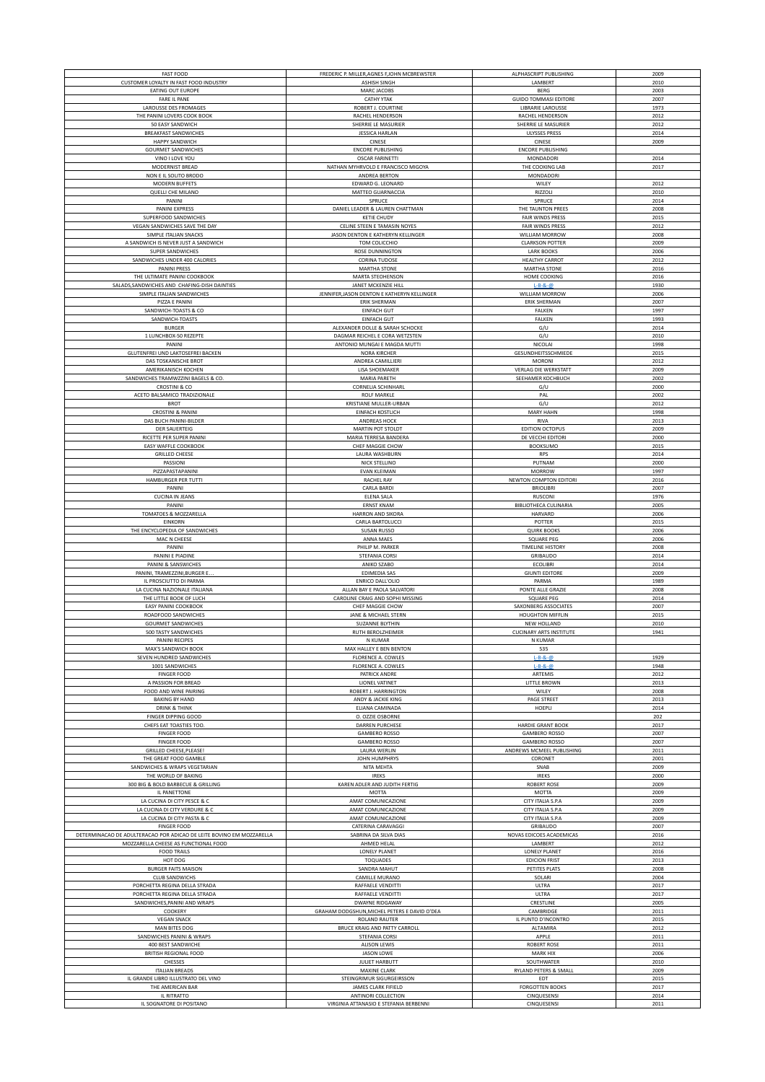| <b>FAST FOOD</b>                                                     | FREDERIC P. MILLER, AGNES F, JOHN MCBREWSTER                  | ALPHASCRIPT PUBLISHING         | 2009         |
|----------------------------------------------------------------------|---------------------------------------------------------------|--------------------------------|--------------|
| CUSTOMER LOYALTY IN FAST FOOD INDUSTRY                               | <b>ASHISH SINGH</b>                                           | LAMBERT                        | 2010         |
| EATING OUT EUROPE                                                    | MARC JACOBS                                                   | <b>BERG</b>                    | 2003         |
| FARE IL PANE                                                         | <b>CATHY YTAK</b>                                             | <b>GUIDO TOMMASI EDITORE</b>   | 2007         |
| LAROUSSE DES FROMAGES                                                | ROBERT J. COURTINE                                            | LIBRARIE LAROUSSE              | 1973         |
| THE PANINI LOVERS COOK BOOK                                          | RACHEL HENDERSON                                              | RACHEL HENDERSON               | 2012         |
| 50 EASY SANDWICH                                                     | SHERRIE LE MASURIER                                           | SHERRIE LE MASURIER            | 2012         |
| <b>BREAKFAST SANDWICHES</b>                                          | <b>JESSICA HARLAN</b>                                         | <b>ULYSSES PRESS</b>           | 2014         |
| <b>HAPPY SANDWICH</b>                                                | CINESE                                                        | CINESE                         | 2009         |
|                                                                      |                                                               |                                |              |
| <b>GOURMET SANDWICHES</b>                                            | <b>ENCORE PUBLISHING</b>                                      | <b>ENCORE PUBLISHING</b>       |              |
| VINO I LOVE YOU                                                      | <b>OSCAR FARINETTI</b>                                        | MONDADORI                      | 2014         |
| MODERNIST BREAD                                                      | NATHAN MYHRVOLD E FRANCISCO MIGOYA                            | THE COOKING LAB                | 2017         |
| NON E IL SOLITO BRODO                                                | ANDREA BERTON                                                 | MONDADORI                      |              |
| MODERN BUFFETS                                                       | EDWARD G. LEONARD                                             | WILEY                          | 2012         |
| <b>QUELLI CHE MILANO</b>                                             | MATTEO GUARNACCIA                                             | RIZZOLI                        | 2010         |
| PANINI                                                               | SPRUCE                                                        | SPRUCE                         | 2014         |
| PANINI EXPRESS                                                       | DANIEL LEADER & LAUREN CHATTMAN                               | THE TAUNTON PREES              | 2008         |
|                                                                      |                                                               |                                |              |
| SUPERFOOD SANDWICHES                                                 | <b>KETIE CHUDY</b>                                            | FAIR WINDS PRESS               | 2015         |
| VEGAN SANDWICHES SAVE THE DAY                                        | CELINE STEEN E TAMASIN NOYES                                  | <b>FAIR WINDS PRESS</b>        | 2012         |
| SIMPLE ITALIAN SNACKS                                                | JASON DENTON E KATHERYN KELLINGER                             | WILLIAM MORROW                 | 2008         |
| A SANDWICH IS NEVER JUST A SANDWICH                                  | TOM COLICCHIO                                                 | <b>CLARKSON POTTER</b>         | 2009         |
| SUPER SANDWICHES                                                     | ROSE DUNNINGTON                                               | <b>LARK BOOKS</b>              | 2006         |
| SANDWICHES UNDER 400 CALORIES                                        | <b>CORINA TUDOSE</b>                                          | <b>HEALTHY CARROT</b>          | 2012         |
| PANINI PRESS                                                         | <b>MARTHA STONE</b>                                           | MARTHA STONE                   | 2016         |
| THE ULTIMATE PANINI COOKBOOK                                         | MARTA STEOHENSON                                              | HOME COOKING                   | 2016         |
| SALADS, SANDWICHES AND CHAFING-DISH DAINTIES                         | JANET MCKENZIE HILL                                           | $L - B - 8 - 1$                | 1930         |
|                                                                      |                                                               |                                |              |
| SIMPLE ITALIAN SANDWICHES                                            | JENNIFER, JASON DENTON E KATHERYN KELLINGER                   | WILLIAM MORROW                 | 2006         |
| PIZZA E PANINI                                                       | <b>ERIK SHERMAN</b>                                           | <b>ERIK SHERMAN</b>            | 2007         |
| SANDWICH-TOASTS & CO                                                 | <b>EINFACH GUT</b>                                            | FALKEN                         | 1997         |
| SANDWICH-TOASTS                                                      | <b>EINFACH GUT</b>                                            | FALKEN                         | 1993         |
| <b>BURGER</b>                                                        | ALEXANDER DOLLE & SARAH SCHOCKE                               | G/U                            | 2014         |
| 1 LUNCHBOX-50 REZEPTE                                                | DAGMAR REICHEL E CORA WETZSTEN                                | G/U                            | 2010         |
| PANINI                                                               | ANTONIO MUNGAI E MAGDA MUTTI                                  | NICOLAI                        | 1998         |
| GLUTENFREI UND LAKTOSEFREI BACKEN                                    | <b>NORA KIRCHER</b>                                           | GESUNDHEITSSCHMIEDE            | 2015         |
|                                                                      |                                                               |                                |              |
| DAS TOSKANISCHE BROT                                                 | ANDREA CAMILLIERI                                             | MORONI                         | 2012         |
| AMERIKANISCH KOCHEN                                                  | <b>LISA SHOEMAKER</b>                                         | <b>VERLAG DIE WERKSTATT</b>    | 2009         |
| SANDWICHES TRAMWZZINI BAGELS & CO.                                   | MARIA PARETH                                                  | SEEHAMER KOCHBUCH              | 2002         |
| <b>CROSTINI &amp; CO</b>                                             | CORNELIA SCHINHARL                                            | G/U                            | 2000         |
| ACETO BALSAMICO TRADIZIONALE                                         | ROLF MARKLE                                                   | PAL                            | 2002         |
| <b>BROT</b>                                                          | KRISTIANE MULLER-URBAN                                        | G/U                            | 2012         |
| <b>CROSTINI &amp; PANINI</b>                                         | <b>EINFACH KOSTLICH</b>                                       | MARY HAHN                      | 1998         |
|                                                                      |                                                               |                                |              |
| DAS BUCH PANINI-BILDER                                               | ANDREAS HOCK                                                  | <b>RIVA</b>                    | 2013         |
| <b>DER SAUERTEIG</b>                                                 | MARTIN POT STOLDT                                             | EDITION OCTOPUS                | 2009         |
| RICETTE PER SUPER PANINI                                             | MARIA TERRESA BANDERA                                         | DE VECCHI EDITORI              | 2000         |
| EASY WAFFLE COOKBOOK                                                 | CHEF MAGGIE CHOW                                              | <b>BOOKSUMO</b>                | 2015         |
| <b>GRILLED CHEESE</b>                                                | LAURA WASHBURN                                                | <b>RPS</b>                     | 2014         |
| PASSIONI                                                             | NICK STELLINO                                                 | PUTNAM                         | 2000         |
|                                                                      |                                                               |                                |              |
| PIZZAPASTAPANINI                                                     | EVAN KLEIMAN                                                  | <b>MORROW</b>                  | 1997         |
| HAMBURGER PER TUTTI                                                  | RACHEL RAY                                                    | NEWTON COMPTON EDITORI         | 2016         |
| PANINI                                                               | <b>CARLA BARDI</b>                                            | <b>BRIOLIBRI</b>               | 2007         |
| <b>CUCINA IN JEANS</b>                                               | ELENA SALA                                                    | RUSCONI                        | 1976         |
| PANINI                                                               | <b>ERNST KNAM</b>                                             | BIBLIOTHECA CULINARIA          | 2005         |
| TOMATOES & MOZZARELLA                                                | HARRON AND SIKORA                                             | HARVARD                        | 2006         |
| EINKORN                                                              | CARLA BARTOLUCCI                                              | POTTER                         | 2015         |
| THE ENCYCLOPEDIA OF SANDWICHES                                       | <b>SUSAN RUSSO</b>                                            | <b>QUIRK BOOKS</b>             | 2006         |
|                                                                      |                                                               |                                |              |
|                                                                      |                                                               |                                |              |
| MAC N CHEESE                                                         | ANNA MAES                                                     | SQUARE PEG                     | 2006         |
| PANINI                                                               | PHILIP M. PARKER                                              | <b>TIMELINE HISTORY</b>        | 2008         |
| PANINI E PIADINE                                                     | STEFANIA CORSI                                                | GRIBAUDO                       | 2014         |
| PANINI & SANSWICHES                                                  | ANIKO SZABO                                                   | ECOLIBRI                       | 2014         |
| PANINI, TRAMEZZINI, BURGER E.                                        | EDIMEDIA SAS                                                  | <b>GIUNTI EDITORE</b>          | 2009         |
|                                                                      |                                                               |                                |              |
| IL PROSCIUTTO DI PARMA                                               | <b>ENRICO DALL'OLIO</b>                                       | PARMA                          | 1989         |
| LA CUCINA NAZIONALE ITALIANA                                         | ALLAN BAY E PAOLA SALVATORI                                   | PONTE ALLE GRAZIE              | 2008         |
| THE LITTLE BOOK OF LUCH                                              | CAROLINE CRAIG AND SOPHI MISSING                              | <b>SQUARE PEG</b>              | 2014         |
| EASY PANINI COOKBOOK                                                 | CHEF MAGGIE CHOW                                              | SAXONBERG ASSOCIATES           | 2007         |
| ROADFOOD SANDWICHES                                                  | JANE & MICHAEL STERN                                          | <b>HOUGHTON MIFFLIN</b>        | 2015         |
| <b>GOURMET SANDWICHES</b>                                            | SUZANNE BLYTHIN                                               | NEW HOLLAND                    | 2010         |
| 500 TASTY SANDWICHES                                                 | RUTH BEROLZHEIMER                                             | <b>CUCINARY ARTS INSTITUTE</b> | 1941         |
| PANINI RECIPES                                                       | N KUMAR                                                       | N KUMAR                        |              |
| MAX'S SANDWICH BOOK                                                  | MAX HALLEY E BEN BENTON                                       | 535                            |              |
|                                                                      |                                                               |                                |              |
| SEVEN HUNDRED SANDWICHES                                             | FLORENCE A. COWLES                                            | $L - B - 8 - 0$                | 1929         |
| 1001 SANDWICHES                                                      | FLORENCE A. COWLES                                            | $L - B - 8 - 00$               | 1948         |
| <b>FINGER FOOD</b>                                                   | PATRICK ANDRE                                                 | ARTEMIS                        | 2012         |
| A PASSION FOR BREAD                                                  | LIONEL VATINET                                                | LITTLE BROWN                   | 2013         |
| FOOD AND WINE PAIRING                                                | ROBERT J. HARRINGTON                                          | WILEY                          | 2008         |
| <b>BAKING BY HAND</b>                                                | ANDY & JACKIE KING                                            | PAGE STREET                    | 2013         |
| <b>DRINK &amp; THINK</b>                                             | ELIANA CAMINADA                                               | HOEPLI                         | 2014         |
| FINGER DIPPING GOOD                                                  | O. OZZIE OSBORNE                                              |                                | 202          |
| CHEFS EAT TOASTIES TOO.                                              | <b>DARREN PURCHESE</b>                                        | <b>HARDIE GRANT BOOK</b>       | 2017         |
| <b>FINGER FOOD</b>                                                   | <b>GAMBERO ROSSO</b>                                          | <b>GAMBERO ROSSO</b>           | 2007         |
|                                                                      |                                                               |                                |              |
| <b>FINGER FOOD</b>                                                   | <b>GAMBERO ROSSO</b>                                          | <b>GAMBERO ROSSO</b>           | 2007         |
| GRILLED CHEESE, PLEASE!                                              | <b>LAURA WERLIN</b>                                           | ANDREWS MCMEEL PUBLISHING      | 2011         |
| THE GREAT FOOD GAMBLE                                                | JOHN HUMPHRYS                                                 | CORONET                        | 2001         |
| SANDWICHES & WRAPS VEGETARIAN                                        | NITA MEHTA                                                    | SNAB                           | 2009         |
| THE WORLD OF BAKING                                                  | <b>IREKS</b>                                                  | <b>IREKS</b>                   | 2000         |
| 300 BIG & BOLD BARBECUE & GRILLING                                   | KAREN ADLER AND JUDITH FERTIG                                 | <b>ROBERT ROSE</b>             | 2009         |
| IL PANETTONE                                                         | <b>MOTTA</b>                                                  | MOTTA                          | 2009         |
|                                                                      |                                                               |                                |              |
| LA CUCINA DI CITY PESCE & C                                          | AMAT COMUNICAZIONE                                            | CITY ITALIA S.P.A              | 2009         |
| LA CUCINA DI CITY VERDURE & C                                        | AMAT COMUNICAZIONE                                            | CITY ITALIA S.P.A              | 2009         |
| LA CUCINA DI CITY PASTA & C                                          | AMAT COMUNICAZIONE                                            | CITY ITALIA S.P.A              | 2009         |
| <b>FINGER FOOD</b>                                                   | CATERINA CARAVAGGI                                            | GRIBAUDO                       | 2007         |
| DETERMINACAO DE ADULTERACAO POR ADICAO DE LEITE BOVINO EM MOZZARELLA | SABRINA DA SILVA DIAS                                         | NOVAS EDICOES ACADEMICAS       | 2016         |
| MOZZARELLA CHEESE AS FUNCTIONAL FOOD                                 | AHMED HELAL                                                   | LAMBERT                        | 2012         |
|                                                                      |                                                               |                                |              |
| <b>FOOD TRAILS</b>                                                   | LONELY PLANET                                                 | LONELY PLANET                  | 2016         |
| HOT DOG                                                              | <b>TOQUADES</b>                                               | <b>EDICION FRIST</b>           | 2013         |
| <b>BURGER FAITS MAISON</b>                                           | SANDRA MAHUT                                                  | PETITES PLATS                  | 2008         |
| <b>CLUB SANDWICHS</b>                                                | CAMILLE MURANO                                                | SOLARI                         | 2004         |
| PORCHETTA REGINA DELLA STRADA                                        | RAFFAELE VENDITTI                                             | ULTRA                          | 2017         |
| PORCHETTA REGINA DELLA STRADA                                        | RAFFAELE VENDITTI                                             | ULTRA                          | 2017         |
| SANDWICHES, PANINI AND WRAPS                                         | <b>DWAYNE RIDGAWAY</b>                                        | CRESTLINE                      | 2005         |
|                                                                      |                                                               |                                |              |
| COOKERY                                                              | GRAHAM DODGSHUN, MICHEL PETERS E DAVID O'DEA                  | CAMBRIDGE                      | 2011         |
| <b>VEGAN SNACK</b>                                                   | ROLAND RAUTER                                                 | IL PUNTO D'INCONTRO            | 2015         |
| MAN BITES DOG                                                        | BRUCE KRAIG AND PATTY CARROLL                                 | ALTAMIRA                       | 2012         |
| SANDWICHES PANINI & WRAPS                                            | STEFANIA CORSI                                                | APPLE                          | 2011         |
| 400 BEST SANDWICHE                                                   | <b>ALISON LEWIS</b>                                           | <b>ROBERT ROSE</b>             | 2011         |
| BRITISH REGIONAL FOOD                                                | <b>JASON LOWE</b>                                             | MARK HIX                       | 2006         |
| CHESSES                                                              | JULIET HARBUTT                                                | SOUTHWATER                     | 2010         |
|                                                                      |                                                               |                                | 2009         |
| <b>ITALIAN BREADS</b>                                                | MAXINE CLARK                                                  | RYLAND PETERS & SMALL          |              |
| IL GRANDE LIBRO ILLUSTRATO DEL VINO                                  | STEINGRIMUR SIGURGEIRSSON                                     | EDT                            | 2015         |
| THE AMERICAN BAR                                                     | JAMES CLARK FIFIELD                                           | <b>FORGOTTEN BOOKS</b>         | 2017         |
| IL RITRATTO<br>IL SOGNATORE DI POSITANO                              | ANTINORI COLLECTION<br>VIRGINIA ATTANASIO E STEFANIA BERBENNI | CINQUESENSI<br>CINQUESENSI     | 2014<br>2011 |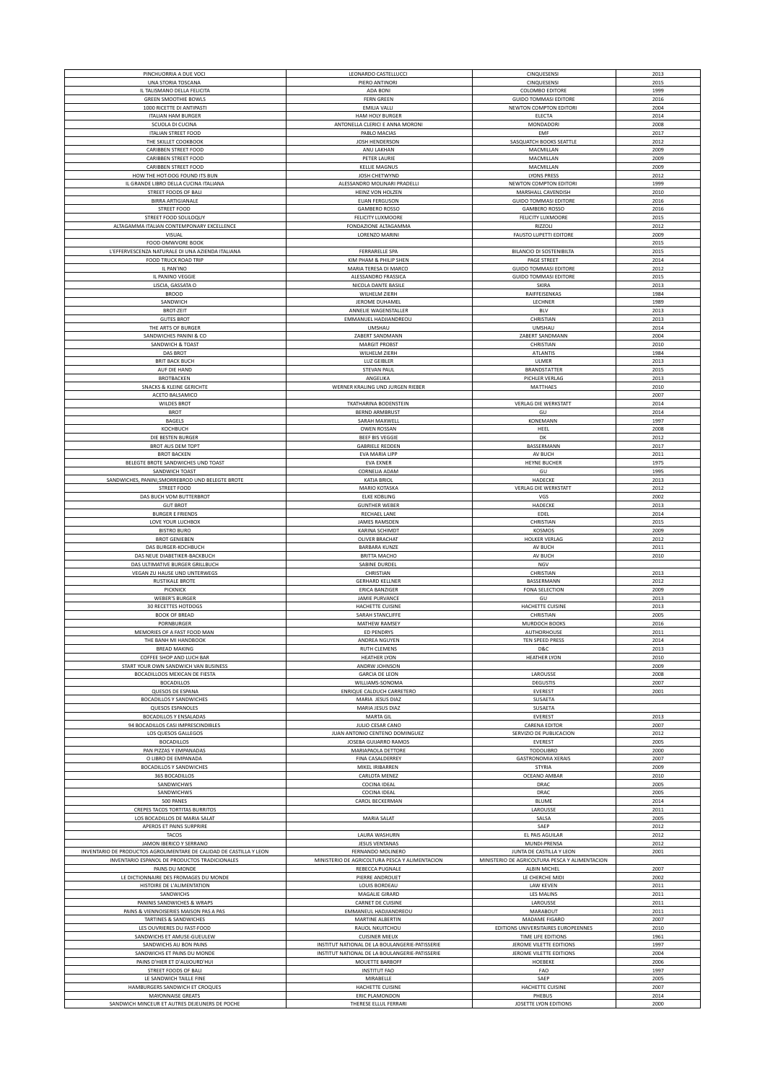| PINCHUORRIA A DUE VOCI                                              | LEONARDO CASTELLUCCI                           | CINQUESENSI                                    | 2013 |
|---------------------------------------------------------------------|------------------------------------------------|------------------------------------------------|------|
| UNA STORIA TOSCANA                                                  | PIERO ANTINORI                                 | CINQUESENSI                                    | 2015 |
| IL TALISMANO DELLA FELICITA                                         | ADA BONI                                       | <b>COLOMBO EDITORE</b>                         | 1999 |
| <b>GREEN SMOOTHIE BOWLS</b>                                         | <b>FERN GREEN</b>                              | <b>GUIDO TOMMASI EDITORE</b>                   | 2016 |
| 1000 RICETTE DI ANTIPASTI                                           | <b>EMILIA VALLI</b>                            | NEWTON COMPTON EDITORI                         | 2004 |
| <b>ITALIAN HAM BURGER</b>                                           | HAM HOLY BURGER                                | ELECTA                                         | 2014 |
| SCUOLA DI CUCINA                                                    | ANTONELLA CLERICI E ANNA MORONI                | MONDADORI                                      | 2008 |
| <b>ITALIAN STREET FOOD</b>                                          | PABLO MACIAS                                   | EMF                                            | 2017 |
| THE SKILLET COOKBOOK                                                | JOSH HENDERSON                                 | SASQUATCH BOOKS SEATTLE                        | 2012 |
| <b>CARIBBEN STREET FOOD</b>                                         | ANU LAKHAN                                     | MACMILLAN                                      | 2009 |
|                                                                     |                                                |                                                |      |
| CARIBBEN STREET FOOD                                                | PETER LAURIE                                   | MACMILLAN                                      | 2009 |
| CARIBBEN STREET FOOD                                                | <b>KELLIE MAGNUS</b>                           | MACMILLAN                                      | 2009 |
| HOW THE HOT-DOG FOUND ITS BUN                                       | JOSH CHETWYND                                  | <b>LYONS PRESS</b>                             | 2012 |
| IL GRANDE LIBRO DELLA CUCINA ITALIANA                               | ALESSANDRO MOLINARI PRADELLI                   | NEWTON COMPTON EDITORI                         | 1999 |
| STREET FOODS OF BALI                                                | HEINZ VON HOLZEN                               | MARSHALL CAVENDISH                             | 2010 |
| <b>BIRRA ARTIGIANALE</b>                                            | <b>EUAN FERGUSON</b>                           | <b>GUIDO TOMMASI EDITORE</b>                   | 2016 |
|                                                                     | <b>GAMBERO ROSSO</b>                           |                                                | 2016 |
| <b>STREET FOOD</b>                                                  |                                                | <b>GAMBERO ROSSO</b>                           |      |
| STREET FOOD SOLILOQUY                                               | FELICITY LUXMOORE                              | FELICITY LUXMOORE                              | 2015 |
| ALTAGAMMA ITALIAN CONTEMPONARY EXCELLENCE                           | FONDAZIONE ALTAGAMMA                           | RIZZOLI                                        | 2012 |
| VISUAL                                                              | LORENZO MARINI                                 | FAUSTO LUPETTI EDITORE                         | 2009 |
| FOOD OMWVORE BOOK                                                   |                                                |                                                | 2015 |
| L'EFFERVESCENZA NATURALE DI UNA AZIENDA ITALIANA                    | FERRARELLE SPA                                 | BILANCIO DI SOSTENIBILTA                       | 2015 |
| FOOD TRUCK ROAD TRIP                                                | KIM PHAM & PHILIP SHEN                         | PAGE STREET                                    | 2014 |
| IL PAN'INO                                                          | MARIA TERESA DI MARCO                          |                                                | 2012 |
|                                                                     |                                                | <b>GUIDO TOMMASI EDITORE</b>                   |      |
| IL PANINO VEGGIE                                                    | ALESSANDRO FRASSICA                            | <b>GUIDO TOMMASI EDITORE</b>                   | 2015 |
| LISCIA, GASSATA O                                                   | NICOLA DANTE BASILE                            | SKIRA                                          | 2013 |
| <b>BROOD</b>                                                        | WILHELM ZIERH                                  | RAIFFEISENKAS                                  | 1984 |
| SANDWICH                                                            | JEROME DUHAMEL                                 | LECHNER                                        | 1989 |
| <b>BROT-ZEIT</b>                                                    | ANNELIE WAGENSTALLER                           | <b>BLV</b>                                     | 2013 |
| <b>GUTES BROT</b>                                                   | EMMANUEL HADJIANDREOU                          | CHRISTIAN                                      | 2013 |
| THE ARTS OF BURGER                                                  | <b>UMSHAU</b>                                  | <b>UMSHAU</b>                                  | 2014 |
|                                                                     |                                                |                                                |      |
| SANDWICHES PANINI & CO                                              | ZABERT SANDMANN                                | ZABERT SANDMANN                                | 2004 |
| SANDWICH & TOAST                                                    | <b>MARGIT PROBST</b>                           | CHRISTIAN                                      | 2010 |
| DAS BROT                                                            | WILHELM ZIERH                                  | ATLANTIS                                       | 1984 |
| <b>BRIT BACK BUCH</b>                                               | <b>LUZ GEIBLER</b>                             | ULMER                                          | 2013 |
| AUF DIE HAND                                                        | STEVAN PAUL                                    | <b>BRANDSTATTER</b>                            | 2015 |
| <b>BROTBACKEN</b>                                                   | ANGELIKA                                       | PICHLER VERLAG                                 | 2013 |
| <b>SNACKS &amp; KLEINE GERICHTE</b>                                 | WERNER KRALING UND JURGEN RIEBER               | MATTHAES                                       | 2010 |
|                                                                     |                                                |                                                |      |
| ACETO BALSAMICO                                                     |                                                |                                                | 2007 |
| <b>WILDES BROT</b>                                                  | TKATHARINA BODENSTEIN                          | <b>VERLAG DIE WERKSTATT</b>                    | 2014 |
| <b>BROT</b>                                                         | <b>BERND ARMBRUST</b>                          | GU                                             | 2014 |
| BAGELS                                                              | SARAH MAXWELI                                  | KONEMANN                                       | 1997 |
| КОСНВИСН                                                            | OWEN ROSSAN                                    | HEEL                                           | 2008 |
| DIE BESTEN BURGER                                                   | <b>BEEF BIS VEGGIE</b>                         | DK                                             | 2012 |
|                                                                     |                                                |                                                |      |
| <b>BROT AUS DEM TOPT</b>                                            | <b>GABRIELE REDDEN</b>                         | BASSERMANN                                     | 2017 |
| <b>BROT BACKEN</b>                                                  | EVA MARIA LIPP                                 | AV BUCH                                        | 2011 |
| BELEGTE BROTE SANDWICHES UND TOAST                                  | <b>EVA EXNER</b>                               | HEYNE BUCHER                                   | 1975 |
| SANDWICH TOAST                                                      | CORNELIA ADAM                                  | GU                                             | 1995 |
| SANDWICHES, PANINI, SMORREBROD UND BELEGTE BROTE                    | <b>KATJA BRIOL</b>                             | HADECKE                                        | 2013 |
| <b>STREET FOOD</b>                                                  | MARIO KOTASKA                                  | <b>VERLAG DIE WERKSTATT</b>                    | 2012 |
| DAS BUCH VOM BUTTERBROT                                             | <b>ELKE KOBLING</b>                            | VGS                                            | 2002 |
|                                                                     |                                                |                                                |      |
| <b>GUT BROT</b>                                                     | <b>GUNTHER WEBER</b>                           | HADECKE                                        | 2013 |
| <b>BURGER E FRIENDS</b>                                             | RECHAEL LANE                                   | EDEL                                           | 2014 |
| LOVE YOUR LUCHBOX                                                   | <b>JAMES RAMSDEN</b>                           | CHRISTIAN                                      | 2015 |
| <b>BISTRO BURO</b>                                                  | <b>KARINA SCHIMDT</b>                          | KOSMOS                                         | 2009 |
| <b>BROT GENIEBEN</b>                                                | OLIVER BRACHAT                                 | HOLKER VERLAG                                  | 2012 |
| DAS BURGER-KOCHBUCH                                                 | <b>BARBARA KUNZE</b>                           | AV BUCH                                        | 2011 |
| DAS NEUE DIABETIKER-BACKBUCH                                        | <b>BRITTA MACHO</b>                            | AV BUCH                                        | 2010 |
| DAS ULTIMATIVE BURGER GRILLBUCH                                     | SABINE DURDEL                                  | NGV                                            |      |
|                                                                     |                                                |                                                |      |
| VEGAN ZU HAUSE UND UNTERWEGS                                        | CHRISTIAN                                      | CHRISTIAN                                      | 2013 |
| <b>RUSTIKALE BROTE</b>                                              | <b>GERHARD KELLNER</b>                         | BASSERMANN                                     | 2012 |
| PICKNICK                                                            | <b>ERICA BANZIGER</b>                          | FONA SELECTION                                 | 2009 |
| <b>WEBER'S BURGER</b>                                               | JAMIE PURVANCE                                 | GU                                             | 2013 |
| 30 RECETTES HOTDOGS                                                 | HACHETTE CUISINE                               | HACHETTE CUISINE                               | 2013 |
| <b>BOOK OF BREAD</b>                                                | SARAH STANCLIFFE                               | CHRISTIAN                                      | 2005 |
| PORNBURGER                                                          | MATHEW RAMSEY                                  | MURDOCH BOOKS                                  | 2016 |
| MEMORIES OF A FAST FOOD MAN                                         | <b>ED PENDRYS</b>                              | AUTHORHOUSE                                    | 2011 |
|                                                                     |                                                |                                                |      |
| THE BANH MI HANDBOOK                                                | ANDREA NGUYEN                                  | TEN SPEED PRESS                                | 2014 |
| <b>BREAD MAKING</b>                                                 | <b>RUTH CLEMENS</b>                            | D&C                                            | 2013 |
| COFFEE SHOP AND LUCH BAR                                            | <b>HEATHER LYON</b>                            | <b>HEATHER LYON</b>                            | 2010 |
| START YOUR OWN SANDWICH VAN BUSINESS                                | ANDRW JOHNSON                                  |                                                | 2009 |
| BOCADILLOOS MEXICAN DE FIESTA                                       | <b>GARCIA DE LEON</b>                          | LAROUSSE                                       | 2008 |
| <b>BOCADILLOS</b>                                                   | WILLIAMS-SONOMA                                | <b>DEGUSTIS</b>                                | 2007 |
|                                                                     |                                                |                                                |      |
| QUESOS DE ESPANA                                                    | ENRIQUE CALDUCH CARRETERO                      | <b>EVEREST</b>                                 | 2001 |
| <b>BOCADILLOS Y SANDWICHES</b>                                      | MARIA JESUS DIAZ                               | SUSAETA                                        |      |
| QUESOS ESPANOLES                                                    | MARIA JESUS DIAZ                               | SUSAETA                                        |      |
| <b>BOCADILLOS Y ENSALADAS</b>                                       | MARTA GIL                                      | EVEREST                                        | 2013 |
| 94 BOCADILLOS CASI IMPRESCINDIBLES                                  | JULIO CESAR CANO                               | <b>CARENA EDITOR</b>                           | 2007 |
| LOS QUESOS GALLEGOS                                                 | JUAN ANTONIO CENTENO DOMINGUEZ                 | SERVIZIO DE PUBLICACION                        | 2012 |
| <b>BOCADILLOS</b>                                                   | JOSEBA GUIJARRO RAMOS                          | EVEREST                                        | 2005 |
| PAN PIZZAS Y EMPANADAS                                              |                                                |                                                |      |
| O LIBRO DE EMPANADA                                                 | MARIAPAOLA DETTORE                             | TODOLIBRO                                      | 2000 |
| <b>BOCADILLOS Y SANDWICHES</b>                                      |                                                |                                                |      |
|                                                                     | FINA CASALDERREY                               | <b>GASTRONOMIA XERAIS</b>                      | 2007 |
|                                                                     | MIKEL IRIBARREN                                | STYRIA                                         | 2009 |
| <b>365 BOCADILLOS</b>                                               | CARLOTA MENEZ                                  | OCEANO AMBAR                                   | 2010 |
| SANDWICHWS                                                          | <b>COCINA IDEAL</b>                            | DRAC                                           | 2005 |
| SANDWICHWS                                                          | <b>COCINA IDEAL</b>                            | DRAC                                           | 2005 |
| 500 PANES                                                           | CAROL BECKERMAN                                | <b>BLUME</b>                                   | 2014 |
|                                                                     |                                                |                                                |      |
| CREPES TACOS TORTITAS BURRITOS                                      |                                                | LAROUSSE                                       | 2011 |
| LOS BOCADILLOS DE MARIA SALAT                                       | MARIA SALAT                                    | SALSA                                          | 2005 |
| APEROS ET PAINS SURPRIRE                                            |                                                | SAEP                                           | 2012 |
| TACOS                                                               | LAURA WASHURN                                  | EL PAIS AGUILAR                                | 2012 |
| JAMON IBERICO Y SERRANO                                             | <b>JESUS VENTANAS</b>                          | MUNDI-PRENSA                                   | 2012 |
| INVENTARIO DE PRODUCTOS AGROLIMENTARE DE CALIDAD DE CASTILLA Y LEON | FERNANDO MOLINERO                              | JUNTA DE CASTILLA Y LEON                       | 2001 |
| INVENTARIO ESPANOL DE PRODUCTOS TRADICIONALES                       | MINISTERIO DE AGRICOLTURA PESCA Y ALIMENTACION | MINISTERIO DE AGRICOLTURA PESCA Y ALIMENTACION |      |
| PAINS DU MONDE                                                      | REBECCA PUGNALE                                | ALBIN MICHEL                                   | 2007 |
|                                                                     |                                                |                                                |      |
| LE DICTIONNAIRE DES FROMAGES DU MONDE                               | PIERRE ANDROUET                                | LE CHERCHE MIDI                                | 2002 |
| HISTOIRE DE L'ALIMENTATION                                          | LOUIS BORDEAU                                  | <b>LAW KEVEN</b>                               | 2011 |
| SANDWICHS                                                           | MAGALIE GIRARD                                 | <b>LES MALINS</b>                              | 2011 |
| PANINIS SANDWICHES & WRAPS                                          | CARNET DE CUISINE                              | LAROUSSE                                       | 2011 |
| PAINS & VIENNOISERIES MAISON PAS A PAS                              | EMMANEUL HADJIANDREOU                          | MARABOUT                                       | 2011 |
| TARTINES & SANDWICHES                                               | MARTINE ALBERTIN                               | MADAME FIGARO                                  | 2007 |
| LES OUVRIERES DU FAST-FOOD                                          | RAUOL NKUITCHOU                                | EDITIONS UNIVERSITAIRES EUROPEENNES            | 2010 |
|                                                                     |                                                | TIME LIFE EDITIONS                             | 1961 |
| SANDWICHS ET AMUSE-GUEULEW                                          | <b>CUISINER MIEUX</b>                          |                                                |      |
| SANDWICHS AU BON PAINS                                              | INSTITUT NATIONAL DE LA BOULANGERIE-PATISSERIE | JEROME VILETTE EDITIONS                        | 1997 |
| SANDWICHS ET PAINS DU MONDE                                         | INSTITUT NATIONAL DE LA BOULANGERIE-PATISSERIE | JEROME VILETTE EDITIONS                        | 2004 |
| PAINS D'HIER ET D'AUJOURD'HUI                                       | MOUETTE BARBOFF                                | HOEBEKE                                        | 2006 |
| STREET FOODS OF BALI                                                | <b>INSTITUT FAO</b>                            | FAO                                            | 1997 |
| LE SANDWICH TAILLE FINE                                             | MIRABELLE                                      | SAEP                                           | 2005 |
| HAMBURGERS SANDWICH ET CROQUES                                      | HACHETTE CUISINE                               | HACHETTE CUISINE                               | 2007 |
| MAYONNAISE GREATS                                                   | ERIC PLAMONDON                                 | PHEBUS                                         | 2014 |
| SANDWICH MINCEUR ET AUTRES DEJEUNERS DE POCHE                       | THERESE ELLUL FERRARI                          | JOSETTE LYON EDITIONS                          | 2000 |